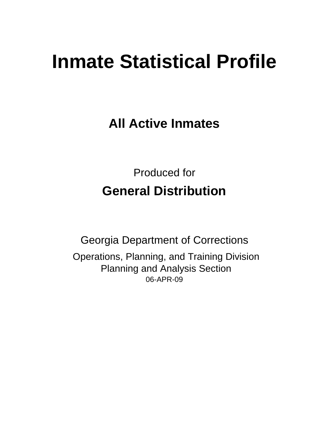# **Inmate Statistical Profile**

**All Active Inmates**

Produced for **General Distribution**

06-APR-09 Georgia Department of Corrections Operations, Planning, and Training Division Planning and Analysis Section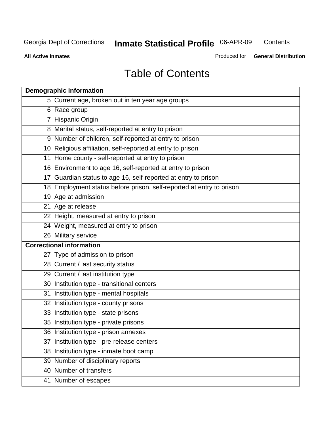**Contents** 

**All Active Inmates**

Produced for **General Distribution**

# Table of Contents

| <b>Demographic information</b>                                       |  |
|----------------------------------------------------------------------|--|
| 5 Current age, broken out in ten year age groups                     |  |
| 6 Race group                                                         |  |
| 7 Hispanic Origin                                                    |  |
| 8 Marital status, self-reported at entry to prison                   |  |
| 9 Number of children, self-reported at entry to prison               |  |
| 10 Religious affiliation, self-reported at entry to prison           |  |
| 11 Home county - self-reported at entry to prison                    |  |
| 16 Environment to age 16, self-reported at entry to prison           |  |
| 17 Guardian status to age 16, self-reported at entry to prison       |  |
| 18 Employment status before prison, self-reported at entry to prison |  |
| 19 Age at admission                                                  |  |
| 21 Age at release                                                    |  |
| 22 Height, measured at entry to prison                               |  |
| 24 Weight, measured at entry to prison                               |  |
| 26 Military service                                                  |  |
| <b>Correctional information</b>                                      |  |
| 27 Type of admission to prison                                       |  |
| 28 Current / last security status                                    |  |
| 29 Current / last institution type                                   |  |
| 30 Institution type - transitional centers                           |  |
| Institution type - mental hospitals<br>31                            |  |
| 32 Institution type - county prisons                                 |  |
| 33 Institution type - state prisons                                  |  |
| 35 Institution type - private prisons                                |  |
| 36 Institution type - prison annexes                                 |  |
| Institution type - pre-release centers<br>37                         |  |
| 38 Institution type - inmate boot camp                               |  |
| 39 Number of disciplinary reports                                    |  |
| 40 Number of transfers                                               |  |
| 41 Number of escapes                                                 |  |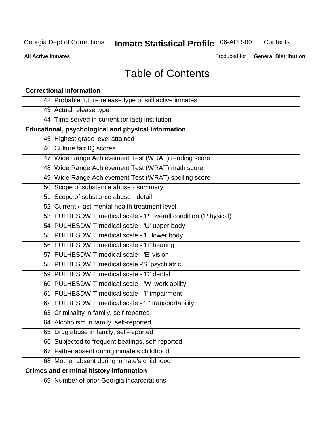**Contents** 

**All Active Inmates**

Produced for **General Distribution**

# Table of Contents

| <b>Correctional information</b>                                  |
|------------------------------------------------------------------|
| 42 Probable future release type of still active inmates          |
| 43 Actual release type                                           |
| 44 Time served in current (or last) institution                  |
| Educational, psychological and physical information              |
| 45 Highest grade level attained                                  |
| 46 Culture fair IQ scores                                        |
| 47 Wide Range Achievement Test (WRAT) reading score              |
| 48 Wide Range Achievement Test (WRAT) math score                 |
| 49 Wide Range Achievement Test (WRAT) spelling score             |
| 50 Scope of substance abuse - summary                            |
| 51 Scope of substance abuse - detail                             |
| 52 Current / last mental health treatment level                  |
| 53 PULHESDWIT medical scale - 'P' overall condition ('P'hysical) |
| 54 PULHESDWIT medical scale - 'U' upper body                     |
| 55 PULHESDWIT medical scale - 'L' lower body                     |
| 56 PULHESDWIT medical scale - 'H' hearing                        |
| 57 PULHESDWIT medical scale - 'E' vision                         |
| 58 PULHESDWIT medical scale -'S' psychiatric                     |
| 59 PULHESDWIT medical scale - 'D' dental                         |
| 60 PULHESDWIT medical scale - 'W' work ability                   |
| 61 PULHESDWIT medical scale - 'I' impairment                     |
| 62 PULHESDWIT medical scale - 'T' transportability               |
| 63 Criminality in family, self-reported                          |
| 64 Alcoholism in family, self-reported                           |
| 65 Drug abuse in family, self-reported                           |
| 66 Subjected to frequent beatings, self-reported                 |
| 67 Father absent during inmate's childhood                       |
| 68 Mother absent during inmate's childhood                       |
| <b>Crimes and criminal history information</b>                   |
| 69 Number of prior Georgia incarcerations                        |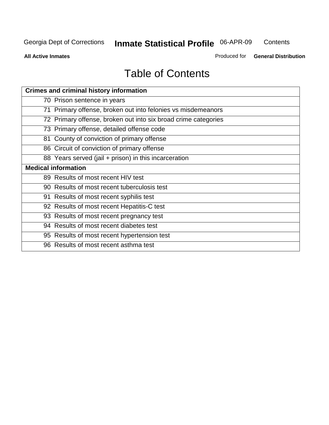**Contents** 

**All Active Inmates**

Produced for **General Distribution**

# Table of Contents

| <b>Crimes and criminal history information</b>                 |
|----------------------------------------------------------------|
| 70 Prison sentence in years                                    |
| 71 Primary offense, broken out into felonies vs misdemeanors   |
| 72 Primary offense, broken out into six broad crime categories |
| 73 Primary offense, detailed offense code                      |
| 81 County of conviction of primary offense                     |
| 86 Circuit of conviction of primary offense                    |
| 88 Years served (jail + prison) in this incarceration          |
| <b>Medical information</b>                                     |
| 89 Results of most recent HIV test                             |
| 90 Results of most recent tuberculosis test                    |
| 91 Results of most recent syphilis test                        |
| 92 Results of most recent Hepatitis-C test                     |
| 93 Results of most recent pregnancy test                       |
| 94 Results of most recent diabetes test                        |
| 95 Results of most recent hypertension test                    |
| 96 Results of most recent asthma test                          |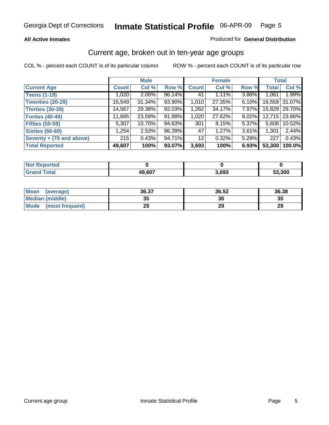#### **All Active Inmates**

#### Produced for **General Distribution**

#### Current age, broken out in ten-year age groups

|                          |              | <b>Male</b> |        |                 | <b>Female</b> |          |              | <b>Total</b>    |
|--------------------------|--------------|-------------|--------|-----------------|---------------|----------|--------------|-----------------|
| <b>Current Age</b>       | <b>Count</b> | Col %       | Row %  | <b>Count</b>    | Col %         | Row %    | <b>Total</b> | Col %           |
| <b>Teens (1-19)</b>      | 1,020        | $2.06\%$    | 96.14% | 41              | 1.11%         | 3.86%    | 1,061        | 1.99%           |
| <b>Twenties (20-29)</b>  | 15,549       | $31.34\%$   | 93.90% | 1,010           | 27.35%        | $6.10\%$ |              | 16,559 31.07%   |
| <b>Thirties (30-39)</b>  | 14,567       | 29.36%      | 92.03% | 1,262           | 34.17%        | $7.97\%$ |              | 15,829   29.70% |
| <b>Forties (40-49)</b>   | 11,695       | 23.58%      | 91.98% | 1,020           | 27.62%        | 8.02%    |              | 12,715 23.86%   |
| <b>Fifties (50-59)</b>   | 5,307        | 10.70%      | 94.63% | 301             | 8.15%         | 5.37%    | 5.608        | 10.52%          |
| <b>Sixties (60-69)</b>   | 1,254        | 2.53%       | 96.39% | 47              | 1.27%         | 3.61%    | 1,301        | 2.44%           |
| Seventy + (70 and above) | 215          | 0.43%       | 94.71% | 12 <sub>1</sub> | 0.32%         | $5.29\%$ | 227          | 0.43%           |
| <b>Total Reported</b>    | 49,607       | 100%        | 93.07% | 3,693           | 100%          | 6.93%    | 53,300       | 100.0%          |

| <b>Not Reported</b> |              |       |               |
|---------------------|--------------|-------|---------------|
| <b>Total</b>        | 49,607<br>4ч | 693,د | <b>53,300</b> |

| <b>Mean</b><br>(average) | 36.37    | 36.52 | 36.38 |
|--------------------------|----------|-------|-------|
| Median (middle)          | つに<br>vu | 36    | 35    |
| Mode<br>(most frequent)  | 29       | 29    | 29    |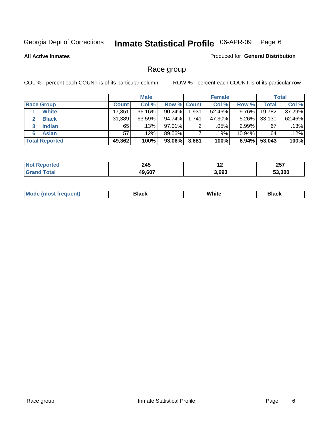**All Active Inmates**

#### Produced for **General Distribution**

### Race group

|                       |              | <b>Male</b> |                    |       | <b>Female</b> |           |        | <b>Total</b> |
|-----------------------|--------------|-------------|--------------------|-------|---------------|-----------|--------|--------------|
| <b>Race Group</b>     | <b>Count</b> | Col %       | <b>Row % Count</b> |       | Col %         | Row %     | Total  | Col %        |
| <b>White</b>          | 17,851       | 36.16%      | 90.24%             | 1,931 | 52.46%        | 9.76%     | 19,782 | 37.29%       |
| <b>Black</b>          | 31,389       | 63.59%      | 94.74%             | 1,741 | 47.30%        | $5.26\%$  | 33,130 | 62.46%       |
| <b>Indian</b><br>3    | 65           | .13%        | 97.01%             | 2     | .05%          | $2.99\%$  | 67     | .13%         |
| <b>Asian</b>          | 57           | $.12\%$     | 89.06%             |       | .19%          | $10.94\%$ | 64     | .12%         |
| <b>Total Reported</b> | 49,362       | 100%        | 93.06%             | 3,681 | 100%          | 6.94%     | 53,043 | 100%         |

| 245<br>$\sim$        | $\sim$ | 257<br>20 I |
|----------------------|--------|-------------|
| 0 <sub>0</sub><br>10 | 3,693  | 53.300      |

|  | $Mc$ | Black | White<br>$ -$ | 21904<br>DIACK |
|--|------|-------|---------------|----------------|
|--|------|-------|---------------|----------------|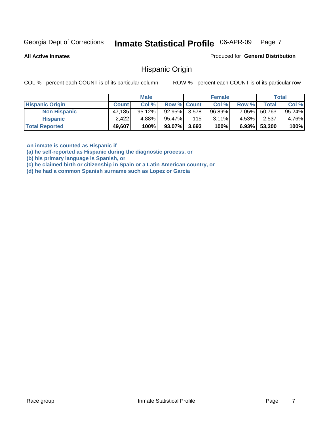**All Active Inmates**

Produced for **General Distribution**

#### Hispanic Origin

COL % - percent each COUNT is of its particular column ROW % - percent each COUNT is of its particular row

|                        |              | <b>Male</b> |                    |     | <b>Female</b> |          |        | <b>Total</b> |
|------------------------|--------------|-------------|--------------------|-----|---------------|----------|--------|--------------|
| <b>Hispanic Origin</b> | <b>Count</b> | Col %       | <b>Row % Count</b> |     | Col %         | Row %    | Total  | Col %        |
| <b>Non Hispanic</b>    | 47,185       | $95.12\%$   | $92.95\%$ 3,578    |     | 96.89%        | 7.05%    | 50,763 | 95.24%       |
| <b>Hispanic</b>        | 2,422        | 4.88%       | 95.47%             | 115 | $3.11\%$      | 4.53%    | 2,537  | 4.76%        |
| <b>Total Reported</b>  | 49,607       | 100%        | $93.07\%$ 3,693    |     | 100%          | $6.93\%$ | 53,300 | 100%         |

**An inmate is counted as Hispanic if** 

**(a) he self-reported as Hispanic during the diagnostic process, or** 

**(b) his primary language is Spanish, or** 

**(c) he claimed birth or citizenship in Spain or a Latin American country, or** 

**(d) he had a common Spanish surname such as Lopez or Garcia**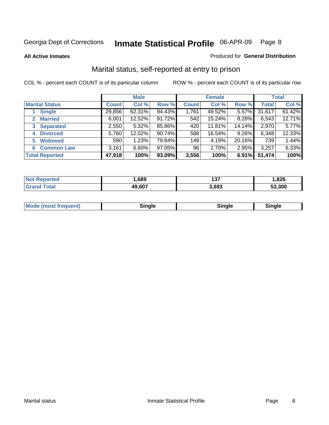**All Active Inmates**

#### Produced for **General Distribution**

### Marital status, self-reported at entry to prison

|                        |              | <b>Male</b> |        |              | <b>Female</b> |          |              | <b>Total</b> |
|------------------------|--------------|-------------|--------|--------------|---------------|----------|--------------|--------------|
| <b>Marital Status</b>  | <b>Count</b> | Col %       | Row %  | <b>Count</b> | Col %         | Row %    | <b>Total</b> | Col %        |
| <b>Single</b>          | 29,856       | $62.31\%$   | 94.43% | 1,761        | 49.52%        | $5.57\%$ | 31,617       | 61.42%       |
| <b>Married</b><br>2.   | 6,001        | 12.52%      | 91.72% | 542          | 15.24%        | 8.28%    | 6,543        | 12.71%       |
| <b>Separated</b><br>3  | 2,550        | $5.32\%$    | 85.86% | 420          | 11.81%        | 14.14%   | 2,970        | 5.77%        |
| <b>Divorced</b><br>4   | 5,760        | 12.02%      | 90.74% | 588          | 16.54%        | 9.26%    | 6,348        | 12.33%       |
| <b>Widowed</b><br>5    | 590          | 1.23%       | 79.84% | 149          | 4.19%         | 20.16%   | 739          | 1.44%        |
| <b>Common Law</b><br>6 | 3,161        | 6.60%       | 97.05% | 96           | 2.70%         | 2.95%    | 3,257        | 6.33%        |
| <b>Total Reported</b>  | 47,918       | 100%        | 93.09% | 3,556        | 100%          | 6.91%    | 51,474       | 100%         |

| тео<br>NG | ,689         | --<br>1J 1 | .826   |
|-----------|--------------|------------|--------|
| 5401      | 49,607<br>дu | 693        | 53.300 |

|  | <b>Mo</b><br>(most frequent) | 71 C |  | dinale? |  |
|--|------------------------------|------|--|---------|--|
|--|------------------------------|------|--|---------|--|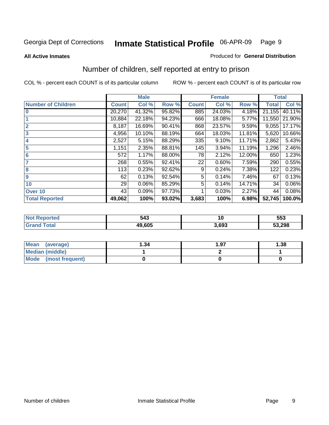#### **All Active Inmates**

#### Produced for **General Distribution**

### Number of children, self reported at entry to prison

|                           | <b>Male</b>  |        |        |              | <b>Female</b> |        | <b>Total</b> |        |
|---------------------------|--------------|--------|--------|--------------|---------------|--------|--------------|--------|
| <b>Number of Children</b> | <b>Count</b> | Col %  | Row %  | <b>Count</b> | Col %         | Row %  | <b>Total</b> | Col %  |
| $\bf{0}$                  | 20,270       | 41.32% | 95.82% | 885          | 24.03%        | 4.18%  | 21,155       | 40.11% |
|                           | 10,884       | 22.18% | 94.23% | 666          | 18.08%        | 5.77%  | 11,550       | 21.90% |
| $\overline{2}$            | 8,187        | 16.69% | 90.41% | 868          | 23.57%        | 9.59%  | 9,055        | 17.17% |
| 3                         | 4,956        | 10.10% | 88.19% | 664          | 18.03%        | 11.81% | 5,620        | 10.66% |
| 4                         | 2,527        | 5.15%  | 88.29% | 335          | 9.10%         | 11.71% | 2,862        | 5.43%  |
| 5                         | 1,151        | 2.35%  | 88.81% | 145          | 3.94%         | 11.19% | 1,296        | 2.46%  |
| $6\phantom{a}$            | 572          | 1.17%  | 88.00% | 78           | 2.12%         | 12.00% | 650          | 1.23%  |
| 7                         | 268          | 0.55%  | 92.41% | 22           | 0.60%         | 7.59%  | 290          | 0.55%  |
| 8                         | 113          | 0.23%  | 92.62% | 9            | 0.24%         | 7.38%  | 122          | 0.23%  |
| 9                         | 62           | 0.13%  | 92.54% | 5            | 0.14%         | 7.46%  | 67           | 0.13%  |
| 10                        | 29           | 0.06%  | 85.29% | 5            | 0.14%         | 14.71% | 34           | 0.06%  |
| Over 10                   | 43           | 0.09%  | 97.73% |              | 0.03%         | 2.27%  | 44           | 0.08%  |
| <b>Total Reported</b>     | 49,062       | 100%   | 93.02% | 3,683        | 100%          | 6.98%  | 52,745       | 100.0% |

| 543          | $\sim$ | 553    |
|--------------|--------|--------|
| $AO$ $C$ $C$ | .693   | 53,298 |

| <b>Mean</b><br>(average) | ∣.34 | 1.97 | .38 |
|--------------------------|------|------|-----|
| <b>Median (middle)</b>   |      |      |     |
| Mode<br>(most frequent)  |      |      |     |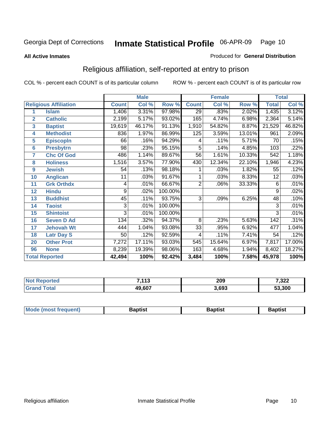#### **All Active Inmates**

#### Produced for **General Distribution**

### Religious affiliation, self-reported at entry to prison

|                  |                              | <b>Male</b>  |        |         |                 | <b>Female</b> |        | <b>Total</b>    |        |
|------------------|------------------------------|--------------|--------|---------|-----------------|---------------|--------|-----------------|--------|
|                  | <b>Religious Affiliation</b> | <b>Count</b> | Col %  | Row %   | <b>Count</b>    | Col %         | Row %  | <b>Total</b>    | Col %  |
| 1                | <b>Islam</b>                 | 1,406        | 3.31%  | 97.98%  | $\overline{29}$ | .83%          | 2.02%  | 1,435           | 3.12%  |
| $\overline{2}$   | <b>Catholic</b>              | 2,199        | 5.17%  | 93.02%  | 165             | 4.74%         | 6.98%  | 2,364           | 5.14%  |
| 3                | <b>Baptist</b>               | 19,619       | 46.17% | 91.13%  | 1,910           | 54.82%        | 8.87%  | 21,529          | 46.82% |
| 4                | <b>Methodist</b>             | 836          | 1.97%  | 86.99%  | 125             | 3.59%         | 13.01% | 961             | 2.09%  |
| 5                | <b>EpiscopIn</b>             | 66           | .16%   | 94.29%  | 4               | .11%          | 5.71%  | 70              | .15%   |
| 6                | <b>Presbytrn</b>             | 98           | .23%   | 95.15%  | 5               | .14%          | 4.85%  | 103             | .22%   |
| 7                | <b>Chc Of God</b>            | 486          | 1.14%  | 89.67%  | 56              | 1.61%         | 10.33% | 542             | 1.18%  |
| 8                | <b>Holiness</b>              | 1,516        | 3.57%  | 77.90%  | 430             | 12.34%        | 22.10% | 1,946           | 4.23%  |
| $\boldsymbol{9}$ | <b>Jewish</b>                | 54           | .13%   | 98.18%  |                 | .03%          | 1.82%  | 55              | .12%   |
| 10               | <b>Anglican</b>              | 11           | .03%   | 91.67%  |                 | .03%          | 8.33%  | $\overline{12}$ | .03%   |
| 11               | <b>Grk Orthdx</b>            | 4            | .01%   | 66.67%  | $\overline{2}$  | .06%          | 33.33% | 6               | .01%   |
| 12               | <b>Hindu</b>                 | 9            | .02%   | 100.00% |                 |               |        | 9               | .02%   |
| 13               | <b>Buddhist</b>              | 45           | .11%   | 93.75%  | $\overline{3}$  | .09%          | 6.25%  | 48              | .10%   |
| 14               | <b>Taoist</b>                | 3            | .01%   | 100.00% |                 |               |        | 3               | .01%   |
| 15               | <b>Shintoist</b>             | 3            | .01%   | 100.00% |                 |               |        | 3               | .01%   |
| 16               | <b>Seven D Ad</b>            | 134          | .32%   | 94.37%  | 8               | .23%          | 5.63%  | 142             | .31%   |
| 17               | <b>Jehovah Wt</b>            | 444          | 1.04%  | 93.08%  | $\overline{33}$ | .95%          | 6.92%  | 477             | 1.04%  |
| 18               | <b>Latr Day S</b>            | 50           | .12%   | 92.59%  | 4               | .11%          | 7.41%  | $\overline{54}$ | .12%   |
| 20               | <b>Other Prot</b>            | 7,272        | 17.11% | 93.03%  | 545             | 15.64%        | 6.97%  | 7,817           | 17.00% |
| 96               | <b>None</b>                  | 8,239        | 19.39% | 98.06%  | 163             | 4.68%         | 1.94%  | 8,402           | 18.27% |
|                  | <b>Total Reported</b>        | 42,494       | 100%   | 92.42%  | 3,484           | 100%          | 7.58%  | 45,978          | 100%   |

| 7110<br>. | 209<br>__ | 7,322  |
|-----------|-----------|--------|
| 607<br>40 | 3.693     | 53.300 |

| <b>Mode</b><br>frequent)<br>umost | 3aptist | 3aptist | <b>Baptist</b> |
|-----------------------------------|---------|---------|----------------|
|                                   |         |         |                |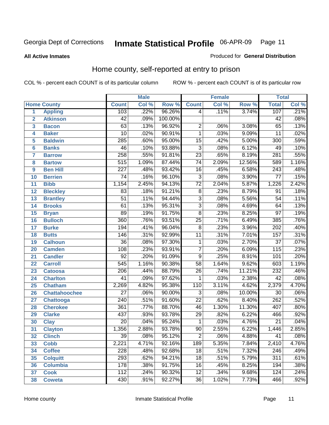#### **All Active Inmates**

#### Produced for **General Distribution**

### Home county, self-reported at entry to prison

|                 |                      |                  | <b>Male</b> |         |                  | <b>Female</b> |        | <b>Total</b>     |       |  |
|-----------------|----------------------|------------------|-------------|---------|------------------|---------------|--------|------------------|-------|--|
|                 | <b>Home County</b>   | <b>Count</b>     | Col %       | Row %   | <b>Count</b>     | Col %         | Row %  | <b>Total</b>     | Col % |  |
| 1               | <b>Appling</b>       | 103              | .22%        | 96.26%  | 4                | .11%          | 3.74%  | 107              | .21%  |  |
| $\overline{2}$  | <b>Atkinson</b>      | $\overline{42}$  | .09%        | 100.00% |                  |               |        | $\overline{42}$  | .08%  |  |
| 3               | <b>Bacon</b>         | 63               | .13%        | 96.92%  | $\overline{2}$   | .06%          | 3.08%  | 65               | .13%  |  |
| 4               | <b>Baker</b>         | $\overline{10}$  | .02%        | 90.91%  | $\overline{1}$   | .03%          | 9.09%  | $\overline{11}$  | .02%  |  |
| 5               | <b>Baldwin</b>       | $\overline{285}$ | .60%        | 95.00%  | $\overline{15}$  | .42%          | 5.00%  | $\overline{300}$ | .59%  |  |
| $6\phantom{a}$  | <b>Banks</b>         | 46               | .10%        | 93.88%  | $\overline{3}$   | .08%          | 6.12%  | 49               | .10%  |  |
| $\overline{7}$  | <b>Barrow</b>        | $\overline{258}$ | .55%        | 91.81%  | $\overline{23}$  | .65%          | 8.19%  | $\overline{281}$ | .55%  |  |
| 8               | <b>Bartow</b>        | $\overline{515}$ | 1.09%       | 87.44%  | $\overline{74}$  | 2.09%         | 12.56% | 589              | 1.16% |  |
| 9               | <b>Ben Hill</b>      | $\overline{227}$ | .48%        | 93.42%  | $\overline{16}$  | .45%          | 6.58%  | $\overline{243}$ | .48%  |  |
| 10              | <b>Berrien</b>       | $\overline{74}$  | .16%        | 96.10%  | $\overline{3}$   | .08%          | 3.90%  | $\overline{77}$  | .15%  |  |
| 11              | <b>Bibb</b>          | 1,154            | 2.45%       | 94.13%  | $\overline{72}$  | 2.04%         | 5.87%  | 1,226            | 2.42% |  |
| 12              | <b>Bleckley</b>      | $\overline{83}$  | .18%        | 91.21%  | $\overline{8}$   | .23%          | 8.79%  | $\overline{91}$  | .18%  |  |
| $\overline{13}$ | <b>Brantley</b>      | $\overline{51}$  | .11%        | 94.44%  | $\overline{3}$   | .08%          | 5.56%  | $\overline{54}$  | .11%  |  |
| $\overline{14}$ | <b>Brooks</b>        | $\overline{61}$  | .13%        | 95.31%  | $\overline{3}$   | .08%          | 4.69%  | 64               | .13%  |  |
| 15              | <b>Bryan</b>         | 89               | .19%        | 91.75%  | $\overline{8}$   | .23%          | 8.25%  | $\overline{97}$  | .19%  |  |
| 16              | <b>Bulloch</b>       | 360              | .76%        | 93.51%  | $\overline{25}$  | .71%          | 6.49%  | 385              | .76%  |  |
| $\overline{17}$ | <b>Burke</b>         | 194              | .41%        | 96.04%  | $\overline{8}$   | .23%          | 3.96%  | 202              | .40%  |  |
| 18              | <b>Butts</b>         | 146              | .31%        | 92.99%  | $\overline{11}$  | .31%          | 7.01%  | 157              | .31%  |  |
| 19              | <b>Calhoun</b>       | $\overline{36}$  | .08%        | 97.30%  | $\mathbf{1}$     | .03%          | 2.70%  | $\overline{37}$  | .07%  |  |
| 20              | <b>Camden</b>        | 108              | .23%        | 93.91%  | $\overline{7}$   | .20%          | 6.09%  | 115              | .23%  |  |
| 21              | <b>Candler</b>       | $\overline{92}$  | .20%        | 91.09%  | $\overline{9}$   | .25%          | 8.91%  | 101              | .20%  |  |
| $\overline{22}$ | <b>Carroll</b>       | $\overline{545}$ | 1.16%       | 90.38%  | $\overline{58}$  | 1.64%         | 9.62%  | 603              | 1.19% |  |
| 23              | <b>Catoosa</b>       | $\overline{206}$ | .44%        | 88.79%  | $\overline{26}$  | .74%          | 11.21% | 232              | .46%  |  |
| 24              | <b>Charlton</b>      | $\overline{41}$  | .09%        | 97.62%  | $\mathbf{1}$     | .03%          | 2.38%  | $\overline{42}$  | .08%  |  |
| 25              | <b>Chatham</b>       | 2,269            | 4.82%       | 95.38%  | $\overline{110}$ | 3.11%         | 4.62%  | 2,379            | 4.70% |  |
| 26              | <b>Chattahoochee</b> | $\overline{27}$  | .06%        | 90.00%  | 3                | .08%          | 10.00% | $\overline{30}$  | .06%  |  |
| 27              | <b>Chattooga</b>     | $\overline{240}$ | .51%        | 91.60%  | $\overline{22}$  | .62%          | 8.40%  | 262              | .52%  |  |
| 28              | <b>Cherokee</b>      | 361              | .77%        | 88.70%  | 46               | 1.30%         | 11.30% | 407              | .80%  |  |
| 29              | <b>Clarke</b>        | $\overline{437}$ | .93%        | 93.78%  | $\overline{29}$  | .82%          | 6.22%  | 466              | .92%  |  |
| 30              | <b>Clay</b>          | $\overline{20}$  | .04%        | 95.24%  | $\mathbf{1}$     | .03%          | 4.76%  | $\overline{21}$  | .04%  |  |
| $\overline{31}$ | <b>Clayton</b>       | 1,356            | 2.88%       | 93.78%  | $\overline{90}$  | 2.55%         | 6.22%  | 1,446            | 2.85% |  |
| 32              | <b>Clinch</b>        | 39               | .08%        | 95.12%  | 2                | .06%          | 4.88%  | 41               | .08%  |  |
| 33              | <b>Cobb</b>          | 2,221            | 4.71%       | 92.16%  | 189              | 5.35%         | 7.84%  | 2,410            | 4.76% |  |
| 34              | <b>Coffee</b>        | 228              | .48%        | 92.68%  | $\overline{18}$  | .51%          | 7.32%  | 246              | .49%  |  |
| 35              | <b>Colquitt</b>      | 293              | .62%        | 94.21%  | $\overline{18}$  | .51%          | 5.79%  | $\overline{311}$ | .61%  |  |
| 36              | <b>Columbia</b>      | 178              | .38%        | 91.75%  | 16               | .45%          | 8.25%  | 194              | .38%  |  |
| 37              | <b>Cook</b>          | 112              | .24%        | 90.32%  | $\overline{12}$  | .34%          | 9.68%  | 124              | .24%  |  |
| 38              | <b>Coweta</b>        | 430              | .91%        | 92.27%  | $\overline{36}$  | 1.02%         | 7.73%  | 466              | .92%  |  |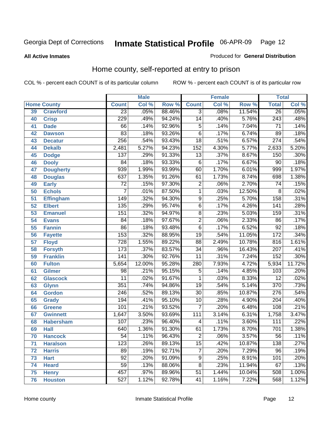**All Active Inmates**

#### Produced for **General Distribution**

### Home county, self-reported at entry to prison

|                 |                    |                  | <b>Male</b> |                  |                  | <b>Female</b> |        | <b>Total</b>     |                            |
|-----------------|--------------------|------------------|-------------|------------------|------------------|---------------|--------|------------------|----------------------------|
|                 | <b>Home County</b> | <b>Count</b>     | Col %       | Row <sup>%</sup> | <b>Count</b>     | Col %         | Row %  | <b>Total</b>     | $\overline{\text{Col }^9}$ |
| 39              | <b>Crawford</b>    | $\overline{23}$  | .05%        | 88.46%           | $\overline{3}$   | .08%          | 11.54% | 26               | .05%                       |
| 40              | <b>Crisp</b>       | 229              | .49%        | 94.24%           | $\overline{14}$  | .40%          | 5.76%  | $\sqrt{243}$     | .48%                       |
| 41              | <b>Dade</b>        | 66               | .14%        | 92.96%           | 5                | .14%          | 7.04%  | $\overline{71}$  | .14%                       |
| 42              | <b>Dawson</b>      | 83               | .18%        | 93.26%           | $\overline{6}$   | .17%          | 6.74%  | $\overline{89}$  | .18%                       |
| 43              | <b>Decatur</b>     | $\overline{256}$ | .54%        | 93.43%           | $\overline{18}$  | .51%          | 6.57%  | $\overline{274}$ | .54%                       |
| 44              | <b>Dekalb</b>      | 2,481            | 5.27%       | 94.23%           | $\overline{152}$ | 4.30%         | 5.77%  | 2,633            | 5.20%                      |
| 45              | <b>Dodge</b>       | 137              | .29%        | 91.33%           | $\overline{13}$  | .37%          | 8.67%  | 150              | .30%                       |
| 46              | <b>Dooly</b>       | 84               | .18%        | 93.33%           | $\overline{6}$   | .17%          | 6.67%  | $\overline{90}$  | .18%                       |
| 47              | <b>Dougherty</b>   | 939              | 1.99%       | 93.99%           | 60               | 1.70%         | 6.01%  | 999              | 1.97%                      |
| 48              | <b>Douglas</b>     | 637              | 1.35%       | 91.26%           | 61               | 1.73%         | 8.74%  | 698              | 1.38%                      |
| 49              | <b>Early</b>       | $\overline{72}$  | .15%        | 97.30%           | $\overline{2}$   | .06%          | 2.70%  | $\overline{74}$  | .15%                       |
| 50              | <b>Echols</b>      | 7                | .01%        | 87.50%           | $\overline{1}$   | .03%          | 12.50% | 8                | .02%                       |
| $\overline{51}$ | <b>Effingham</b>   | 149              | .32%        | 94.30%           | $\overline{9}$   | .25%          | 5.70%  | 158              | .31%                       |
| 52              | <b>Elbert</b>      | 135              | .29%        | 95.74%           | $\overline{6}$   | .17%          | 4.26%  | $\overline{141}$ | .28%                       |
| 53              | <b>Emanuel</b>     | 151              | .32%        | 94.97%           | $\overline{8}$   | .23%          | 5.03%  | 159              | .31%                       |
| 54              | <b>Evans</b>       | 84               | .18%        | 97.67%           | $\overline{2}$   | .06%          | 2.33%  | 86               | .17%                       |
| 55              | <b>Fannin</b>      | $\overline{86}$  | .18%        | 93.48%           | $\overline{6}$   | .17%          | 6.52%  | $\overline{92}$  | .18%                       |
| 56              | <b>Fayette</b>     | 153              | .32%        | 88.95%           | $\overline{19}$  | .54%          | 11.05% | 172              | .34%                       |
| 57              | <b>Floyd</b>       | 728              | 1.55%       | 89.22%           | $\overline{88}$  | 2.49%         | 10.78% | 816              | 1.61%                      |
| 58              | <b>Forsyth</b>     | 173              | .37%        | 83.57%           | $\overline{34}$  | .96%          | 16.43% | $\overline{207}$ | .41%                       |
| 59              | <b>Franklin</b>    | $\overline{141}$ | .30%        | 92.76%           | $\overline{11}$  | .31%          | 7.24%  | $\overline{152}$ | .30%                       |
| 60              | <b>Fulton</b>      | 5,654            | 12.00%      | 95.28%           | 280              | 7.93%         | 4.72%  | 5,934            | 11.72%                     |
| 61              | Gilmer             | 98               | .21%        | 95.15%           | 5                | .14%          | 4.85%  | 103              | .20%                       |
| 62              | <b>Glascock</b>    | $\overline{11}$  | .02%        | 91.67%           | 1                | .03%          | 8.33%  | $\overline{12}$  | .02%                       |
| 63              | <b>Glynn</b>       | $\overline{351}$ | .74%        | 94.86%           | $\overline{19}$  | .54%          | 5.14%  | 370              | .73%                       |
| 64              | <b>Gordon</b>      | $\overline{246}$ | .52%        | 89.13%           | $\overline{30}$  | .85%          | 10.87% | 276              | .54%                       |
| 65              | <b>Grady</b>       | 194              | .41%        | 95.10%           | $\overline{10}$  | .28%          | 4.90%  | $\overline{204}$ | .40%                       |
| 66              | <b>Greene</b>      | 101              | .21%        | 93.52%           | $\overline{7}$   | .20%          | 6.48%  | 108              | .21%                       |
| 67              | <b>Gwinnett</b>    | 1,647            | 3.50%       | 93.69%           | $\overline{111}$ | 3.14%         | 6.31%  | 1,758            | 3.47%                      |
| 68              | <b>Habersham</b>   | 107              | .23%        | 96.40%           | 4                | .11%          | 3.60%  | 111              | .22%                       |
| 69              | <b>Hall</b>        | $\overline{640}$ | 1.36%       | 91.30%           | 61               | 1.73%         | 8.70%  | 701              | 1.38%                      |
| 70              | <b>Hancock</b>     | 54               | .11%        | 96.43%           | 2                | .06%          | 3.57%  | 56               | .11%                       |
| 71              | <b>Haralson</b>    | 123              | .26%        | 89.13%           | $\overline{15}$  | .42%          | 10.87% | 138              | .27%                       |
| 72              | <b>Harris</b>      | 89               | .19%        | 92.71%           | $\overline{7}$   | .20%          | 7.29%  | $\overline{96}$  | .19%                       |
| 73              | <b>Hart</b>        | $\overline{92}$  | .20%        | 91.09%           | $\overline{9}$   | .25%          | 8.91%  | 101              | .20%                       |
| 74              | <b>Heard</b>       | $\overline{59}$  | .13%        | 88.06%           | $\overline{8}$   | .23%          | 11.94% | 67               | .13%                       |
| 75              | <b>Henry</b>       | 457              | .97%        | 89.96%           | $\overline{51}$  | 1.44%         | 10.04% | 508              | 1.00%                      |
| 76              | <b>Houston</b>     | 527              | 1.12%       | 92.78%           | 41               | 1.16%         | 7.22%  | 568              | 1.12%                      |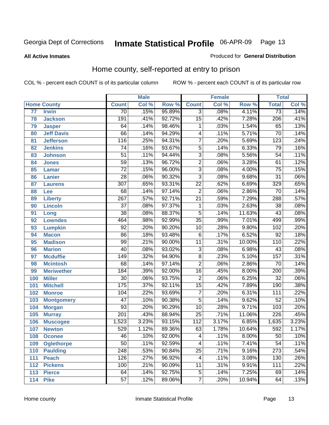#### **All Active Inmates**

#### Produced for **General Distribution**

### Home county, self-reported at entry to prison

|     |                    |                  | <b>Male</b> |           |                  | <b>Female</b> |          | <b>Total</b>     |       |
|-----|--------------------|------------------|-------------|-----------|------------------|---------------|----------|------------------|-------|
|     | <b>Home County</b> | <b>Count</b>     | Col %       | Row %     | <b>Count</b>     | Col %         | Row %    | <b>Total</b>     | Col % |
| 77  | <b>Irwin</b>       | $\overline{70}$  | .15%        | 95.89%    | $\overline{3}$   | .08%          | 4.11%    | $\overline{73}$  | .14%  |
| 78  | <b>Jackson</b>     | 191              | .41%        | 92.72%    | $\overline{15}$  | .42%          | 7.28%    | $\overline{206}$ | .41%  |
| 79  | <b>Jasper</b>      | 64               | .14%        | 98.46%    | $\mathbf 1$      | .03%          | 1.54%    | 65               | .13%  |
| 80  | <b>Jeff Davis</b>  | 66               | .14%        | 94.29%    | 4                | .11%          | 5.71%    | 70               | .14%  |
| 81  | <b>Jefferson</b>   | 116              | .25%        | 94.31%    | $\overline{7}$   | .20%          | 5.69%    | $\overline{123}$ | .24%  |
| 82  | <b>Jenkins</b>     | $\overline{74}$  | .16%        | 93.67%    | $\overline{5}$   | .14%          | 6.33%    | 79               | .16%  |
| 83  | <b>Johnson</b>     | $\overline{51}$  | .11%        | 94.44%    | $\overline{3}$   | .08%          | 5.56%    | $\overline{54}$  | .11%  |
| 84  | <b>Jones</b>       | $\overline{59}$  | .13%        | 96.72%    | $\overline{2}$   | .06%          | 3.28%    | 61               | .12%  |
| 85  | <b>Lamar</b>       | $\overline{72}$  | .15%        | 96.00%    | $\overline{3}$   | .08%          | 4.00%    | $\overline{75}$  | .15%  |
| 86  | <b>Lanier</b>      | $\overline{28}$  | .06%        | 90.32%    | $\overline{3}$   | .08%          | 9.68%    | $\overline{31}$  | .06%  |
| 87  | <b>Laurens</b>     | $\overline{307}$ | .65%        | 93.31%    | $\overline{22}$  | .62%          | 6.69%    | 329              | .65%  |
| 88  | Lee                | 68               | .14%        | 97.14%    | $\overline{2}$   | .06%          | 2.86%    | 70               | .14%  |
| 89  | <b>Liberty</b>     | 267              | .57%        | 92.71%    | $\overline{21}$  | .59%          | 7.29%    | 288              | .57%  |
| 90  | <b>Lincoln</b>     | $\overline{37}$  | .08%        | 97.37%    | $\mathbf 1$      | .03%          | 2.63%    | $\overline{38}$  | .08%  |
| 91  | Long               | $\overline{38}$  | .08%        | 88.37%    | $\overline{5}$   | .14%          | 11.63%   | $\overline{43}$  | .08%  |
| 92  | <b>Lowndes</b>     | 464              | .98%        | 92.99%    | $\overline{35}$  | .99%          | 7.01%    | 499              | .99%  |
| 93  | <b>Lumpkin</b>     | $\overline{92}$  | .20%        | 90.20%    | $\overline{10}$  | .28%          | 9.80%    | 102              | .20%  |
| 94  | <b>Macon</b>       | $\overline{86}$  | .18%        | 93.48%    | $\overline{6}$   | .17%          | 6.52%    | $\overline{92}$  | .18%  |
| 95  | <b>Madison</b>     | 99               | .21%        | 90.00%    | $\overline{11}$  | .31%          | 10.00%   | 110              | .22%  |
| 96  | <b>Marion</b>      | 40               | .08%        | 93.02%    | $\overline{3}$   | .08%          | 6.98%    | $\overline{43}$  | .08%  |
| 97  | <b>Mcduffie</b>    | $\overline{149}$ | .32%        | 94.90%    | $\overline{8}$   | .23%          | 5.10%    | 157              | .31%  |
| 98  | <b>Mcintosh</b>    | 68               | .14%        | 97.14%    | $\overline{2}$   | .06%          | 2.86%    | 70               | .14%  |
| 99  | <b>Meriwether</b>  | 184              | .39%        | 92.00%    | $\overline{16}$  | .45%          | 8.00%    | $\overline{200}$ | .39%  |
| 100 | <b>Miller</b>      | $\overline{30}$  | .06%        | 93.75%    | $\overline{2}$   | .06%          | 6.25%    | $\overline{32}$  | .06%  |
| 101 | <b>Mitchell</b>    | 175              | .37%        | 92.11%    | $\overline{15}$  | .42%          | 7.89%    | 190              | .38%  |
| 102 | <b>Monroe</b>      | 104              | .22%        | 93.69%    | $\overline{7}$   | .20%          | 6.31%    | 111              | .22%  |
| 103 | <b>Montgomery</b>  | $\overline{47}$  | .10%        | 90.38%    | $\overline{5}$   | .14%          | 9.62%    | $\overline{52}$  | .10%  |
| 104 | <b>Morgan</b>      | $\overline{93}$  | .20%        | 90.29%    | $\overline{10}$  | .28%          | 9.71%    | 103              | .20%  |
| 105 | <b>Murray</b>      | $\overline{201}$ | .43%        | 88.94%    | $\overline{25}$  | .71%          | 11.06%   | 226              | .45%  |
| 106 | <b>Muscogee</b>    | 1,523            | 3.23%       | 93.15%    | $\overline{112}$ | 3.17%         | 6.85%    | 1,635            | 3.23% |
| 107 | <b>Newton</b>      | 529              | 1.12%       | 89.36%    | 63               | 1.78%         | 10.64%   | 592              | 1.17% |
| 108 | <b>Oconee</b>      | 46               | .10%        | $92.00\%$ | 4                | .11%          | $8.00\%$ | 50               | .10%  |
| 109 | <b>Oglethorpe</b>  | $\overline{50}$  | .11%        | 92.59%    | 4                | .11%          | 7.41%    | $\overline{54}$  | .11%  |
| 110 | <b>Paulding</b>    | $\overline{248}$ | .53%        | 90.84%    | $\overline{25}$  | .71%          | 9.16%    | 273              | .54%  |
| 111 | <b>Peach</b>       | 126              | .27%        | 96.92%    | 4                | .11%          | 3.08%    | 130              | .26%  |
| 112 | <b>Pickens</b>     | 100              | .21%        | 90.09%    | 11               | .31%          | 9.91%    | 111              | .22%  |
| 113 | <b>Pierce</b>      | 64               | .14%        | 92.75%    | 5                | .14%          | 7.25%    | 69               | .14%  |
| 114 | <b>Pike</b>        | $\overline{57}$  | .12%        | 89.06%    | $\overline{7}$   | .20%          | 10.94%   | 64               | .13%  |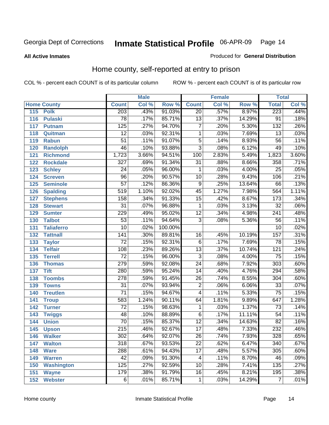**All Active Inmates**

#### Produced for **General Distribution**

### Home county, self-reported at entry to prison

|     |                    |                  | <b>Male</b> |         |                 | <b>Female</b> |        | <b>Total</b>     |                            |
|-----|--------------------|------------------|-------------|---------|-----------------|---------------|--------|------------------|----------------------------|
|     | <b>Home County</b> | <b>Count</b>     | Col %       | Row %   | <b>Count</b>    | Col %         | Row %  | <b>Total</b>     | $\overline{\text{Col }^9}$ |
| 115 | <b>Polk</b>        | 203              | .43%        | 91.03%  | $\overline{20}$ | .57%          | 8.97%  | 223              | .44%                       |
| 116 | <b>Pulaski</b>     | $\overline{78}$  | .17%        | 85.71%  | $\overline{13}$ | .37%          | 14.29% | $\overline{91}$  | .18%                       |
| 117 | <b>Putnam</b>      | 125              | .27%        | 94.70%  | 7               | .20%          | 5.30%  | $\overline{132}$ | .26%                       |
| 118 | Quitman            | $\overline{12}$  | .03%        | 92.31%  | 1               | .03%          | 7.69%  | $\overline{13}$  | .03%                       |
| 119 | <b>Rabun</b>       | $\overline{51}$  | .11%        | 91.07%  | $\overline{5}$  | .14%          | 8.93%  | $\overline{56}$  | .11%                       |
| 120 | <b>Randolph</b>    | 46               | .10%        | 93.88%  | $\overline{3}$  | .08%          | 6.12%  | 49               | .10%                       |
| 121 | <b>Richmond</b>    | 1,723            | 3.66%       | 94.51%  | 100             | 2.83%         | 5.49%  | 1,823            | 3.60%                      |
| 122 | <b>Rockdale</b>    | $\overline{327}$ | .69%        | 91.34%  | $\overline{31}$ | .88%          | 8.66%  | 358              | .71%                       |
| 123 | <b>Schley</b>      | $\overline{24}$  | .05%        | 96.00%  | 1               | .03%          | 4.00%  | $\overline{25}$  | .05%                       |
| 124 | <b>Screven</b>     | $\overline{96}$  | .20%        | 90.57%  | $\overline{10}$ | .28%          | 9.43%  | 106              | .21%                       |
| 125 | <b>Seminole</b>    | $\overline{57}$  | .12%        | 86.36%  | 9               | .25%          | 13.64% | 66               | .13%                       |
| 126 | <b>Spalding</b>    | 519              | 1.10%       | 92.02%  | $\overline{45}$ | 1.27%         | 7.98%  | 564              | 1.11%                      |
| 127 | <b>Stephens</b>    | 158              | .34%        | 91.33%  | $\overline{15}$ | .42%          | 8.67%  | 173              | .34%                       |
| 128 | <b>Stewart</b>     | $\overline{31}$  | .07%        | 96.88%  | 1               | .03%          | 3.13%  | $\overline{32}$  | .06%                       |
| 129 | <b>Sumter</b>      | 229              | .49%        | 95.02%  | $\overline{12}$ | .34%          | 4.98%  | $\overline{241}$ | .48%                       |
| 130 | <b>Talbot</b>      | $\overline{53}$  | .11%        | 94.64%  | $\overline{3}$  | .08%          | 5.36%  | $\overline{56}$  | .11%                       |
| 131 | <b>Taliaferro</b>  | $\overline{10}$  | .02%        | 100.00% |                 |               |        | $\overline{10}$  | .02%                       |
| 132 | <b>Tattnall</b>    | $\overline{141}$ | .30%        | 89.81%  | $\overline{16}$ | .45%          | 10.19% | 157              | .31%                       |
| 133 | <b>Taylor</b>      | $\overline{72}$  | .15%        | 92.31%  | $\overline{6}$  | .17%          | 7.69%  | 78               | .15%                       |
| 134 | <b>Telfair</b>     | 108              | .23%        | 89.26%  | $\overline{13}$ | .37%          | 10.74% | 121              | .24%                       |
| 135 | <b>Terrell</b>     | $\overline{72}$  | .15%        | 96.00%  | $\overline{3}$  | .08%          | 4.00%  | $\overline{75}$  | .15%                       |
| 136 | <b>Thomas</b>      | 279              | .59%        | 92.08%  | $\overline{24}$ | .68%          | 7.92%  | $\overline{303}$ | .60%                       |
| 137 | <b>Tift</b>        | 280              | .59%        | 95.24%  | $\overline{14}$ | .40%          | 4.76%  | 294              | .58%                       |
| 138 | <b>Toombs</b>      | $\overline{278}$ | .59%        | 91.45%  | $\overline{26}$ | .74%          | 8.55%  | 304              | .60%                       |
| 139 | <b>Towns</b>       | $\overline{31}$  | .07%        | 93.94%  | $\overline{2}$  | .06%          | 6.06%  | $\overline{33}$  | .07%                       |
| 140 | <b>Treutlen</b>    | $\overline{71}$  | .15%        | 94.67%  | 4               | .11%          | 5.33%  | $\overline{75}$  | .15%                       |
| 141 | <b>Troup</b>       | 583              | 1.24%       | 90.11%  | 64              | 1.81%         | 9.89%  | 647              | 1.28%                      |
| 142 | <b>Turner</b>      | $\overline{72}$  | .15%        | 98.63%  | 1               | .03%          | 1.37%  | 73               | .14%                       |
| 143 | <b>Twiggs</b>      | 48               | .10%        | 88.89%  | $\overline{6}$  | .17%          | 11.11% | $\overline{54}$  | .11%                       |
| 144 | <b>Union</b>       | $\overline{70}$  | .15%        | 85.37%  | $\overline{12}$ | .34%          | 14.63% | $\overline{82}$  | .16%                       |
| 145 | <b>Upson</b>       | $\overline{215}$ | .46%        | 92.67%  | $\overline{17}$ | .48%          | 7.33%  | 232              | .46%                       |
| 146 | <b>Walker</b>      | 302              | .64%        | 92.07%  | 26              | .74%          | 7.93%  | 328              | .65%                       |
| 147 | <b>Walton</b>      | $\overline{318}$ | .67%        | 93.53%  | $\overline{22}$ | .62%          | 6.47%  | 340              | .67%                       |
| 148 | <b>Ware</b>        | 288              | .61%        | 94.43%  | $\overline{17}$ | .48%          | 5.57%  | 305              | .60%                       |
| 149 | <b>Warren</b>      | $\overline{42}$  | .09%        | 91.30%  | 4               | .11%          | 8.70%  | 46               | .09%                       |
| 150 | <b>Washington</b>  | 125              | .27%        | 92.59%  | $\overline{10}$ | .28%          | 7.41%  | $\overline{135}$ | .27%                       |
| 151 | <b>Wayne</b>       | 179              | .38%        | 91.79%  | $\overline{16}$ | .45%          | 8.21%  | 195              | .38%                       |
| 152 | <b>Webster</b>     | $\overline{6}$   | .01%        | 85.71%  | 1               | .03%          | 14.29% | $\overline{7}$   | .01%                       |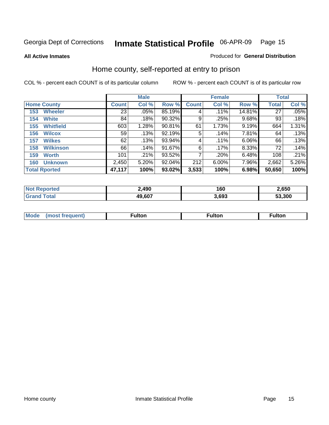**All Active Inmates**

#### Produced for **General Distribution**

### Home county, self-reported at entry to prison

|                      |                  |                 | <b>Male</b> |        |              | <b>Female</b> | <b>Total</b> |              |       |
|----------------------|------------------|-----------------|-------------|--------|--------------|---------------|--------------|--------------|-------|
| <b>Home County</b>   |                  | <b>Count</b>    | Col %       | Row %  | <b>Count</b> | Col %         | Row %        | <b>Total</b> | Col % |
| 153                  | <b>Wheeler</b>   | $\overline{23}$ | .05%        | 85.19% | 4            | .11%          | 14.81%       | 27           | .05%  |
| 154                  | <b>White</b>     | 84              | .18%        | 90.32% | 9            | .25%          | 9.68%        | 93           | .18%  |
| 155                  | <b>Whitfield</b> | 603             | 1.28%       | 90.81% | 61           | 1.73%         | 9.19%        | 664          | 1.31% |
| 156                  | <b>Wilcox</b>    | 59              | .13%        | 92.19% | 5            | .14%          | 7.81%        | 64           | .13%  |
| 157                  | <b>Wilkes</b>    | 62              | .13%        | 93.94% | 4            | $.11\%$       | 6.06%        | 66           | .13%  |
| 158                  | <b>Wilkinson</b> | 66              | .14%        | 91.67% | 6            | $.17\%$       | 8.33%        | 72           | .14%  |
| 159                  | <b>Worth</b>     | 101             | .21%        | 93.52% | 7            | .20%          | 6.48%        | 108          | .21%  |
| 160                  | <b>Unknown</b>   | 2,450           | 5.20%       | 92.04% | 212          | 6.00%         | 7.96%        | 2,662        | 5.26% |
| <b>Total Rported</b> |                  | 47,117          | 100%        | 93.02% | 3,533        | 100%          | 6.98%        | 50,650       | 100%  |

| oorted<br>NO:  | 2,490      | 160  | 2,650  |
|----------------|------------|------|--------|
| ั่วtaเ<br>. Gr | 607ء<br>49 | .693 | 53.300 |

| <b>Mode</b> | مرمية الرار | ™ulton | uiton |
|-------------|-------------|--------|-------|
|             |             |        |       |
|             |             |        |       |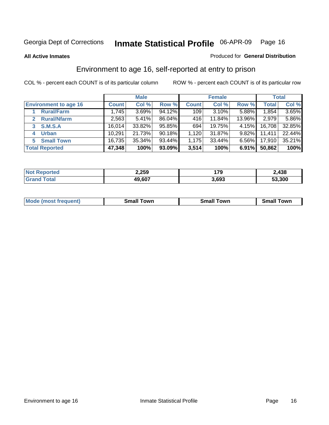#### **All Active Inmates**

#### Produced for **General Distribution**

### Environment to age 16, self-reported at entry to prison

|                              | <b>Male</b>  |        |        | <b>Female</b> |          |          | <b>Total</b> |        |
|------------------------------|--------------|--------|--------|---------------|----------|----------|--------------|--------|
| <b>Environment to age 16</b> | <b>Count</b> | Col %  | Row %  | <b>Count</b>  | Col %    | Row %    | <b>Total</b> | Col %  |
| <b>Rural/Farm</b>            | 1,745        | 3.69%  | 94.12% | 109           | $3.10\%$ | 5.88%    | 1,854        | 3.65%  |
| <b>Rural/Nfarm</b>           | 2,563        | 5.41%  | 86.04% | 416           | 11.84%   | 13.96%   | 2,979        | 5.86%  |
| <b>S.M.S.A</b><br>3          | 16.014       | 33.82% | 95.85% | 694           | 19.75%   | $4.15\%$ | 16,708       | 32.85% |
| <b>Urban</b><br>4            | 10,291       | 21.73% | 90.18% | 1,120         | 31.87%   | 9.82%    | 11,411       | 22.44% |
| <b>Small Town</b><br>5.      | 16,735       | 35.34% | 93.44% | 1,175         | 33.44%   | $6.56\%$ | 17,910       | 35.21% |
| <b>Total Reported</b>        | 47,348       | 100%   | 93.09% | 3,514         | 100%     | 6.91%    | 50,862       | 100%   |

| <b>Not Reported</b> | 2,259  | 170   | 2,438  |
|---------------------|--------|-------|--------|
| <b>Grand Total</b>  | 49,607 | 3,693 | 53,300 |

| <b>Mode</b><br>⊺own<br><b>Small</b><br>(most frequent)<br><b>TOWL</b><br>owr<br>Small<br>.sr<br>וורי |  |  |
|------------------------------------------------------------------------------------------------------|--|--|
|                                                                                                      |  |  |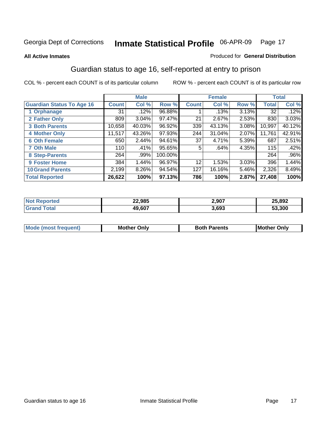#### **All Active Inmates**

#### Produced for **General Distribution**

### Guardian status to age 16, self-reported at entry to prison

|                                  |              | <b>Male</b> |         |                 | <b>Female</b> |       |              | <b>Total</b> |
|----------------------------------|--------------|-------------|---------|-----------------|---------------|-------|--------------|--------------|
| <b>Guardian Status To Age 16</b> | <b>Count</b> | Col %       | Row %   | <b>Count</b>    | Col %         | Row % | <b>Total</b> | Col %        |
| 1 Orphanage                      | 31           | .12%        | 96.88%  |                 | .13%          | 3.13% | 32           | .12%         |
| 2 Father Only                    | 809          | 3.04%       | 97.47%  | 21              | 2.67%         | 2.53% | 830          | 3.03%        |
| <b>3 Both Parents</b>            | 10,658       | 40.03%      | 96.92%  | 339             | 43.13%        | 3.08% | 10,997       | 40.12%       |
| <b>4 Mother Only</b>             | 11,517       | 43.26%      | 97.93%  | 244             | 31.04%        | 2.07% | 11,761       | 42.91%       |
| <b>6 Oth Female</b>              | 650          | 2.44%       | 94.61%  | 37              | 4.71%         | 5.39% | 687          | 2.51%        |
| <b>7 Oth Male</b>                | 110          | .41%        | 95.65%  | 5               | .64%          | 4.35% | 115          | .42%         |
| 8 Step-Parents                   | 264          | .99%        | 100.00% |                 |               |       | 264          | .96%         |
| <b>9 Foster Home</b>             | 384          | 1.44%       | 96.97%  | 12 <sup>°</sup> | 1.53%         | 3.03% | 396          | 1.44%        |
| <b>10 Grand Parents</b>          | 2,199        | 8.26%       | 94.54%  | 127             | 16.16%        | 5.46% | 2,326        | 8.49%        |
| <b>Total Reported</b>            | 26,622       | 100%        | 97.13%  | 786             | 100%          | 2.87% | 27,408       | 100%         |

| <b>N</b> | 22,985 | 2,907 | 25,892 |
|----------|--------|-------|--------|
|          | 19.607 | 3.693 | 53.300 |

| Mode | Onlv<br>Mot | <b>Roth</b><br>Parents | <b>IMot</b><br>Onlv<br>∵hei |
|------|-------------|------------------------|-----------------------------|
|      |             |                        |                             |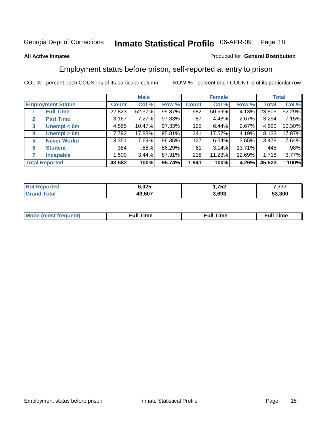#### **All Active Inmates**

#### Produced for **General Distribution**

### Employment status before prison, self-reported at entry to prison

|                       |                          |              | <b>Male</b> |        |              | <b>Female</b> |        |        | <b>Total</b> |
|-----------------------|--------------------------|--------------|-------------|--------|--------------|---------------|--------|--------|--------------|
|                       | <b>Employment Status</b> | <b>Count</b> | Col %       | Row %  | <b>Count</b> | Col %         | Row %  | Total  | Col %        |
|                       | <b>Full Time</b>         | 22,823       | 52.37%      | 95.87% | 982          | 50.59%        | 4.13%  | 23,805 | 52.29%       |
| $\mathbf{2}$          | <b>Part Time</b>         | 3,167        | 7.27%       | 97.33% | 87           | 4.48%         | 2.67%  | 3,254  | 7.15%        |
| 3                     | Unempl $<$ 6m            | 4,565        | 10.47%      | 97.33% | 125          | 6.44%         | 2.67%  | 4,690  | 10.30%       |
| 4                     | Unempl > 6m              | 7,792        | 17.88%      | 95.81% | 341          | 17.57%        | 4.19%  | 8,133  | 17.87%       |
| 5                     | <b>Never Workd</b>       | 3,351        | 7.69%       | 96.35% | 127          | 6.54%         | 3.65%  | 3,478  | 7.64%        |
| 6                     | <b>Student</b>           | 384          | .88%        | 86.29% | 61           | 3.14%         | 13.71% | 445    | .98%         |
| 7                     | <b>Incapable</b>         | 1,500        | 3.44%       | 87.31% | 218          | 11.23%        | 12.69% | 1,718  | 3.77%        |
| <b>Total Reported</b> |                          | 43,582       | 100%        | 95.74% | 1,941        | 100%          | 4.26%  | 45,523 | 100%         |

| neo | ; 025  | フロウ<br>ے ت<br>$\sim$ $\sim$ | ---    |
|-----|--------|-----------------------------|--------|
|     | 49.607 | 3.693                       | 53.300 |

| Mo | 'me<br>uн<br>$\sim$ $\sim$ $\sim$ $\sim$ $\sim$ $\sim$ | ïme<br>uı.<br>the contract of the contract of the contract of the contract of the contract of the contract of the contract of the contract of the contract of the contract of the contract of the contract of the contract of the contract o |
|----|--------------------------------------------------------|----------------------------------------------------------------------------------------------------------------------------------------------------------------------------------------------------------------------------------------------|
|    |                                                        |                                                                                                                                                                                                                                              |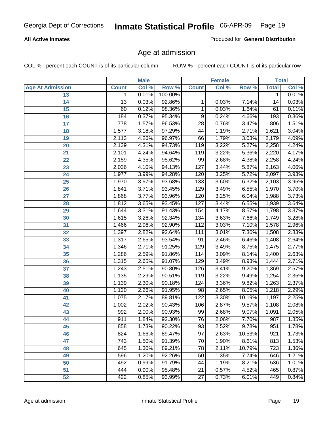#### **All Active Inmates**

Produced for **General Distribution**

### Age at admission

|                         |                  | <b>Male</b> |         |                  | <b>Female</b> |        |              | <b>Total</b> |
|-------------------------|------------------|-------------|---------|------------------|---------------|--------|--------------|--------------|
| <b>Age At Admission</b> | <b>Count</b>     | Col %       | Row %   | <b>Count</b>     | Col %         | Row %  | <b>Total</b> | Col %        |
| 13                      | 1                | 0.01%       | 100.00% |                  |               |        | 1            | 0.01%        |
| 14                      | 13               | 0.03%       | 92.86%  | 1                | 0.03%         | 7.14%  | 14           | 0.03%        |
| $\overline{15}$         | 60               | 0.12%       | 98.36%  | 1                | 0.03%         | 1.64%  | 61           | 0.11%        |
| 16                      | 184              | 0.37%       | 95.34%  | 9                | 0.24%         | 4.66%  | 193          | 0.36%        |
| $\overline{17}$         | $\overline{778}$ | 1.57%       | 96.53%  | $\overline{28}$  | 0.76%         | 3.47%  | 806          | 1.51%        |
| 18                      | 1,577            | 3.18%       | 97.29%  | 44               | 1.19%         | 2.71%  | 1,621        | 3.04%        |
| 19                      | 2,113            | 4.26%       | 96.97%  | 66               | 1.79%         | 3.03%  | 2,179        | 4.09%        |
| 20                      | 2,139            | 4.31%       | 94.73%  | 119              | 3.22%         | 5.27%  | 2,258        | 4.24%        |
| 21                      | 2,101            | 4.24%       | 94.64%  | 119              | 3.22%         | 5.36%  | 2,220        | 4.17%        |
| 22                      | 2,159            | 4.35%       | 95.62%  | 99               | 2.68%         | 4.38%  | 2,258        | 4.24%        |
| 23                      | 2,036            | 4.10%       | 94.13%  | 127              | 3.44%         | 5.87%  | 2,163        | 4.06%        |
| 24                      | 1,977            | 3.99%       | 94.28%  | 120              | 3.25%         | 5.72%  | 2,097        | 3.93%        |
| $\overline{25}$         | 1,970            | 3.97%       | 93.68%  | $\overline{133}$ | 3.60%         | 6.32%  | 2,103        | 3.95%        |
| 26                      | 1,841            | 3.71%       | 93.45%  | 129              | 3.49%         | 6.55%  | 1,970        | 3.70%        |
| 27                      | 1,868            | 3.77%       | 93.96%  | 120              | 3.25%         | 6.04%  | 1,988        | 3.73%        |
| 28                      | 1,812            | 3.65%       | 93.45%  | 127              | 3.44%         | 6.55%  | 1,939        | 3.64%        |
| 29                      | 1,644            | 3.31%       | 91.43%  | 154              | 4.17%         | 8.57%  | 1,798        | 3.37%        |
| 30                      | 1,615            | 3.26%       | 92.34%  | 134              | 3.63%         | 7.66%  | 1,749        | 3.28%        |
| 31                      | 1,466            | 2.96%       | 92.90%  | 112              | 3.03%         | 7.10%  | 1,578        | 2.96%        |
| 32                      | 1,397            | 2.82%       | 92.64%  | 111              | 3.01%         | 7.36%  | 1,508        | 2.83%        |
| 33                      | 1,317            | 2.65%       | 93.54%  | $\overline{91}$  | 2.46%         | 6.46%  | 1,408        | 2.64%        |
| 34                      | 1,346            | 2.71%       | 91.25%  | 129              | 3.49%         | 8.75%  | 1,475        | 2.77%        |
| 35                      | 1,286            | 2.59%       | 91.86%  | 114              | 3.09%         | 8.14%  | 1,400        | 2.63%        |
| 36                      | 1,315            | 2.65%       | 91.07%  | 129              | 3.49%         | 8.93%  | 1,444        | 2.71%        |
| 37                      | 1,243            | 2.51%       | 90.80%  | 126              | 3.41%         | 9.20%  | 1,369        | 2.57%        |
| 38                      | 1,135            | 2.29%       | 90.51%  | 119              | 3.22%         | 9.49%  | 1,254        | 2.35%        |
| 39                      | 1,139            | 2.30%       | 90.18%  | 124              | 3.36%         | 9.82%  | 1,263        | 2.37%        |
| 40                      | 1,120            | 2.26%       | 91.95%  | 98               | 2.65%         | 8.05%  | 1,218        | 2.29%        |
| 41                      | 1,075            | 2.17%       | 89.81%  | $\overline{122}$ | 3.30%         | 10.19% | 1,197        | 2.25%        |
| 42                      | 1,002            | 2.02%       | 90.43%  | 106              | 2.87%         | 9.57%  | 1,108        | 2.08%        |
| 43                      | 992              | 2.00%       | 90.93%  | 99               | 2.68%         | 9.07%  | 1,091        | 2.05%        |
| 44                      | 911              | 1.84%       | 92.30%  | 76               | 2.06%         | 7.70%  | 987          | 1.85%        |
| 45                      | 858              | 1.73%       | 90.22%  | $\overline{93}$  | 2.52%         | 9.78%  | 951          | 1.78%        |
| 46                      | 824              | 1.66%       | 89.47%  | $\overline{97}$  | 2.63%         | 10.53% | 921          | 1.73%        |
| 47                      | 743              | 1.50%       | 91.39%  | 70               | 1.90%         | 8.61%  | 813          | 1.53%        |
| 48                      | 645              | 1.30%       | 89.21%  | 78               | 2.11%         | 10.79% | 723          | 1.36%        |
| 49                      | 596              | 1.20%       | 92.26%  | 50               | 1.35%         | 7.74%  | 646          | 1.21%        |
| 50                      | 492              | 0.99%       | 91.79%  | 44               | 1.19%         | 8.21%  | 536          | 1.01%        |
| 51                      | 444              | 0.90%       | 95.48%  | $\overline{21}$  | 0.57%         | 4.52%  | 465          | 0.87%        |
| 52                      | 422              | 0.85%       | 93.99%  | 27               | 0.73%         | 6.01%  | 449          | 0.84%        |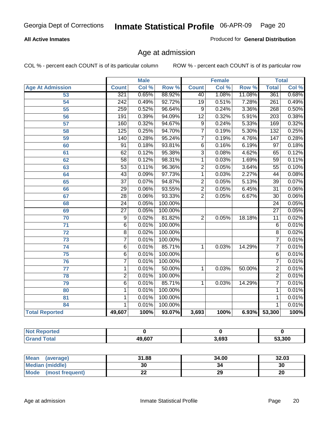#### **All Active Inmates**

Produced for **General Distribution**

### Age at admission

|                         | <b>Male</b>      |       | <b>Female</b> |                 |       | <b>Total</b> |                  |       |
|-------------------------|------------------|-------|---------------|-----------------|-------|--------------|------------------|-------|
| <b>Age At Admission</b> | <b>Count</b>     | Col % | Row %         | <b>Count</b>    | Col % | Row %        | <b>Total</b>     | Col % |
| $\overline{53}$         | 321              | 0.65% | 88.92%        | 40              | 1.08% | 11.08%       | 361              | 0.68% |
| 54                      | $\overline{242}$ | 0.49% | 92.72%        | 19              | 0.51% | 7.28%        | 261              | 0.49% |
| $\overline{55}$         | 259              | 0.52% | 96.64%        | 9               | 0.24% | 3.36%        | 268              | 0.50% |
| $\overline{56}$         | 191              | 0.39% | 94.09%        | $\overline{12}$ | 0.32% | 5.91%        | $\overline{203}$ | 0.38% |
| $\overline{57}$         | 160              | 0.32% | 94.67%        | $\overline{9}$  | 0.24% | 5.33%        | 169              | 0.32% |
| 58                      | 125              | 0.25% | 94.70%        | $\overline{7}$  | 0.19% | 5.30%        | 132              | 0.25% |
| 59                      | 140              | 0.28% | 95.24%        | 7               | 0.19% | 4.76%        | 147              | 0.28% |
| 60                      | $\overline{91}$  | 0.18% | 93.81%        | $\overline{6}$  | 0.16% | 6.19%        | $\overline{97}$  | 0.18% |
| 61                      | 62               | 0.12% | 95.38%        | $\overline{3}$  | 0.08% | 4.62%        | 65               | 0.12% |
| 62                      | $\overline{58}$  | 0.12% | 98.31%        | 1               | 0.03% | 1.69%        | $\overline{59}$  | 0.11% |
| 63                      | $\overline{53}$  | 0.11% | 96.36%        | $\overline{2}$  | 0.05% | 3.64%        | 55               | 0.10% |
| 64                      | $\overline{43}$  | 0.09% | 97.73%        | 1               | 0.03% | 2.27%        | 44               | 0.08% |
| 65                      | $\overline{37}$  | 0.07% | 94.87%        | $\overline{2}$  | 0.05% | 5.13%        | $\overline{39}$  | 0.07% |
| 66                      | 29               | 0.06% | 93.55%        | $\overline{2}$  | 0.05% | 6.45%        | $\overline{31}$  | 0.06% |
| 67                      | 28               | 0.06% | 93.33%        | $\overline{2}$  | 0.05% | 6.67%        | 30               | 0.06% |
| 68                      | $\overline{24}$  | 0.05% | 100.00%       |                 |       |              | $\overline{24}$  | 0.05% |
| 69                      | $\overline{27}$  | 0.05% | 100.00%       |                 |       |              | $\overline{27}$  | 0.05% |
| 70                      | $\overline{9}$   | 0.02% | 81.82%        | $\overline{2}$  | 0.05% | 18.18%       | $\overline{11}$  | 0.02% |
| 71                      | $\overline{6}$   | 0.01% | 100.00%       |                 |       |              | 6                | 0.01% |
| $\overline{72}$         | $\overline{8}$   | 0.02% | 100.00%       |                 |       |              | $\overline{8}$   | 0.02% |
| $\overline{73}$         | $\overline{7}$   | 0.01% | 100.00%       |                 |       |              | 7                | 0.01% |
| 74                      | $\overline{6}$   | 0.01% | 85.71%        | 1               | 0.03% | 14.29%       | 7                | 0.01% |
| $\overline{75}$         | 6                | 0.01% | 100.00%       |                 |       |              | 6                | 0.01% |
| 76                      | $\overline{7}$   | 0.01% | 100.00%       |                 |       |              | 7                | 0.01% |
| 77                      | 1                | 0.01% | 50.00%        | 1               | 0.03% | 50.00%       | $\overline{2}$   | 0.01% |
| 78                      | $\overline{2}$   | 0.01% | 100.00%       |                 |       |              | $\overline{2}$   | 0.01% |
| 79                      | $\overline{6}$   | 0.01% | 85.71%        | 1               | 0.03% | 14.29%       | 7                | 0.01% |
| 80                      | $\mathbf{1}$     | 0.01% | 100.00%       |                 |       |              | 1                | 0.01% |
| 81                      | 1                | 0.01% | 100.00%       |                 |       |              | 1                | 0.01% |
| 84                      | 1                | 0.01% | 100.00%       |                 |       |              | 1                | 0.01% |
| <b>Total Reported</b>   | 49,607           | 100%  | 93.07%        | 3,693           | 100%  |              | 6.93% 53,300     | 100%  |

| <b>Not Reported</b> |        |       |        |
|---------------------|--------|-------|--------|
| <b>Grand Total</b>  | 49,607 | 3.693 | 53,300 |

| <b>Mean</b><br>(average)       | 31.88 | 34.00 | 32.03 |
|--------------------------------|-------|-------|-------|
| <b>Median (middle)</b>         | 30    | 34    | 30    |
| <b>Mode</b><br>(most frequent) | ∸∸    | 29    | 20    |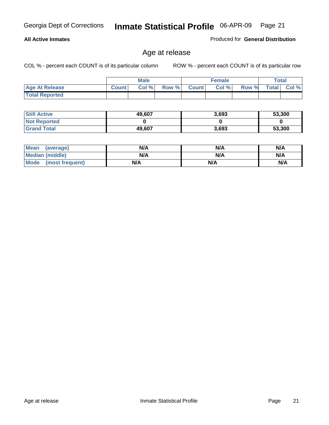#### **All Active Inmates**

Produced for **General Distribution**

### Age at release

|                       | <b>Male</b>  |      |       | <b>Female</b> |       |       | <b>Total</b> |       |
|-----------------------|--------------|------|-------|---------------|-------|-------|--------------|-------|
| <b>Age At Release</b> | <b>Count</b> | Col% | Row % | <b>Count</b>  | Col % | Row % | <b>Total</b> | Col % |
| <b>Total Reported</b> |              |      |       |               |       |       |              |       |

| <b>Still Active</b> | 49,607 | 3,693 | 53,300 |
|---------------------|--------|-------|--------|
| <b>Not Reported</b> |        |       |        |
| <b>Grand Total</b>  | 49,607 | 3,693 | 53,300 |

| Mean (average)       | N/A | N/A | N/A |
|----------------------|-----|-----|-----|
| Median (middle)      | N/A | N/A | N/A |
| Mode (most frequent) | N/A | N/A | N/A |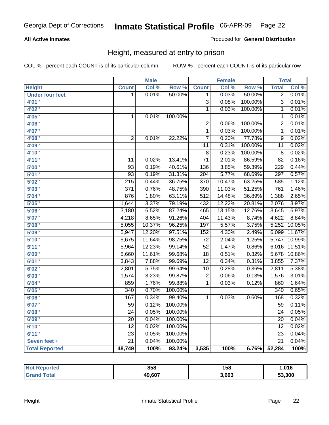#### **All Active Inmates**

#### Produced for **General Distribution**

### Height, measured at entry to prison

|                        |                  | <b>Male</b> |         |                  | <b>Female</b> |         | <b>Total</b>     |        |
|------------------------|------------------|-------------|---------|------------------|---------------|---------|------------------|--------|
| <b>Height</b>          | <b>Count</b>     | Col %       | Row %   | <b>Count</b>     | Col %         | Row %   | <b>Total</b>     | Col %  |
| <b>Under four feet</b> | 1                | 0.01%       | 50.00%  | 1                | 0.03%         | 50.00%  | $\overline{2}$   | 0.01%  |
| 4'01''                 |                  |             |         | $\overline{3}$   | 0.08%         | 100.00% | $\overline{3}$   | 0.01%  |
| 4'02''                 |                  |             |         | $\overline{1}$   | 0.03%         | 100.00% | $\mathbf{1}$     | 0.01%  |
| 4'05"                  | $\mathbf 1$      | 0.01%       | 100.00% |                  |               |         | $\mathbf{1}$     | 0.01%  |
| 4'06"                  |                  |             |         | $\overline{2}$   | 0.06%         | 100.00% | $\overline{2}$   | 0.01%  |
| 4'07"                  |                  |             |         | $\overline{1}$   | 0.03%         | 100.00% | $\overline{1}$   | 0.01%  |
| 4'08"                  | $\overline{2}$   | 0.01%       | 22.22%  | $\overline{7}$   | 0.20%         | 77.78%  | $\overline{9}$   | 0.02%  |
| 4'09"                  |                  |             |         | $\overline{11}$  | 0.31%         | 100.00% | $\overline{11}$  | 0.02%  |
| 4'10"                  |                  |             |         | $\overline{8}$   | 0.23%         | 100.00% | $\overline{8}$   | 0.02%  |
| 4'11''                 | 11               | 0.02%       | 13.41%  | $\overline{71}$  | 2.01%         | 86.59%  | $\overline{82}$  | 0.16%  |
| 5'00''                 | $\overline{93}$  | 0.19%       | 40.61%  | 136              | 3.85%         | 59.39%  | $\overline{229}$ | 0.44%  |
| 5'01''                 | $\overline{93}$  | 0.19%       | 31.31%  | $\overline{204}$ | 5.77%         | 68.69%  | 297              | 0.57%  |
| 5'02''                 | $\overline{215}$ | 0.44%       | 36.75%  | 370              | 10.47%        | 63.25%  | 585              | 1.12%  |
| 5'03''                 | $\overline{371}$ | 0.76%       | 48.75%  | 390              | 11.03%        | 51.25%  | 761              | 1.46%  |
| 5'04"                  | 876              | 1.80%       | 63.11%  | $\overline{512}$ | 14.48%        | 36.89%  | 1,388            | 2.65%  |
| 5'05''                 | 1,644            | 3.37%       | 79.19%  | 432              | 12.22%        | 20.81%  | 2,076            | 3.97%  |
| 5'06''                 | 3,180            | 6.52%       | 87.24%  | 465              | 13.15%        | 12.76%  | 3,645            | 6.97%  |
| 5'07''                 | 4,218            | 8.65%       | 91.26%  | 404              | 11.43%        | 8.74%   | 4,622            | 8.84%  |
| 5'08''                 | 5,055            | 10.37%      | 96.25%  | 197              | 5.57%         | 3.75%   | 5,252            | 10.05% |
| 5'09''                 | 5,947            | 12.20%      | 97.51%  | $\overline{152}$ | 4.30%         | 2.49%   | 6,099            | 11.67% |
| 5'10''                 | 5,675            | 11.64%      | 98.75%  | $\overline{72}$  | 2.04%         | 1.25%   | 5,747            | 10.99% |
| 5'11''                 | 5,964            | 12.23%      | 99.14%  | $\overline{52}$  | 1.47%         | 0.86%   | 6,016            | 11.51% |
| 6'00''                 | 5,660            | 11.61%      | 99.68%  | $\overline{18}$  | 0.51%         | 0.32%   | 5,678            | 10.86% |
| 6'01''                 | 3,843            | 7.88%       | 99.69%  | $\overline{12}$  | 0.34%         | 0.31%   | 3,855            | 7.37%  |
| 6'02''                 | 2,801            | 5.75%       | 99.64%  | $\overline{10}$  | 0.28%         | 0.36%   | 2,811            | 5.38%  |
| 6'03''                 | 1,574            | 3.23%       | 99.87%  | $\overline{2}$   | 0.06%         | 0.13%   | 1,576            | 3.01%  |
| 6'04''                 | 859              | 1.76%       | 99.88%  | $\overline{1}$   | 0.03%         | 0.12%   | 860              | 1.64%  |
| 6'05''                 | $\overline{340}$ | 0.70%       | 100.00% |                  |               |         | 340              | 0.65%  |
| 6'06''                 | 167              | 0.34%       | 99.40%  | $\mathbf{1}$     | 0.03%         | 0.60%   | 168              | 0.32%  |
| 6'07''                 | 59               | 0.12%       | 100.00% |                  |               |         | 59               | 0.11%  |
| 6'08''                 | $\overline{24}$  | 0.05%       | 100.00% |                  |               |         | $\overline{24}$  | 0.05%  |
| 6'09''                 | $\overline{20}$  | 0.04%       | 100.00% |                  |               |         | $\overline{20}$  | 0.04%  |
| 6'10''                 | $\overline{12}$  | 0.02%       | 100.00% |                  |               |         | $\overline{12}$  | 0.02%  |
| 6'11''                 | $\overline{23}$  | 0.05%       | 100.00% |                  |               |         | $\overline{23}$  | 0.04%  |
| Seven feet +           | $\overline{21}$  | 0.04%       | 100.00% |                  |               |         | $\overline{21}$  | 0.04%  |
| <b>Total Reported</b>  | 48,749           | 100%        | 93.24%  | 3,535            | 100%          | 6.76%   | 52,284           | 100%   |

| orted  | 858    | 158   | .016   |
|--------|--------|-------|--------|
| $\sim$ | 49,607 | 3,693 | 53,300 |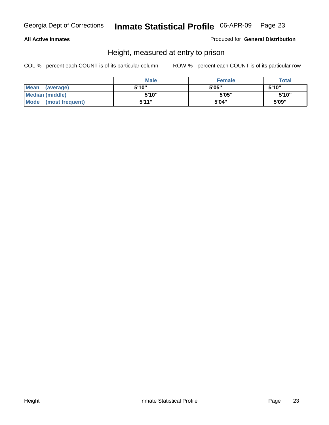#### **All Active Inmates**

Produced for **General Distribution**

### Height, measured at entry to prison

|                        | <b>Male</b> | <b>Female</b> | <b>Total</b> |
|------------------------|-------------|---------------|--------------|
| Mean (average)         | 5'10"       | 5'05"         | 5'10''       |
| <b>Median (middle)</b> | 5'10"       | 5'05"         | 5'10''       |
| Mode (most frequent)   | 5'11"       | 5'04"         | 5'09"        |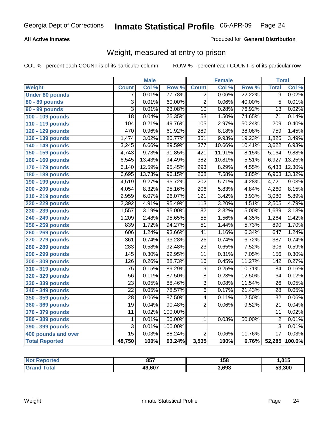#### **All Active Inmates**

#### Produced for **General Distribution**

### Weight, measured at entry to prison

|                        |                  | <b>Male</b> |                  |                  | <b>Female</b> |                  | <b>Total</b>     |        |
|------------------------|------------------|-------------|------------------|------------------|---------------|------------------|------------------|--------|
| Weight                 | <b>Count</b>     | Col %       | Row <sup>%</sup> | <b>Count</b>     | Col %         | Row <sup>%</sup> | <b>Total</b>     | Col %  |
| <b>Under 80 pounds</b> | 7                | 0.01%       | 77.78%           | $\overline{2}$   | 0.06%         | 22.22%           | $\overline{9}$   | 0.02%  |
| 80 - 89 pounds         | $\overline{3}$   | 0.01%       | 60.00%           | $\overline{2}$   | 0.06%         | 40.00%           | $\overline{5}$   | 0.01%  |
| 90 - 99 pounds         | $\overline{3}$   | 0.01%       | 23.08%           | $\overline{10}$  | 0.28%         | 76.92%           | $\overline{13}$  | 0.02%  |
| 100 - 109 pounds       | $\overline{18}$  | 0.04%       | 25.35%           | $\overline{53}$  | 1.50%         | 74.65%           | $\overline{71}$  | 0.14%  |
| 110 - 119 pounds       | 104              | 0.21%       | 49.76%           | 105              | 2.97%         | 50.24%           | $\overline{209}$ | 0.40%  |
| 120 - 129 pounds       | 470              | 0.96%       | 61.92%           | 289              | 8.18%         | 38.08%           | 759              | 1.45%  |
| 130 - 139 pounds       | 1,474            | 3.02%       | 80.77%           | 351              | 9.93%         | 19.23%           | 1,825            | 3.49%  |
| 140 - 149 pounds       | 3,245            | 6.66%       | 89.59%           | $\overline{377}$ | 10.66%        | 10.41%           | 3,622            | 6.93%  |
| 150 - 159 pounds       | 4,743            | 9.73%       | 91.85%           | 421              | 11.91%        | 8.15%            | 5,164            | 9.88%  |
| 160 - 169 pounds       | 6,545            | 13.43%      | 94.49%           | 382              | 10.81%        | 5.51%            | 6,927            | 13.25% |
| 170 - 179 pounds       | 6,140            | 12.59%      | 95.45%           | 293              | 8.29%         | 4.55%            | 6,433            | 12.30% |
| 180 - 189 pounds       | 6,695            | 13.73%      | 96.15%           | 268              | 7.58%         | 3.85%            | 6,963            | 13.32% |
| 190 - 199 pounds       | 4,519            | 9.27%       | 95.72%           | $\overline{202}$ | 5.71%         | 4.28%            | 4,721            | 9.03%  |
| 200 - 209 pounds       | 4,054            | 8.32%       | 95.16%           | $\overline{206}$ | 5.83%         | 4.84%            | 4,260            | 8.15%  |
| 210 - 219 pounds       | 2,959            | 6.07%       | 96.07%           | $\overline{121}$ | 3.42%         | 3.93%            | 3,080            | 5.89%  |
| 220 - 229 pounds       | 2,392            | 4.91%       | 95.49%           | $\overline{113}$ | 3.20%         | 4.51%            | 2,505            | 4.79%  |
| 230 - 239 pounds       | 1,557            | 3.19%       | 95.00%           | $\overline{82}$  | 2.32%         | 5.00%            | 1,639            | 3.13%  |
| 240 - 249 pounds       | 1,209            | 2.48%       | 95.65%           | $\overline{55}$  | 1.56%         | 4.35%            | 1,264            | 2.42%  |
| 250 - 259 pounds       | 839              | 1.72%       | 94.27%           | $\overline{51}$  | 1.44%         | 5.73%            | 890              | 1.70%  |
| 260 - 269 pounds       | 606              | 1.24%       | 93.66%           | $\overline{41}$  | 1.16%         | 6.34%            | 647              | 1.24%  |
| 270 - 279 pounds       | 361              | 0.74%       | 93.28%           | $\overline{26}$  | 0.74%         | 6.72%            | 387              | 0.74%  |
| 280 - 289 pounds       | 283              | 0.58%       | 92.48%           | $\overline{23}$  | 0.65%         | 7.52%            | 306              | 0.59%  |
| 290 - 299 pounds       | 145              | 0.30%       | 92.95%           | $\overline{11}$  | 0.31%         | 7.05%            | 156              | 0.30%  |
| 300 - 309 pounds       | $\overline{126}$ | 0.26%       | 88.73%           | $\overline{16}$  | 0.45%         | 11.27%           | $\overline{142}$ | 0.27%  |
| 310 - 319 pounds       | $\overline{75}$  | 0.15%       | 89.29%           | $\overline{9}$   | 0.25%         | 10.71%           | $\overline{84}$  | 0.16%  |
| 320 - 329 pounds       | $\overline{56}$  | 0.11%       | 87.50%           | $\overline{8}$   | 0.23%         | 12.50%           | 64               | 0.12%  |
| 330 - 339 pounds       | $\overline{23}$  | 0.05%       | 88.46%           | $\overline{3}$   | 0.08%         | 11.54%           | $\overline{26}$  | 0.05%  |
| 340 - 349 pounds       | $\overline{22}$  | 0.05%       | 78.57%           | $\overline{6}$   | 0.17%         | 21.43%           | $\overline{28}$  | 0.05%  |
| 350 - 359 pounds       | $\overline{28}$  | 0.06%       | 87.50%           | $\overline{4}$   | 0.11%         | 12.50%           | $\overline{32}$  | 0.06%  |
| 360 - 369 pounds       | 19               | 0.04%       | 90.48%           | $\overline{2}$   | 0.06%         | 9.52%            | $\overline{21}$  | 0.04%  |
| 370 - 379 pounds       | $\overline{11}$  | 0.02%       | 100.00%          |                  |               |                  | 11               | 0.02%  |
| 380 - 389 pounds       | $\mathbf 1$      | 0.01%       | 50.00%           | 1                | 0.03%         | 50.00%           | $\overline{2}$   | 0.01%  |
| 390 - 399 pounds       | 3                | 0.01%       | 100.00%          |                  |               |                  | $\overline{3}$   | 0.01%  |
| 400 pounds and over    | $\overline{15}$  | 0.03%       | 88.24%           | $\overline{2}$   | 0.06%         | 11.76%           | $\overline{17}$  | 0.03%  |
| <b>Total Reported</b>  | 48,750           | 100%        | 93.24%           | 3,535            | 100%          | 6.76%            | 52,285           | 100.0% |

| N <sub>of</sub><br><b>Reported</b> | 857    | 158   | ,015   |
|------------------------------------|--------|-------|--------|
| `otal                              | 49,607 | 3,693 | 53,300 |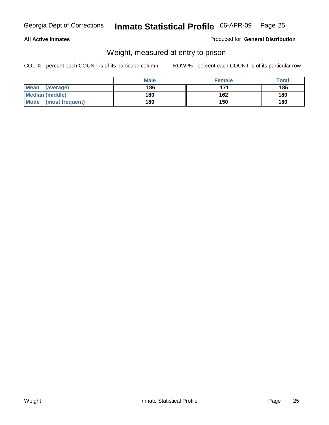#### **All Active Inmates**

#### Produced for **General Distribution**

### Weight, measured at entry to prison

|                          | <b>Male</b> | <b>Female</b> | <b>Total</b> |
|--------------------------|-------------|---------------|--------------|
| <b>Mean</b><br>(average) | 186         | 171           | 185          |
| <b>Median (middle)</b>   | 180         | 162           | 180          |
| Mode<br>(most frequent)  | 180         | 150           | 180          |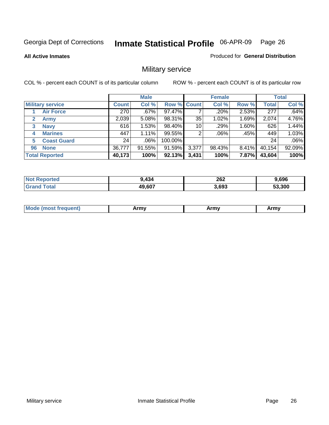#### **All Active Inmates**

#### Produced for **General Distribution**

### Military service

|                         |              | <b>Male</b> |             |       | <b>Female</b> |          |              | <b>Total</b> |
|-------------------------|--------------|-------------|-------------|-------|---------------|----------|--------------|--------------|
| <b>Military service</b> | <b>Count</b> | Col %       | Row % Count |       | Col %         | Row %    | <b>Total</b> | Col %        |
| <b>Air Force</b>        | 270          | .67%        | 97.47%      |       | .20%          | 2.53%    | 277          | .64%         |
| <b>Army</b>             | 2,039        | 5.08%       | 98.31%      | 35    | 1.02%         | 1.69%    | 2,074        | 4.76%        |
| <b>Navy</b><br>3        | 616          | 1.53%       | 98.40%      | 10    | .29%          | 1.60%    | 626          | 1.44%        |
| <b>Marines</b><br>4     | 447          | 1.11%       | 99.55%      | 2     | $.06\%$       | .45%     | 449          | 1.03%        |
| <b>Coast Guard</b><br>5 | 24           | $.06\%$     | 100.00%     |       |               |          | 24           | .06%         |
| <b>None</b><br>96       | 36,777       | 91.55%      | 91.59%      | 3,377 | 98.43%        | $8.41\%$ | 40,154       | 92.09%       |
| <b>Total Reported</b>   | 40,173       | 100%        | 92.13%      | 3,431 | 100%          | 7.87%    | 43,604       | 100%         |

| orted<br>NO.   | .434   | 262<br>____ | 9.696  |
|----------------|--------|-------------|--------|
| ™otar<br>Grand | 49,607 | 3.693       | 53.300 |

| <b>Mou</b><br><b>Army</b><br>ATIIV<br>41U -<br>$\sim$ 1111 $\sigma$ |  |
|---------------------------------------------------------------------|--|
|---------------------------------------------------------------------|--|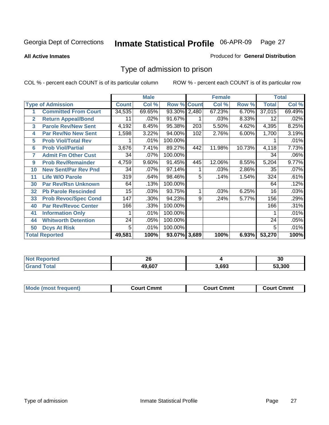#### **All Active Inmates**

#### Produced for **General Distribution**

### Type of admission to prison

|                |                             |              | <b>Male</b> |                    |     | <b>Female</b> |        |              | <b>Total</b> |
|----------------|-----------------------------|--------------|-------------|--------------------|-----|---------------|--------|--------------|--------------|
|                | <b>Type of Admission</b>    | <b>Count</b> | Col %       | <b>Row % Count</b> |     | Col %         | Row %  | <b>Total</b> | Col %        |
|                | <b>Committed From Court</b> | 34,535       | 69.65%      | 93.30% 2,480       |     | 67.23%        | 6.70%  | 37,015       | 69.49%       |
| $\overline{2}$ | <b>Return Appeal/Bond</b>   | 11           | .02%        | 91.67%             |     | .03%          | 8.33%  | 12           | .02%         |
| 3              | <b>Parole Rev/New Sent</b>  | 4,192        | 8.45%       | 95.38%             | 203 | 5.50%         | 4.62%  | 4,395        | 8.25%        |
| 4              | <b>Par Rev/No New Sent</b>  | 1,598        | 3.22%       | 94.00%             | 102 | 2.76%         | 6.00%  | 1,700        | 3.19%        |
| 5              | <b>Prob Viol/Total Rev</b>  |              | .01%        | 100.00%            |     |               |        |              | .01%         |
| 6              | <b>Prob Viol/Partial</b>    | 3,676        | 7.41%       | 89.27%             | 442 | 11.98%        | 10.73% | 4,118        | 7.73%        |
| 7              | <b>Admit Fm Other Cust</b>  | 34           | .07%        | 100.00%            |     |               |        | 34           | .06%         |
| 9              | <b>Prob Rev/Remainder</b>   | 4,759        | 9.60%       | 91.45%             | 445 | 12.06%        | 8.55%  | 5,204        | 9.77%        |
| 10             | <b>New Sent/Par Rev Pnd</b> | 34           | .07%        | 97.14%             |     | .03%          | 2.86%  | 35           | .07%         |
| 11             | <b>Life W/O Parole</b>      | 319          | .64%        | 98.46%             | 5   | .14%          | 1.54%  | 324          | .61%         |
| 30             | <b>Par Rev/Rsn Unknown</b>  | 64           | .13%        | 100.00%            |     |               |        | 64           | .12%         |
| 32             | <b>Pb Parole Rescinded</b>  | 15           | .03%        | 93.75%             | 1   | .03%          | 6.25%  | 16           | .03%         |
| 33             | <b>Prob Revoc/Spec Cond</b> | 147          | .30%        | 94.23%             | 9   | .24%          | 5.77%  | 156          | .29%         |
| 40             | <b>Par Rev/Revoc Center</b> | 166          | .33%        | 100.00%            |     |               |        | 166          | .31%         |
| 41             | <b>Information Only</b>     |              | .01%        | 100.00%            |     |               |        |              | .01%         |
| 44             | <b>Whitworth Detention</b>  | 24           | .05%        | 100.00%            |     |               |        | 24           | .05%         |
| 50             | <b>Dcys At Risk</b>         | 5            | .01%        | 100.00%            |     |               |        | 5            | .01%         |
|                | <b>Total Reported</b>       | 49,581       | 100%        | 93.07% 3,689       |     | 100%          | 6.93%  | 53,270       | 100%         |

| <b>Not</b><br>oorted<br>NGI | 00<br>∠∪ |       | ^^<br>ึงบ |
|-----------------------------|----------|-------|-----------|
| <b>Total</b>                | 49,607   | 3.693 | 53.300    |

| <b>Mode (most frequent)</b><br><b>Court Cmmt</b><br>Court Cmmt | <b>Court Cmmt</b> |
|----------------------------------------------------------------|-------------------|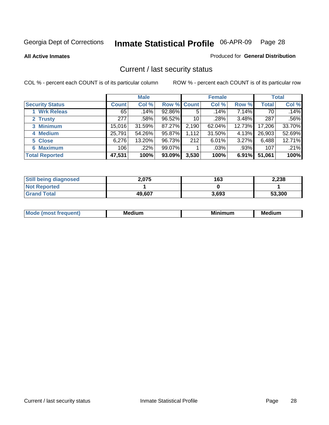**All Active Inmates**

#### Produced for **General Distribution**

### Current / last security status

|                        |         | <b>Male</b> |             |       | <b>Female</b> |        |              | <b>Total</b> |
|------------------------|---------|-------------|-------------|-------|---------------|--------|--------------|--------------|
| <b>Security Status</b> | Count l | Col %       | Row % Count |       | Col %         | Row %  | <b>Total</b> | Col %        |
| 1 Wrk Releas           | 65      | .14%        | 92.86%      | 5     | .14%          | 7.14%  | 70           | .14%         |
| 2 Trusty               | 277     | .58%        | 96.52%      | 10    | .28%          | 3.48%  | 287          | .56%         |
| 3 Minimum              | 15,016  | 31.59%      | 87.27%      | 2,190 | 62.04%        | 12.73% | 17,206       | 33.70%       |
| 4 Medium               | 25,791  | 54.26%      | 95.87%      | 1,112 | 31.50%        | 4.13%  | 26,903       | 52.69%       |
| 5 Close                | 6,276   | 13.20%      | 96.73%      | 212   | 6.01%         | 3.27%  | 6,488        | 12.71%       |
| 6 Maximum              | 106     | $.22\%$     | 99.07%      |       | .03%          | .93%   | 107          | .21%         |
| <b>Total Reported</b>  | 47,531  | 100%        | 93.09%      | 3,530 | 100%          | 6.91%  | 51,061       | 100%         |

| <b>Still being diagnosed</b> | 2,075  | 163   | 2,238  |
|------------------------------|--------|-------|--------|
| <b>Not Reported</b>          |        |       |        |
| <b>Grand Total</b>           | 49.607 | 3,693 | 53,300 |

| M.<br>.<br>--<br>M.<br><b>ALL 1999</b><br>----<br>w. |  |  |
|------------------------------------------------------|--|--|
|                                                      |  |  |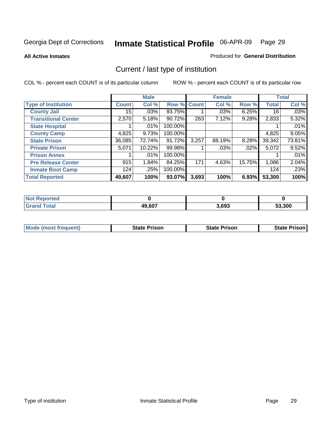**All Active Inmates**

#### Produced for **General Distribution**

### Current / last type of institution

|                            |              | <b>Male</b> |         |              | <b>Female</b> |        |              | <b>Total</b> |
|----------------------------|--------------|-------------|---------|--------------|---------------|--------|--------------|--------------|
| <b>Type of Institution</b> | <b>Count</b> | Col %       | Row %   | <b>Count</b> | Col %         | Row %  | <b>Total</b> | Col %        |
| <b>County Jail</b>         | 15           | .03%        | 93.75%  |              | .03%          | 6.25%  | 16           | .03%         |
| <b>Transitional Center</b> | 2,570        | 5.18%       | 90.72%  | 263          | 7.12%         | 9.28%  | 2,833        | 5.32%        |
| <b>State Hospital</b>      |              | .01%        | 100.00% |              |               |        |              | .01%         |
| <b>County Camp</b>         | 4,825        | 9.73%       | 100.00% |              |               |        | 4,825        | 9.05%        |
| <b>State Prison</b>        | 36,085       | 72.74%      | 91.72%  | 3,257        | 88.19%        | 8.28%  | 39,342       | 73.81%       |
| <b>Private Prison</b>      | 5,071        | 10.22%      | 99.98%  |              | $.03\%$       | .02%   | 5,072        | 9.52%        |
| <b>Prison Annex</b>        |              | .01%        | 100.00% |              |               |        |              | .01%         |
| <b>Pre Release Center</b>  | 915          | 1.84%       | 84.25%  | 171          | 4.63%         | 15.75% | 1,086        | 2.04%        |
| <b>Inmate Boot Camp</b>    | 124          | .25%        | 100.00% |              |               |        | 124          | .23%         |
| <b>Total Reported</b>      | 49,607       | 100%        | 93.07%  | 3,693        | 100%          | 6.93%  | 53,300       | 100%         |

| <b>Not</b><br><b>Reported</b> |        |       |        |
|-------------------------------|--------|-------|--------|
| <b>Grand Total</b>            | 49,607 | 3,693 | 53,300 |

| <b>Mode (most frequent)</b> | <b>State Prison</b> | <b>State Prison</b> | <b>State Prison I</b> |
|-----------------------------|---------------------|---------------------|-----------------------|
|                             |                     |                     |                       |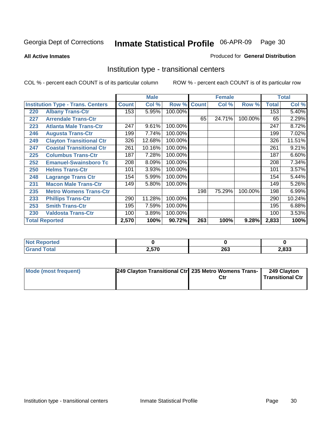**All Active Inmates**

#### Produced for **General Distribution**

### Institution type - transitional centers

|     |                                          |              | <b>Male</b> |         |              | <b>Female</b> |         |              | <b>Total</b> |
|-----|------------------------------------------|--------------|-------------|---------|--------------|---------------|---------|--------------|--------------|
|     | <b>Institution Type - Trans. Centers</b> | <b>Count</b> | Col %       | Row %   | <b>Count</b> | Col %         | Row %   | <b>Total</b> | Col %        |
| 220 | <b>Albany Trans-Ctr</b>                  | 153          | 5.95%       | 100.00% |              |               |         | 153          | 5.40%        |
| 227 | <b>Arrendale Trans-Ctr</b>               |              |             |         | 65           | 24.71%        | 100.00% | 65           | 2.29%        |
| 223 | <b>Atlanta Male Trans-Ctr</b>            | 247          | 9.61%       | 100.00% |              |               |         | 247          | 8.72%        |
| 246 | <b>Augusta Trans-Ctr</b>                 | 199          | 7.74%       | 100.00% |              |               |         | 199          | 7.02%        |
| 249 | <b>Clayton Transitional Ctr</b>          | 326          | 12.68%      | 100.00% |              |               |         | 326          | 11.51%       |
| 247 | <b>Coastal Transitional Ctr</b>          | 261          | 10.16%      | 100.00% |              |               |         | 261          | 9.21%        |
| 225 | <b>Columbus Trans-Ctr</b>                | 187          | 7.28%       | 100.00% |              |               |         | 187          | 6.60%        |
| 252 | <b>Emanuel-Swainsboro Tc</b>             | 208          | 8.09%       | 100.00% |              |               |         | 208          | 7.34%        |
| 250 | <b>Helms Trans-Ctr</b>                   | 101          | 3.93%       | 100.00% |              |               |         | 101          | 3.57%        |
| 248 | <b>Lagrange Trans Ctr</b>                | 154          | 5.99%       | 100.00% |              |               |         | 154          | 5.44%        |
| 231 | <b>Macon Male Trans-Ctr</b>              | 149          | 5.80%       | 100.00% |              |               |         | 149          | 5.26%        |
| 235 | <b>Metro Womens Trans-Ctr</b>            |              |             |         | 198          | 75.29%        | 100.00% | 198          | 6.99%        |
| 233 | <b>Phillips Trans-Ctr</b>                | 290          | 11.28%      | 100.00% |              |               |         | 290          | 10.24%       |
| 253 | <b>Smith Trans-Ctr</b>                   | 195          | 7.59%       | 100.00% |              |               |         | 195          | 6.88%        |
| 230 | <b>Valdosta Trans-Ctr</b>                | 100          | 3.89%       | 100.00% |              |               |         | 100          | 3.53%        |
|     | <b>Total Reported</b>                    | 2,570        | 100%        | 90.72%  | 263          | 100%          | 9.28%   | 2,833        | 100%         |

| 'ted        |       |            |      |
|-------------|-------|------------|------|
| <b>otal</b> | 2,570 | nes<br>ZOJ | .833 |

| Mode (most frequent) | 249 Clayton Transitional Ctr 235 Metro Womens Trans- | Ctr | 249 Clayton<br><b>Transitional Ctr</b> |
|----------------------|------------------------------------------------------|-----|----------------------------------------|
|                      |                                                      |     |                                        |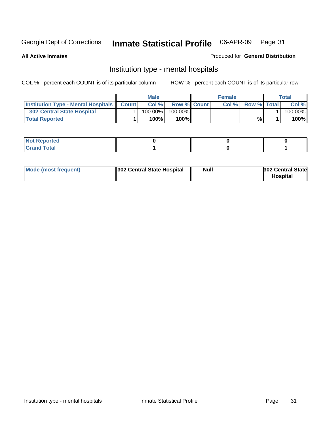**All Active Inmates**

#### Produced for **General Distribution**

### Institution type - mental hospitals

|                                                  | <b>Male</b> |                    | <b>Female</b> |                    | Total   |
|--------------------------------------------------|-------------|--------------------|---------------|--------------------|---------|
| <b>Institution Type - Mental Hospitals Count</b> | Col%        | <b>Row % Count</b> | Col%          | <b>Row % Total</b> | Col %   |
| <b>302 Central State Hospital</b>                | $100.00\%$  | 100.00%            |               |                    | 100.00% |
| <b>Total Reported</b>                            | 100%        | 100%               |               | %                  | 100%    |

| Not Reported |  |  |
|--------------|--|--|
| <b>otal</b>  |  |  |

| Mode (most frequent) | 302 Central State Hospital | <b>Null</b> | <b>302 Central State</b><br><b>Hospital</b> |
|----------------------|----------------------------|-------------|---------------------------------------------|
|                      |                            |             |                                             |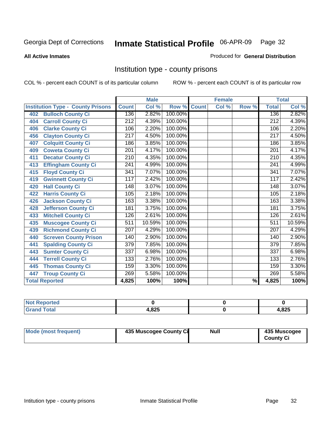#### **All Active Inmates**

#### Produced for **General Distribution**

### Institution type - county prisons

|                                          |                  | <b>Male</b> |         |              | <b>Female</b> |                          |                  | <b>Total</b> |
|------------------------------------------|------------------|-------------|---------|--------------|---------------|--------------------------|------------------|--------------|
| <b>Institution Type - County Prisons</b> | <b>Count</b>     | Col %       | Row %   | <b>Count</b> | Col %         | Row %                    | <b>Total</b>     | Col %        |
| <b>Bulloch County Ci</b><br>402          | 136              | 2.82%       | 100.00% |              |               |                          | 136              | 2.82%        |
| <b>Carroll County Ci</b><br>404          | 212              | 4.39%       | 100.00% |              |               |                          | $\overline{212}$ | 4.39%        |
| <b>Clarke County Ci</b><br>406           | 106              | 2.20%       | 100.00% |              |               |                          | 106              | 2.20%        |
| <b>Clayton County Ci</b><br>456          | 217              | 4.50%       | 100.00% |              |               |                          | 217              | 4.50%        |
| <b>Colquitt County Ci</b><br>407         | 186              | 3.85%       | 100.00% |              |               |                          | 186              | 3.85%        |
| <b>Coweta County Ci</b><br>409           | 201              | 4.17%       | 100.00% |              |               |                          | 201              | 4.17%        |
| <b>Decatur County Ci</b><br>411          | 210              | 4.35%       | 100.00% |              |               |                          | $\overline{210}$ | 4.35%        |
| <b>Effingham County Ci</b><br>413        | $\overline{241}$ | 4.99%       | 100.00% |              |               |                          | $\overline{241}$ | 4.99%        |
| <b>Floyd County Ci</b><br>415            | $\overline{341}$ | 7.07%       | 100.00% |              |               |                          | 341              | 7.07%        |
| <b>Gwinnett County Ci</b><br>419         | 117              | 2.42%       | 100.00% |              |               |                          | 117              | 2.42%        |
| <b>Hall County Ci</b><br>420             | $\overline{148}$ | 3.07%       | 100.00% |              |               |                          | 148              | 3.07%        |
| <b>Harris County Ci</b><br>422           | 105              | 2.18%       | 100.00% |              |               |                          | 105              | 2.18%        |
| <b>Jackson County Ci</b><br>426          | 163              | 3.38%       | 100.00% |              |               |                          | 163              | 3.38%        |
| <b>Jefferson County Ci</b><br>428        | 181              | 3.75%       | 100.00% |              |               |                          | 181              | 3.75%        |
| <b>Mitchell County Ci</b><br>433         | 126              | 2.61%       | 100.00% |              |               |                          | 126              | 2.61%        |
| <b>Muscogee County Ci</b><br>435         | 511              | 10.59%      | 100.00% |              |               |                          | 511              | 10.59%       |
| <b>Richmond County Ci</b><br>439         | $\overline{207}$ | 4.29%       | 100.00% |              |               |                          | 207              | 4.29%        |
| <b>Screven County Prison</b><br>440      | 140              | 2.90%       | 100.00% |              |               |                          | 140              | 2.90%        |
| <b>Spalding County Ci</b><br>441         | $\overline{379}$ | 7.85%       | 100.00% |              |               |                          | $\overline{379}$ | 7.85%        |
| <b>Sumter County Ci</b><br>443           | 337              | 6.98%       | 100.00% |              |               |                          | 337              | 6.98%        |
| <b>Terrell County Ci</b><br>444          | 133              | 2.76%       | 100.00% |              |               |                          | 133              | 2.76%        |
| <b>Thomas County Ci</b><br>445           | 159              | 3.30%       | 100.00% |              |               |                          | 159              | 3.30%        |
| <b>Troup County Ci</b><br>447            | 269              | 5.58%       | 100.00% |              |               |                          | 269              | 5.58%        |
| <b>Total Reported</b>                    | 4,825            | 100%        | 100%    |              |               | $\overline{\frac{9}{6}}$ | 4,825            | 100%         |

| <b>Not Reported</b>    |      |       |
|------------------------|------|-------|
| <b>Total</b><br>'Grand | .825 | 1.825 |

| Mode (most frequent)<br>435 Muscogee County Ci | Null | 435 Muscogee<br><b>County Ci</b> |
|------------------------------------------------|------|----------------------------------|
|------------------------------------------------|------|----------------------------------|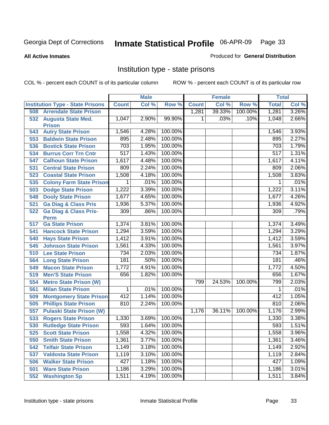#### **All Active Inmates**

#### Produced for **General Distribution**

### Institution type - state prisons

|     |                                            |                  | <b>Male</b> |         |              | <b>Female</b> |         | <b>Total</b> |       |
|-----|--------------------------------------------|------------------|-------------|---------|--------------|---------------|---------|--------------|-------|
|     | <b>Institution Type - State Prisons</b>    | <b>Count</b>     | Col %       | Row %   | <b>Count</b> | Col %         | Row %   | <b>Total</b> | Col % |
| 508 | <b>Arrendale State Prison</b>              |                  |             |         | 1,281        | 39.33%        | 100.00% | 1,281        | 3.26% |
| 532 | <b>Augusta State Med.</b><br><b>Prison</b> | 1,047            | 2.90%       | 99.90%  | 1            | .03%          | .10%    | 1,048        | 2.66% |
| 543 | <b>Autry State Prison</b>                  | 1,546            | 4.28%       | 100.00% |              |               |         | 1,546        | 3.93% |
| 553 | <b>Baldwin State Prison</b>                | 895              | 2.48%       | 100.00% |              |               |         | 895          | 2.27% |
| 536 | <b>Bostick State Prison</b>                | 703              | 1.95%       | 100.00% |              |               |         | 703          | 1.79% |
| 534 | <b>Burrus Corr Trn Cntr</b>                | $\overline{517}$ | 1.43%       | 100.00% |              |               |         | 517          | 1.31% |
| 547 | <b>Calhoun State Prison</b>                | 1,617            | 4.48%       | 100.00% |              |               |         | 1,617        | 4.11% |
| 531 | <b>Central State Prison</b>                | 809              | 2.24%       | 100.00% |              |               |         | 809          | 2.06% |
| 523 | <b>Coastal State Prison</b>                | 1,508            | 4.18%       | 100.00% |              |               |         | 1,508        | 3.83% |
| 535 | <b>Colony Farm State Prison</b>            | 1                | .01%        | 100.00% |              |               |         | 1            | .01%  |
| 503 | <b>Dodge State Prison</b>                  | 1,222            | 3.39%       | 100.00% |              |               |         | 1,222        | 3.11% |
| 548 | <b>Dooly State Prison</b>                  | 1,677            | 4.65%       | 100.00% |              |               |         | 1,677        | 4.26% |
| 521 | <b>Ga Diag &amp; Class Pris</b>            | 1,936            | 5.37%       | 100.00% |              |               |         | 1,936        | 4.92% |
| 522 | <b>Ga Diag &amp; Class Pris-</b>           | 309              | .86%        | 100.00% |              |               |         | 309          | .79%  |
|     | <b>Perm</b>                                |                  |             |         |              |               |         |              |       |
| 517 | <b>Ga State Prison</b>                     | 1,374            | 3.81%       | 100.00% |              |               |         | 1,374        | 3.49% |
| 541 | <b>Hancock State Prison</b>                | 1,294            | 3.59%       | 100.00% |              |               |         | 1,294        | 3.29% |
| 540 | <b>Hays State Prison</b>                   | 1,412            | 3.91%       | 100.00% |              |               |         | 1,412        | 3.59% |
| 545 | <b>Johnson State Prison</b>                | 1,561            | 4.33%       | 100.00% |              |               |         | 1,561        | 3.97% |
| 510 | <b>Lee State Prison</b>                    | 734              | 2.03%       | 100.00% |              |               |         | 734          | 1.87% |
| 564 | <b>Long State Prison</b>                   | 181              | .50%        | 100.00% |              |               |         | 181          | .46%  |
| 549 | <b>Macon State Prison</b>                  | 1,772            | 4.91%       | 100.00% |              |               |         | 1,772        | 4.50% |
| 519 | <b>Men'S State Prison</b>                  | 656              | 1.82%       | 100.00% |              |               |         | 656          | 1.67% |
| 554 | <b>Metro State Prison (W)</b>              |                  |             |         | 799          | 24.53%        | 100.00% | 799          | 2.03% |
| 561 | <b>Milan State Prison</b>                  | 1                | .01%        | 100.00% |              |               |         | 1            | .01%  |
| 509 | <b>Montgomery State Prison</b>             | 412              | 1.14%       | 100.00% |              |               |         | 412          | 1.05% |
| 505 | <b>Phillips State Prison</b>               | 810              | 2.24%       | 100.00% |              |               |         | 810          | 2.06% |
| 557 | <b>Pulaski State Prison (W)</b>            |                  |             |         | 1,176        | 36.11%        | 100.00% | 1,176        | 2.99% |
| 533 | <b>Rogers State Prison</b>                 | 1,330            | 3.69%       | 100.00% |              |               |         | 1,330        | 3.38% |
| 530 | <b>Rutledge State Prison</b>               | 593              | 1.64%       | 100.00% |              |               |         | 593          | 1.51% |
| 525 | <b>Scott State Prison</b>                  | 1,558            | 4.32%       | 100.00% |              |               |         | 1,558        | 3.96% |
| 550 | <b>Smith State Prison</b>                  | 1,361            | 3.77%       | 100.00% |              |               |         | 1,361        | 3.46% |
| 542 | <b>Telfair State Prison</b>                | 1,149            | 3.18%       | 100.00% |              |               |         | 1,149        | 2.92% |
| 537 | <b>Valdosta State Prison</b>               | 1,119            | 3.10%       | 100.00% |              |               |         | 1,119        | 2.84% |
| 506 | <b>Walker State Prison</b>                 | 427              | 1.18%       | 100.00% |              |               |         | 427          | 1.09% |
| 501 | <b>Ware State Prison</b>                   | 1,186            | 3.29%       | 100.00% |              |               |         | 1,186        | 3.01% |
| 552 | <b>Washington Sp</b>                       | 1,511            | 4.19%       | 100.00% |              |               |         | 1,511        | 3.84% |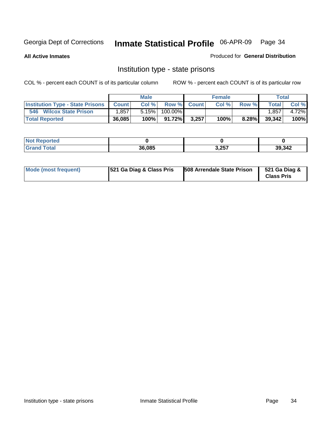**All Active Inmates**

Produced for **General Distribution**

### Institution type - state prisons

|                                         |              | <b>Male</b> |         |             | <b>Female</b> |          |        | <b>Total</b> |
|-----------------------------------------|--------------|-------------|---------|-------------|---------------|----------|--------|--------------|
| <b>Institution Type - State Prisons</b> | <b>Count</b> | Col %       |         | Row % Count | Col %         | Row %    | Total  | Col %        |
| 546<br><b>Wilcox State Prison</b>       | .857         | 5.15%       | 100.00% |             |               |          | .857   | 4.72%        |
| <b>Total Reported</b>                   | 36,085       | 100%        | 91.72%  | 3,257       | 100%          | $8.28\%$ | 39,342 | 100%         |

| rtea<br>$\sim$ |        |       |        |
|----------------|--------|-------|--------|
|                | 36,085 | 3,257 | 39,342 |

| Mode (most frequent) | 521 Ga Diag & Class Pris | 508 Arrendale State Prison | 521 Ga Diag &<br><b>Class Pris</b> |
|----------------------|--------------------------|----------------------------|------------------------------------|
|----------------------|--------------------------|----------------------------|------------------------------------|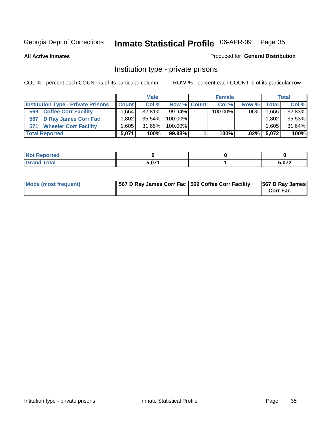**All Active Inmates**

#### Produced for **General Distribution**

### Institution type - private prisons

|                                           | <b>Male</b>       |           | <b>Female</b> |  |            | <b>Total</b> |              |        |
|-------------------------------------------|-------------------|-----------|---------------|--|------------|--------------|--------------|--------|
| <b>Institution Type - Private Prisons</b> | <b>Count</b>      | Col %     | Row % Count   |  | Col %      | Row %        | <b>Total</b> | Col %  |
| <b>Coffee Corr Facility</b><br>569        | .6641             | $32.81\%$ | $99.94\%$     |  | $100.00\%$ | $.06\%$      | 1,665        | 32.83% |
| <b>D Ray James Corr Fac</b><br>567        | .802 <sup>1</sup> | 35.54%    | $100.00\%$    |  |            |              | 1,802        | 35.53% |
| <b>Wheeler Corr Facility</b><br>571       | .605              | 31.65%    | $100.00\%$    |  |            |              | 1,605        | 31.64% |
| <b>Total Reported</b>                     | 5.071             | 100%      | 99.98%        |  | 100%       | $.02\%$      | 5,072        | 100%   |

| rted<br>NOT              |              |            |
|--------------------------|--------------|------------|
| <b>Total</b><br>$\sim$ . | <b>E 074</b> | <u>ሰ7ጋ</u> |

| Mode (most frequent) | 567 D Ray James Corr Fac 569 Coffee Corr Facility |  | 567 D Ray James<br><b>Corr Fac</b> |
|----------------------|---------------------------------------------------|--|------------------------------------|
|----------------------|---------------------------------------------------|--|------------------------------------|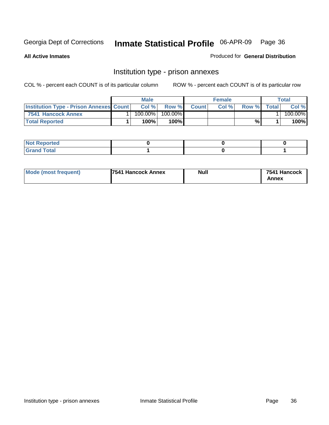**All Active Inmates**

Produced for **General Distribution**

### Institution type - prison annexes

|                                                | <b>Male</b> |            |         | <b>Female</b> |       |       | Total        |         |
|------------------------------------------------|-------------|------------|---------|---------------|-------|-------|--------------|---------|
| <b>Institution Type - Prison Annexes Count</b> |             | Col %      | Row %   | <b>Count</b>  | Col % | Row % | <b>Total</b> | Col %   |
| 7541 Hancock Annex                             |             | $100.00\%$ | 100.00% |               |       |       |              | 100.00% |
| <b>Total Reported</b>                          |             | 100%       | 100%    |               |       | %     |              | 100%    |

| <b>Not Reported</b> |  |  |
|---------------------|--|--|
| <b>Grand Total</b>  |  |  |

| <b>Mode (most frequent)</b> | <b>7541 Hancock Annex</b> | <b>Null</b> | 7541 Hancock |
|-----------------------------|---------------------------|-------------|--------------|
|                             |                           |             | Annex        |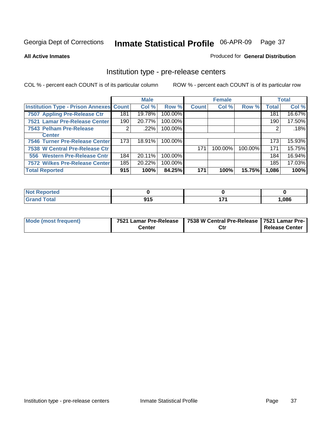#### **All Active Inmates**

#### Produced for **General Distribution**

## Institution type - pre-release centers

|                                                |     | <b>Male</b> |         |              | <b>Female</b> |         |              | <b>Total</b> |
|------------------------------------------------|-----|-------------|---------|--------------|---------------|---------|--------------|--------------|
| <b>Institution Type - Prison Annexes Count</b> |     | Col %       | Row %   | <b>Count</b> | Col %         | Row %   | <b>Total</b> | Col %        |
| 7507 Appling Pre-Release Ctr                   | 181 | 19.78%      | 100.00% |              |               |         | 181          | 16.67%       |
| 7521 Lamar Pre-Release Center                  | 190 | 20.77%      | 100.00% |              |               |         | 190          | 17.50%       |
| 7543 Pelham Pre-Release                        | 2   | $.22\%$     | 100.00% |              |               |         | 2            | .18%         |
| <b>Center</b>                                  |     |             |         |              |               |         |              |              |
| 7546 Turner Pre-Release Center                 | 173 | 18.91%      | 100.00% |              |               |         | 173          | 15.93%       |
| 7538 W Central Pre-Release Ctr                 |     |             |         | 171          | 100.00%       | 100.00% | 171          | 15.75%       |
| 556 Western Pre-Release Cntr                   | 184 | 20.11%      | 100.00% |              |               |         | 184          | 16.94%       |
| <b>7572 Wilkes Pre-Release Center</b>          | 185 | 20.22%      | 100.00% |              |               |         | 185          | 17.03%       |
| <b>Total Reported</b>                          | 915 | 100%        | 84.25%  | 171          | 100%          | 15.75%  | 1,086        | 100%         |

| Reported               |     |              |       |
|------------------------|-----|--------------|-------|
| <b>Total</b><br>'Grano | 915 | $\mathbf{z}$ | 1,086 |

| Mode (most frequent) | 7521 Lamar Pre-Release | 7538 W Central Pre-Release   7521 Lamar Pre- |                |
|----------------------|------------------------|----------------------------------------------|----------------|
|                      | Center                 | Ctı                                          | Release Center |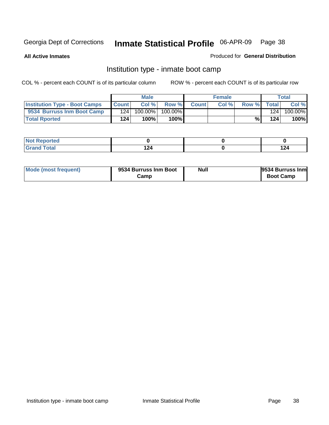**All Active Inmates**

## Produced for **General Distribution**

## Institution type - inmate boot camp

|                                      |              | <b>Male</b> |         |              | <b>Female</b> |       |       | Total   |
|--------------------------------------|--------------|-------------|---------|--------------|---------------|-------|-------|---------|
| <b>Institution Type - Boot Camps</b> | <b>Count</b> | Col %       | Row %   | <b>Count</b> | Col %         | Row % | Total | Col %   |
| 9534 Burruss Inm Boot Camp           | 124          | 100.00%     | 100.00% |              |               |       | 124   | 100.00% |
| <b>Total Rported</b>                 | 124          | 100%        | 100%    |              |               | %     | 124   | 100%    |

| <b>rted</b><br>$\sim$ |          |       |
|-----------------------|----------|-------|
| $\sim$<br>$\sim$      | `າ.<br>. | 1 つ パ |

| Mode (most frequent) | 9534 Burruss Inm Boot | <b>Null</b> | 9534 Burruss Inm |
|----------------------|-----------------------|-------------|------------------|
|                      | Camp                  |             | <b>Boot Camp</b> |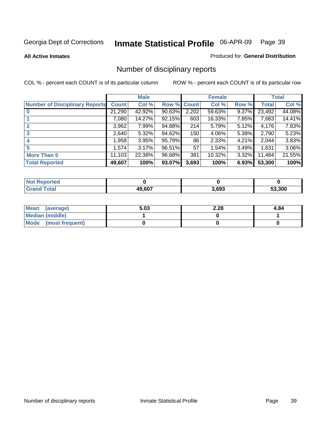#### **All Active Inmates**

#### Produced for **General Distribution**

# Number of disciplinary reports

|                                       |              | <b>Male</b> |        |              | <b>Female</b> |          |              | <b>Total</b> |
|---------------------------------------|--------------|-------------|--------|--------------|---------------|----------|--------------|--------------|
| <b>Number of Disciplinary Reports</b> | <b>Count</b> | Col %       | Row %  | <b>Count</b> | Col %         | Row %    | <b>Total</b> | Col %        |
|                                       | 21,290       | 42.92%      | 90.63% | 2,202        | $59.63\%$     | $9.37\%$ | 23,492       | 44.08%       |
|                                       | 7,080        | 14.27%      | 92.15% | 603          | 16.33%        | 7.85%    | 7,683        | 14.41%       |
|                                       | 3,962        | 7.99%       | 94.88% | 214          | 5.79%         | 5.12%    | 4,176        | 7.83%        |
| 3                                     | 2,640        | 5.32%       | 94.62% | 150          | 4.06%         | 5.38%    | 2,790        | 5.23%        |
|                                       | ,958         | 3.95%       | 95.79% | 86           | 2.33%         | 4.21%    | 2,044        | 3.83%        |
| 5                                     | 1,574        | 3.17%       | 96.51% | 57           | 1.54%         | 3.49%    | 1,631        | 3.06%        |
| <b>More Than 5</b>                    | 11,103       | 22.38%      | 96.68% | 381          | 10.32%        | 3.32%    | 11,484       | 21.55%       |
| <b>Total Reported</b>                 | 49,607       | 100%        | 93.07% | 3,693        | 100%          | 6.93%    | 53,300       | 100%         |

| N                   |            |       |     |
|---------------------|------------|-------|-----|
| $\sim$ 10<br>______ | $AO$ $607$ | 3.693 | 300 |

| Mean (average)       | 5.03 | 2.28 | 4.84 |
|----------------------|------|------|------|
| Median (middle)      |      |      |      |
| Mode (most frequent) |      |      |      |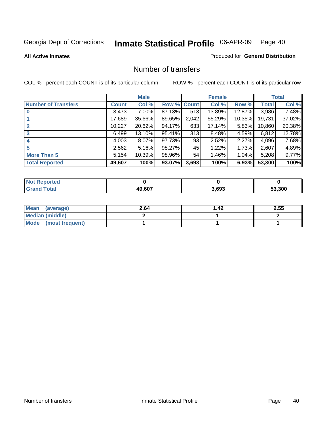**All Active Inmates**

## Produced for **General Distribution**

## Number of transfers

|                            |         | <b>Male</b> |        |              | <b>Female</b> |           |              | <b>Total</b> |
|----------------------------|---------|-------------|--------|--------------|---------------|-----------|--------------|--------------|
| <b>Number of Transfers</b> | Count l | Col %       | Row %  | <b>Count</b> | Col %         | Row %     | <b>Total</b> | Col %        |
|                            | 3,473   | $7.00\%$    | 87.13% | 513          | 13.89%        | 12.87%    | 3,986        | 7.48%        |
|                            | 17,689  | 35.66%      | 89.65% | 2,042        | 55.29%        | $10.35\%$ | 19,731       | 37.02%       |
|                            | 10,227  | 20.62%      | 94.17% | 633          | 17.14%        | 5.83%     | 10,860       | 20.38%       |
| 3                          | 6,499   | $13.10\%$   | 95.41% | 313          | 8.48%         | 4.59%     | 6,812        | 12.78%       |
|                            | 4,003   | $8.07\%$    | 97.73% | 93           | 2.52%         | $2.27\%$  | 4,096        | 7.68%        |
| 5                          | 2,562   | 5.16%       | 98.27% | 45           | 1.22%         | 1.73%     | 2,607        | 4.89%        |
| <b>More Than 5</b>         | 5,154   | 10.39%      | 98.96% | 54           | 1.46%         | $1.04\%$  | 5,208        | 9.77%        |
| <b>Total Reported</b>      | 49,607  | 100%        | 93.07% | 3,693        | 100%          | 6.93%     | 53,300       | 100%         |

| N                   |            |       |     |
|---------------------|------------|-------|-----|
| $\sim$ 10<br>______ | $AO$ $607$ | 3.693 | 300 |

| Mean (average)       | 2.64 | 42. ا | 2.55 |
|----------------------|------|-------|------|
| Median (middle)      |      |       |      |
| Mode (most frequent) |      |       |      |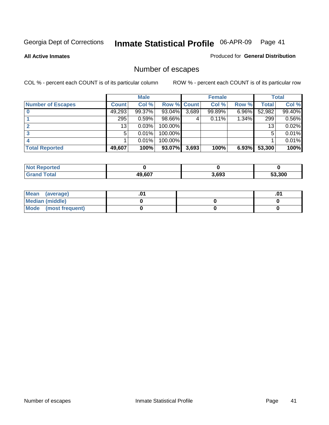**All Active Inmates**

#### Produced for **General Distribution**

# Number of escapes

|                          |              | <b>Male</b> |                    |       | <b>Female</b> |          |        | <b>Total</b> |
|--------------------------|--------------|-------------|--------------------|-------|---------------|----------|--------|--------------|
| <b>Number of Escapes</b> | <b>Count</b> | Col %       | <b>Row % Count</b> |       | Col %         | Row %    | Total  | Col %        |
|                          | 49,293       | 99.37%      | 93.04%             | 3,689 | 99.89%        | $6.96\%$ | 52,982 | 99.40%       |
|                          | 295          | 0.59%       | 98.66%             |       | 0.11%         | 1.34%    | 299    | 0.56%        |
|                          | 13           | 0.03%       | 100.00%            |       |               |          | 13     | 0.02%        |
|                          | 5            | 0.01%       | 100.00%            |       |               |          | 5      | 0.01%        |
|                          |              | 0.01%       | $100.00\%$         |       |               |          |        | 0.01%        |
| <b>Total Reported</b>    | 49,607       | 100%        | 93.07%             | 3,693 | 100%          | 6.93%    | 53,300 | 100%         |

| тео   |        |       |        |
|-------|--------|-------|--------|
| Total | 49.607 | 3.693 | 53.300 |

| <b>Mean</b><br>(average) |  | .0 |
|--------------------------|--|----|
| Median (middle)          |  |    |
| Mode (most frequent)     |  |    |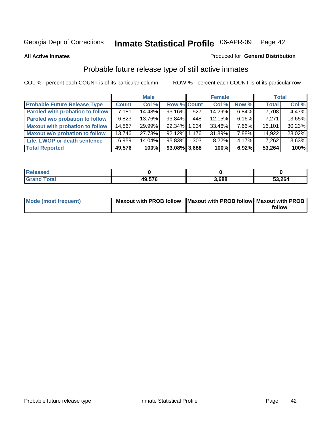**All Active Inmates**

#### Produced for **General Distribution**

# Probable future release type of still active inmates

|                                         |              | <b>Male</b> |                    |     | <b>Female</b> |          | <b>Total</b> |        |
|-----------------------------------------|--------------|-------------|--------------------|-----|---------------|----------|--------------|--------|
| <b>Probable Future Release Type</b>     | <b>Count</b> | Col %       | <b>Row % Count</b> |     | Col %         | Row %    | <b>Total</b> | Col %  |
| <b>Paroled with probation to follow</b> | 7,181        | 14.48%      | 93.16%             | 527 | 14.29%        | 6.84%    | 7,708        | 14.47% |
| Paroled w/o probation to follow         | 6,823        | 13.76%      | 93.84%             | 448 | 12.15%        | 6.16%    | 7,271        | 13.65% |
| <b>Maxout with probation to follow</b>  | 14,867       | 29.99%      | 92.34% 1.234       |     | 33.46%        | 7.66%    | 16,101       | 30.23% |
| <b>Maxout w/o probation to follow</b>   | 13,746       | 27.73%      | 92.12% 1.176       |     | 31.89%        | 7.88%    | 14,922       | 28.02% |
| Life, LWOP or death sentence            | 6,959        | 14.04%      | 95.83%             | 303 | 8.22%         | $4.17\%$ | 7,262        | 13.63% |
| <b>Total Reported</b>                   | 49,576       | 100%        | 93.08% 3,688       |     | 100%          | 6.92%    | 53,264       | 100%   |

| Released                    |        |       |        |
|-----------------------------|--------|-------|--------|
| <b>Total</b><br><b>Grar</b> | 49,576 | 3,688 | 53,264 |

| Mode (most frequent) | Maxout with PROB follow   Maxout with PROB follow   Maxout with PROB |        |
|----------------------|----------------------------------------------------------------------|--------|
|                      |                                                                      | follow |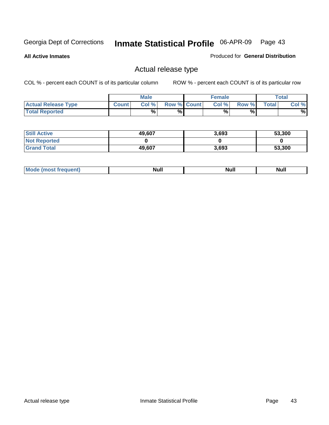**All Active Inmates**

#### Produced for **General Distribution**

## Actual release type

|                            |              | <b>Male</b> |                    | <b>Female</b> |       |       | Total |
|----------------------------|--------------|-------------|--------------------|---------------|-------|-------|-------|
| <b>Actual Release Type</b> | <b>Count</b> | Col %       | <b>Row % Count</b> | Col %         | Row % | Total | Col % |
| <b>Total Reported</b>      |              | %           | %                  | %             | %     |       | %     |

| <b>Still Active</b> | 49,607 | 3,693 | 53,300 |
|---------------------|--------|-------|--------|
| <b>Not Reported</b> |        |       |        |
| <b>Grand Total</b>  | 49,607 | 3,693 | 53,300 |

| M<br>____<br>_____ | NI | Null | $\cdots$ |
|--------------------|----|------|----------|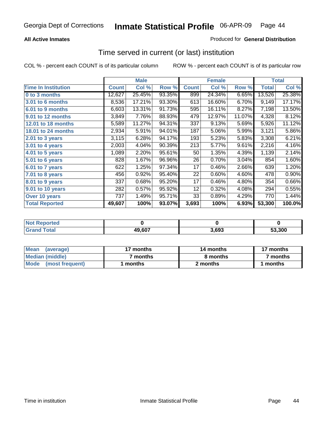## **All Active Inmates**

## Produced for **General Distribution**

## Time served in current (or last) institution

|                            |              | <b>Male</b> |        |              | <b>Female</b> |        |              | <b>Total</b> |
|----------------------------|--------------|-------------|--------|--------------|---------------|--------|--------------|--------------|
| <b>Time In Institution</b> | <b>Count</b> | Col %       | Row %  | <b>Count</b> | Col %         | Row %  | <b>Total</b> | Col %        |
| 0 to 3 months              | 12,627       | 25.45%      | 93.35% | 899          | 24.34%        | 6.65%  | 13,526       | 25.38%       |
| 3.01 to 6 months           | 8,536        | 17.21%      | 93.30% | 613          | 16.60%        | 6.70%  | 9,149        | 17.17%       |
| 6.01 to 9 months           | 6,603        | 13.31%      | 91.73% | 595          | 16.11%        | 8.27%  | 7,198        | 13.50%       |
| 9.01 to 12 months          | 3,849        | 7.76%       | 88.93% | 479          | 12.97%        | 11.07% | 4,328        | 8.12%        |
| <b>12.01 to 18 months</b>  | 5,589        | 11.27%      | 94.31% | 337          | 9.13%         | 5.69%  | 5,926        | 11.12%       |
| <b>18.01 to 24 months</b>  | 2,934        | 5.91%       | 94.01% | 187          | 5.06%         | 5.99%  | 3,121        | 5.86%        |
| 2.01 to 3 years            | 3,115        | 6.28%       | 94.17% | 193          | 5.23%         | 5.83%  | 3,308        | 6.21%        |
| 3.01 to 4 years            | 2,003        | 4.04%       | 90.39% | 213          | 5.77%         | 9.61%  | 2,216        | 4.16%        |
| 4.01 to 5 years            | 1,089        | 2.20%       | 95.61% | 50           | 1.35%         | 4.39%  | 1,139        | 2.14%        |
| 5.01 to 6 years            | 828          | 1.67%       | 96.96% | 26           | 0.70%         | 3.04%  | 854          | 1.60%        |
| 6.01 to 7 years            | 622          | 1.25%       | 97.34% | 17           | 0.46%         | 2.66%  | 639          | 1.20%        |
| 7.01 to 8 years            | 456          | 0.92%       | 95.40% | 22           | 0.60%         | 4.60%  | 478          | 0.90%        |
| 8.01 to 9 years            | 337          | 0.68%       | 95.20% | 17           | 0.46%         | 4.80%  | 354          | 0.66%        |
| 9.01 to 10 years           | 282          | 0.57%       | 95.92% | 12           | 0.32%         | 4.08%  | 294          | 0.55%        |
| Over 10 years              | 737          | 1.49%       | 95.71% | 33           | 0.89%         | 4.29%  | 770          | 1.44%        |
| <b>Total Reported</b>      | 49,607       | 100%        | 93.07% | 3,693        | 100%          | 6.93%  | 53,300       | 100.0%       |

| <b>Not R</b><br><b>Reported</b> |        |      |        |
|---------------------------------|--------|------|--------|
| <b>Total</b>                    | 49,607 | .693 | 53.300 |

| <b>Mean</b><br>(average)       | 17 months | 14 months | 17 months |  |
|--------------------------------|-----------|-----------|-----------|--|
| Median (middle)                | ' months  | 8 months  | 7 months  |  |
| <b>Mode</b><br>(most frequent) | months    | 2 months  | months    |  |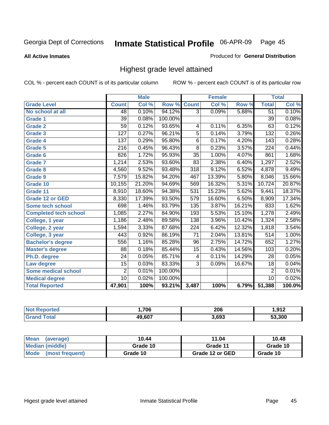**All Active Inmates**

### Produced for **General Distribution**

## Highest grade level attained

|                              |                  | <b>Male</b> |         |                  | <b>Female</b> |        |                  | <b>Total</b> |
|------------------------------|------------------|-------------|---------|------------------|---------------|--------|------------------|--------------|
| <b>Grade Level</b>           | <b>Count</b>     | Col %       | Row %   | <b>Count</b>     | Col %         | Row %  | <b>Total</b>     | Col %        |
| No school at all             | 48               | 0.10%       | 94.12%  | $\overline{3}$   | 0.09%         | 5.88%  | $\overline{51}$  | 0.10%        |
| Grade 1                      | $\overline{39}$  | 0.08%       | 100.00% |                  |               |        | $\overline{39}$  | 0.08%        |
| <b>Grade 2</b>               | 59               | 0.12%       | 93.65%  | 4                | 0.11%         | 6.35%  | 63               | 0.12%        |
| <b>Grade 3</b>               | $\overline{127}$ | 0.27%       | 96.21%  | 5                | 0.14%         | 3.79%  | 132              | 0.26%        |
| Grade 4                      | 137              | 0.29%       | 95.80%  | $\overline{6}$   | 0.17%         | 4.20%  | 143              | 0.28%        |
| Grade 5                      | 216              | 0.45%       | 96.43%  | $\overline{8}$   | 0.23%         | 3.57%  | $\overline{224}$ | 0.44%        |
| Grade 6                      | 826              | 1.72%       | 95.93%  | $\overline{35}$  | 1.00%         | 4.07%  | 861              | 1.68%        |
| <b>Grade 7</b>               | 1,214            | 2.53%       | 93.60%  | 83               | 2.38%         | 6.40%  | 1,297            | 2.52%        |
| <b>Grade 8</b>               | 4,560            | 9.52%       | 93.48%  | $\overline{318}$ | 9.12%         | 6.52%  | 4,878            | 9.49%        |
| Grade 9                      | 7,579            | 15.82%      | 94.20%  | 467              | 13.39%        | 5.80%  | 8,046            | 15.66%       |
| Grade 10                     | 10,155           | 21.20%      | 94.69%  | 569              | 16.32%        | 5.31%  | 10,724           | 20.87%       |
| Grade 11                     | 8,910            | 18.60%      | 94.38%  | 531              | 15.23%        | 5.62%  | 9,441            | 18.37%       |
| <b>Grade 12 or GED</b>       | 8,330            | 17.39%      | 93.50%  | $\overline{579}$ | 16.60%        | 6.50%  | 8,909            | 17.34%       |
| <b>Some tech school</b>      | 698              | 1.46%       | 83.79%  | 135              | 3.87%         | 16.21% | 833              | 1.62%        |
| <b>Completed tech school</b> | 1,085            | 2.27%       | 84.90%  | 193              | 5.53%         | 15.10% | 1,278            | 2.49%        |
| College, 1 year              | 1,186            | 2.48%       | 89.58%  | 138              | 3.96%         | 10.42% | 1,324            | 2.58%        |
| College, 2 year              | 1,594            | 3.33%       | 87.68%  | $\overline{224}$ | 6.42%         | 12.32% | 1,818            | 3.54%        |
| College, 3 year              | 443              | 0.92%       | 86.19%  | $\overline{71}$  | 2.04%         | 13.81% | $\overline{514}$ | 1.00%        |
| <b>Bachelor's degree</b>     | 556              | 1.16%       | 85.28%  | $\overline{96}$  | 2.75%         | 14.72% | 652              | 1.27%        |
| <b>Master's degree</b>       | 88               | 0.18%       | 85.44%  | 15               | 0.43%         | 14.56% | 103              | 0.20%        |
| Ph.D. degree                 | $\overline{24}$  | 0.05%       | 85.71%  | 4                | 0.11%         | 14.29% | 28               | 0.05%        |
| Law degree                   | $\overline{15}$  | 0.03%       | 83.33%  | $\overline{3}$   | 0.09%         | 16.67% | $\overline{18}$  | 0.04%        |
| Some medical school          | $\overline{2}$   | 0.01%       | 100.00% |                  |               |        | $\overline{2}$   | 0.01%        |
| <b>Medical degree</b>        | 10               | 0.02%       | 100.00% |                  |               |        | 10               | 0.02%        |
| <b>Total Reported</b>        | 47,901           | 100%        | 93.21%  | 3,487            | 100%          | 6.79%  | 51,388           | 100.0%       |

| .706          | 206            | ດ12<br>-- |
|---------------|----------------|-----------|
| דמה הו<br>.nv | 2 GQ3<br>,,,,, | 53.300    |

| <b>Mean</b><br>(average)       | 10.44    | 11.04           | 10.48    |
|--------------------------------|----------|-----------------|----------|
| Median (middle)                | Grade 10 | Grade 11        | Grade 10 |
| <b>Mode</b><br>(most frequent) | Grade 10 | Grade 12 or GED | Grade 10 |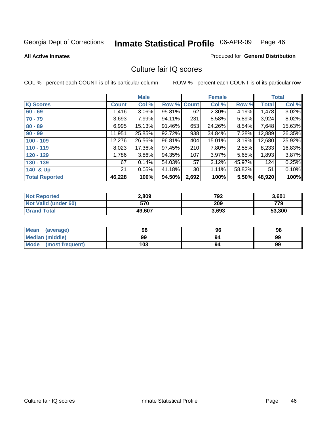**All Active Inmates**

#### Produced for **General Distribution**

## Culture fair IQ scores

|                       |              | <b>Male</b> |        |              | <b>Female</b> |        |              | <b>Total</b> |
|-----------------------|--------------|-------------|--------|--------------|---------------|--------|--------------|--------------|
| <b>IQ Scores</b>      | <b>Count</b> | Col %       | Row %  | <b>Count</b> | Col %         | Row %  | <b>Total</b> | Col %        |
| $60 - 69$             | 1,416        | 3.06%       | 95.81% | 62           | 2.30%         | 4.19%  | 1,478        | 3.02%        |
| $70 - 79$             | 3,693        | 7.99%       | 94.11% | 231          | 8.58%         | 5.89%  | 3,924        | 8.02%        |
| $80 - 89$             | 6,995        | 15.13%      | 91.46% | 653          | 24.26%        | 8.54%  | 7,648        | 15.63%       |
| $90 - 99$             | 11,951       | 25.85%      | 92.72% | 938          | 34.84%        | 7.28%  | 12,889       | 26.35%       |
| $100 - 109$           | 12,276       | 26.56%      | 96.81% | 404          | 15.01%        | 3.19%  | 12,680       | 25.92%       |
| $110 - 119$           | 8,023        | 17.36%      | 97.45% | 210          | 7.80%         | 2.55%  | 8,233        | 16.83%       |
| $120 - 129$           | 1,786        | 3.86%       | 94.35% | 107          | 3.97%         | 5.65%  | 1,893        | 3.87%        |
| $130 - 139$           | 67           | 0.14%       | 54.03% | 57           | 2.12%         | 45.97% | 124          | 0.25%        |
| 140 & Up              | 21           | 0.05%       | 41.18% | 30           | 1.11%         | 58.82% | 51           | 0.10%        |
| <b>Total Reported</b> | 46,228       | 100%        | 94.50% | 2,692        | 100%          | 5.50%  | 48,920       | 100%         |

| <b>Not Reported</b>  | 2,809  | 792   | 3,601  |
|----------------------|--------|-------|--------|
| Not Valid (under 60) | 570    | 209   | 779    |
| <b>Grand Total</b>   | 49,607 | 3,693 | 53,300 |

| <b>Mean</b><br>(average)       | 98  | 96 | 98 |
|--------------------------------|-----|----|----|
| <b>Median (middle)</b>         | 99  | 94 | 99 |
| <b>Mode</b><br>(most frequent) | 103 | 94 | 99 |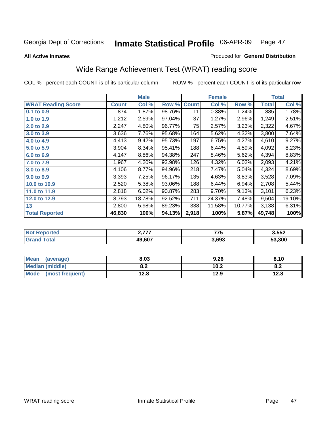Produced for **General Distribution**

#### **All Active Inmates**

# Wide Range Achievement Test (WRAT) reading score

|                           |              | <b>Male</b> |        |              | <b>Female</b> |        |              | <b>Total</b> |
|---------------------------|--------------|-------------|--------|--------------|---------------|--------|--------------|--------------|
| <b>WRAT Reading Score</b> | <b>Count</b> | Col %       | Row %  | <b>Count</b> | Col %         | Row %  | <b>Total</b> | Col %        |
| $0.1$ to $0.9$            | 874          | 1.87%       | 98.76% | 11           | 0.38%         | 1.24%  | 885          | 1.78%        |
| 1.0 to 1.9                | 1,212        | 2.59%       | 97.04% | 37           | 1.27%         | 2.96%  | 1,249        | 2.51%        |
| 2.0 to 2.9                | 2,247        | 4.80%       | 96.77% | 75           | 2.57%         | 3.23%  | 2,322        | 4.67%        |
| 3.0 to 3.9                | 3,636        | 7.76%       | 95.68% | 164          | 5.62%         | 4.32%  | 3,800        | 7.64%        |
| 4.0 to 4.9                | 4,413        | 9.42%       | 95.73% | 197          | 6.75%         | 4.27%  | 4,610        | 9.27%        |
| 5.0 to 5.9                | 3,904        | 8.34%       | 95.41% | 188          | 6.44%         | 4.59%  | 4,092        | 8.23%        |
| 6.0 to 6.9                | 4,147        | 8.86%       | 94.38% | 247          | 8.46%         | 5.62%  | 4,394        | 8.83%        |
| 7.0 to 7.9                | 1,967        | 4.20%       | 93.98% | 126          | 4.32%         | 6.02%  | 2,093        | 4.21%        |
| 8.0 to 8.9                | 4,106        | 8.77%       | 94.96% | 218          | 7.47%         | 5.04%  | 4,324        | 8.69%        |
| 9.0 to 9.9                | 3,393        | 7.25%       | 96.17% | 135          | 4.63%         | 3.83%  | 3,528        | 7.09%        |
| 10.0 to 10.9              | 2,520        | 5.38%       | 93.06% | 188          | 6.44%         | 6.94%  | 2,708        | 5.44%        |
| 11.0 to 11.9              | 2,818        | 6.02%       | 90.87% | 283          | 9.70%         | 9.13%  | 3,101        | 6.23%        |
| 12.0 to 12.9              | 8,793        | 18.78%      | 92.52% | 711          | 24.37%        | 7.48%  | 9,504        | 19.10%       |
| 13                        | 2,800        | 5.98%       | 89.23% | 338          | 11.58%        | 10.77% | 3,138        | 6.31%        |
| <b>Total Reported</b>     | 46,830       | 100%        | 94.13% | 2,918        | 100%          | 5.87%  | 49,748       | 100%         |

| .<br>. . I | —— <b>—</b><br>,,, | 3,552  |
|------------|--------------------|--------|
| 49.607     | 3.693              | 53.300 |

| <b>Mean</b><br>(average) | 8.03       | 9.26 | 8.10 |
|--------------------------|------------|------|------|
| Median (middle)          | י ה<br>0.Z | 10.2 | o.z  |
| Mode<br>(most frequent)  | 12.8       | 12.9 | 12.8 |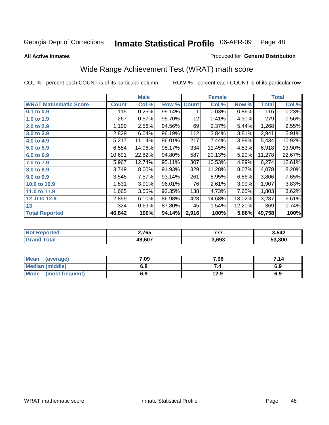**All Active Inmates**

#### Produced for **General Distribution**

# Wide Range Achievement Test (WRAT) math score

|                              |              | <b>Male</b> |        |              | <b>Female</b> |        |              | <b>Total</b> |
|------------------------------|--------------|-------------|--------|--------------|---------------|--------|--------------|--------------|
| <b>WRAT Mathematic Score</b> | <b>Count</b> | Col %       | Row %  | <b>Count</b> | Col %         | Row %  | <b>Total</b> | Col %        |
| 0.1 to 0.9                   | 115          | 0.25%       | 99.14% | 1            | 0.03%         | 0.86%  | 116          | 0.23%        |
| 1.0 to 1.9                   | 267          | 0.57%       | 95.70% | 12           | 0.41%         | 4.30%  | 279          | 0.56%        |
| 2.0 to 2.9                   | 1,199        | 2.56%       | 94.56% | 69           | 2.37%         | 5.44%  | 1,268        | 2.55%        |
| 3.0 to 3.9                   | 2,829        | 6.04%       | 96.19% | 112          | 3.84%         | 3.81%  | 2,941        | 5.91%        |
| 4.0 to 4.9                   | 5,217        | 11.14%      | 96.01% | 217          | 7.44%         | 3.99%  | 5,434        | 10.92%       |
| 5.0 to 5.9                   | 6,584        | 14.06%      | 95.17% | 334          | 11.45%        | 4.83%  | 6,918        | 13.90%       |
| 6.0 to 6.9                   | 10,691       | 22.82%      | 94.80% | 587          | 20.13%        | 5.20%  | 11,278       | 22.67%       |
| 7.0 to 7.9                   | 5,967        | 12.74%      | 95.11% | 307          | 10.53%        | 4.89%  | 6,274        | 12.61%       |
| 8.0 to 8.9                   | 3,749        | 8.00%       | 91.93% | 329          | 11.28%        | 8.07%  | 4,078        | 8.20%        |
| 9.0 to 9.9                   | 3,545        | 7.57%       | 93.14% | 261          | 8.95%         | 6.86%  | 3,806        | 7.65%        |
| 10.0 to 10.9                 | 1,831        | 3.91%       | 96.01% | 76           | 2.61%         | 3.99%  | 1,907        | 3.83%        |
| 11.0 to 11.9                 | 1,665        | 3.55%       | 92.35% | 138          | 4.73%         | 7.65%  | 1,803        | 3.62%        |
| 12.0 to 12.9                 | 2,859        | 6.10%       | 86.98% | 428          | 14.68%        | 13.02% | 3,287        | 6.61%        |
| 13                           | 324          | 0.69%       | 87.80% | 45           | 1.54%         | 12.20% | 369          | 0.74%        |
| <b>Total Reported</b>        | 46,842       | 100%        | 94.14% | 2,916        | 100%          | 5.86%  | 49,758       | 100%         |

| orted<br>N. | 2,765  | ---   | 3,542  |
|-------------|--------|-------|--------|
| <b>ota</b>  | 19,607 | 3,693 | 53.300 |

| <b>Mean</b><br>(average)       | 7.09       | 7.96 | 7.14 |
|--------------------------------|------------|------|------|
| Median (middle)                | е о<br>o.o |      | 6.9  |
| <b>Mode</b><br>(most frequent) | 6.9        | 12.9 | 6.9  |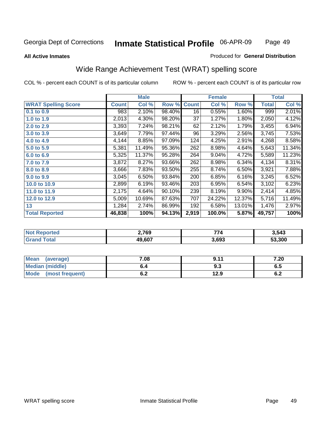Page 49

#### **All Active Inmates**

#### Produced for **General Distribution**

## Wide Range Achievement Test (WRAT) spelling score

|                            |              | <b>Male</b> |        |                  | <b>Female</b> |        |              | <b>Total</b> |
|----------------------------|--------------|-------------|--------|------------------|---------------|--------|--------------|--------------|
| <b>WRAT Spelling Score</b> | <b>Count</b> | Col %       | Row %  | <b>Count</b>     | Col %         | Row %  | <b>Total</b> | Col %        |
| 0.1 to 0.9                 | 983          | 2.10%       | 98.40% | 16               | 0.55%         | 1.60%  | 999          | 2.01%        |
| 1.0 to 1.9                 | 2,013        | 4.30%       | 98.20% | 37               | 1.27%         | 1.80%  | 2,050        | 4.12%        |
| 2.0 to 2.9                 | 3,393        | 7.24%       | 98.21% | 62               | 2.12%         | 1.79%  | 3,455        | 6.94%        |
| 3.0 to 3.9                 | 3,649        | 7.79%       | 97.44% | 96               | 3.29%         | 2.56%  | 3,745        | 7.53%        |
| 4.0 to 4.9                 | 4,144        | 8.85%       | 97.09% | 124              | 4.25%         | 2.91%  | 4,268        | 8.58%        |
| 5.0 to 5.9                 | 5,381        | 11.49%      | 95.36% | $\overline{262}$ | 8.98%         | 4.64%  | 5,643        | 11.34%       |
| 6.0 to 6.9                 | 5,325        | 11.37%      | 95.28% | 264              | 9.04%         | 4.72%  | 5,589        | 11.23%       |
| 7.0 to 7.9                 | 3,872        | 8.27%       | 93.66% | 262              | 8.98%         | 6.34%  | 4,134        | 8.31%        |
| 8.0 to 8.9                 | 3,666        | 7.83%       | 93.50% | 255              | 8.74%         | 6.50%  | 3,921        | 7.88%        |
| 9.0 to 9.9                 | 3,045        | 6.50%       | 93.84% | 200              | 6.85%         | 6.16%  | 3,245        | 6.52%        |
| 10.0 to 10.9               | 2,899        | 6.19%       | 93.46% | 203              | 6.95%         | 6.54%  | 3,102        | 6.23%        |
| 11.0 to 11.9               | 2,175        | 4.64%       | 90.10% | 239              | 8.19%         | 9.90%  | 2,414        | 4.85%        |
| 12.0 to 12.9               | 5,009        | 10.69%      | 87.63% | 707              | 24.22%        | 12.37% | 5,716        | 11.49%       |
| 13                         | 1,284        | 2.74%       | 86.99% | 192              | 6.58%         | 13.01% | 1,476        | 2.97%        |
| <b>Total Reported</b>      | 46,838       | 100%        | 94.13% | 2,919            | 100.0%        | 5.87%  | 49,757       | 100%         |

| 2,769  | --    | 3.543  |
|--------|-------|--------|
| 19.607 | 3.693 | 53.300 |

| Mean (average)         | 7.08       | 9.11 | 7.20       |
|------------------------|------------|------|------------|
| <b>Median (middle)</b> | b.4        | ৬.১  | ხ.5        |
| Mode (most frequent)   | r n<br>ο.Ζ | 12.9 | c -<br>0.Z |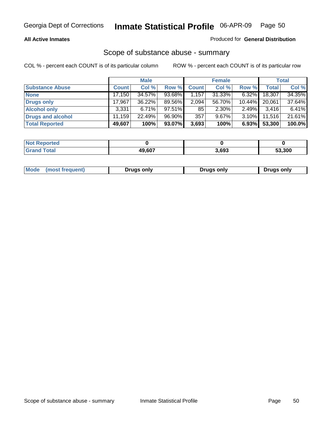### **All Active Inmates**

## Produced for **General Distribution**

## Scope of substance abuse - summary

|                        |              | <b>Male</b> |        |              | <b>Female</b> |           |              | <b>Total</b> |
|------------------------|--------------|-------------|--------|--------------|---------------|-----------|--------------|--------------|
| <b>Substance Abuse</b> | <b>Count</b> | Col %       | Row %  | <b>Count</b> | Col %         | Row %     | <b>Total</b> | Col %        |
| <b>None</b>            | 17,150       | 34.57%      | 93.68% | .157'        | $31.33\%$     | $6.32\%$  | 18,307       | 34.35%       |
| <b>Drugs only</b>      | 17.967       | $36.22\%$   | 89.56% | 2,094        | 56.70%        | $10.44\%$ | 20,061       | 37.64%       |
| <b>Alcohol only</b>    | 3,331        | 6.71%       | 97.51% | 85           | 2.30%         | 2.49%     | 3,416        | 6.41%        |
| Drugs and alcohol      | 11,159       | 22.49%      | 96.90% | 357          | $9.67\%$      | 3.10%     | 11,516       | 21.61%       |
| <b>Total Reported</b>  | 49,607       | 100%        | 93.07% | 3,693        | 100%          | 6.93%     | 53,300       | 100.0%       |

| <b>Not Reported</b> |        |       |        |
|---------------------|--------|-------|--------|
| <b>Grand Total</b>  | 49.607 | 3,693 | 53,300 |

|  | Mode<br>(most frequent) | <b>Drugs only</b> | Drugs only | Drugs only |
|--|-------------------------|-------------------|------------|------------|
|--|-------------------------|-------------------|------------|------------|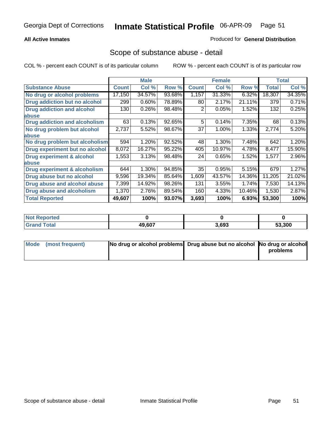## **All Active Inmates**

## Produced for **General Distribution**

## Scope of substance abuse - detail

|                                      |              | <b>Male</b> |        |              | <b>Female</b> |        |              | <b>Total</b> |
|--------------------------------------|--------------|-------------|--------|--------------|---------------|--------|--------------|--------------|
| <b>Substance Abuse</b>               | <b>Count</b> | Col %       | Row %  | <b>Count</b> | Col %         | Row %  | <b>Total</b> | Col %        |
| No drug or alcohol problems          | 17,150       | 34.57%      | 93.68% | 1,157        | 31.33%        | 6.32%  | 18,307       | 34.35%       |
| Drug addiction but no alcohol        | 299          | 0.60%       | 78.89% | 80           | 2.17%         | 21.11% | 379          | 0.71%        |
| <b>Drug addiction and alcohol</b>    | 130          | 0.26%       | 98.48% | 2            | 0.05%         | 1.52%  | 132          | 0.25%        |
| <b>labuse</b>                        |              |             |        |              |               |        |              |              |
| <b>Drug addiction and alcoholism</b> | 63           | 0.13%       | 92.65% | 5            | 0.14%         | 7.35%  | 68           | 0.13%        |
| No drug problem but alcohol          | 2,737        | 5.52%       | 98.67% | 37           | 1.00%         | 1.33%  | 2,774        | 5.20%        |
| abuse                                |              |             |        |              |               |        |              |              |
| No drug problem but alcoholism       | 594          | 1.20%       | 92.52% | 48           | 1.30%         | 7.48%  | 642          | 1.20%        |
| Drug experiment but no alcohol       | 8,072        | 16.27%      | 95.22% | 405          | 10.97%        | 4.78%  | 8,477        | 15.90%       |
| <b>Drug experiment &amp; alcohol</b> | 1,553        | 3.13%       | 98.48% | 24           | 0.65%         | 1.52%  | 1,577        | 2.96%        |
| abuse                                |              |             |        |              |               |        |              |              |
| Drug experiment & alcoholism         | 644          | 1.30%       | 94.85% | 35           | 0.95%         | 5.15%  | 679          | 1.27%        |
| Drug abuse but no alcohol            | 9,596        | 19.34%      | 85.64% | 1,609        | 43.57%        | 14.36% | 11,205       | 21.02%       |
| Drug abuse and alcohol abuse         | 7,399        | 14.92%      | 98.26% | 131          | 3.55%         | 1.74%  | 7,530        | 14.13%       |
| Drug abuse and alcoholism            | 1,370        | 2.76%       | 89.54% | 160          | 4.33%         | 10.46% | 1,530        | 2.87%        |
| <b>Total Reported</b>                | 49,607       | 100%        | 93.07% | 3,693        | 100%          | 6.93%  | 53,300       | 100%         |

| <b>Reported</b> |        |       |        |
|-----------------|--------|-------|--------|
| <b>Total</b>    | 49.607 | 3.693 | 53.300 |

| Mode (most frequent) | No drug or alcohol problems Drug abuse but no alcohol No drug or alcohol |          |
|----------------------|--------------------------------------------------------------------------|----------|
|                      |                                                                          | problems |
|                      |                                                                          |          |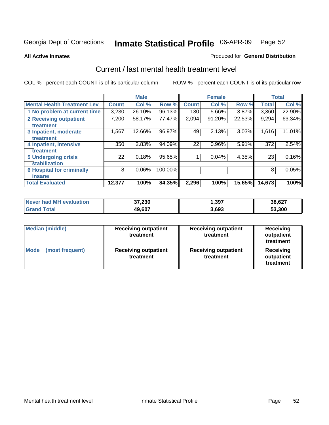#### **All Active Inmates**

#### Produced for **General Distribution**

## Current / last mental health treatment level

|                                    |              | <b>Male</b> |         |              | <b>Female</b> |          |              | <b>Total</b> |
|------------------------------------|--------------|-------------|---------|--------------|---------------|----------|--------------|--------------|
| <b>Mental Health Treatment Lev</b> | <b>Count</b> | Col %       | Row %   | <b>Count</b> | Col %         | Row %    | <b>Total</b> | Col %        |
| 1 No problem at current time       | 3,230        | 26.10%      | 96.13%  | 130          | 5.66%         | $3.87\%$ | 3,360        | 22.90%       |
| 2 Receiving outpatient             | 7,200        | 58.17%      | 77.47%  | 2,094        | 91.20%        | 22.53%   | 9,294        | 63.34%       |
| treatment                          |              |             |         |              |               |          |              |              |
| 3 Inpatient, moderate              | 1,567        | 12.66%      | 96.97%  | 49           | 2.13%         | 3.03%    | 1,616        | 11.01%       |
| treatment                          |              |             |         |              |               |          |              |              |
| 4 Inpatient, intensive             | 350          | 2.83%       | 94.09%  | 22           | 0.96%         | 5.91%    | 372          | 2.54%        |
| treatment                          |              |             |         |              |               |          |              |              |
| <b>5 Undergoing crisis</b>         | 22           | 0.18%       | 95.65%  | 1            | 0.04%         | 4.35%    | 23           | 0.16%        |
| stabilization                      |              |             |         |              |               |          |              |              |
| <b>6 Hospital for criminally</b>   | 8            | 0.06%       | 100.00% |              |               |          | 8            | 0.05%        |
| insane                             |              |             |         |              |               |          |              |              |
| <b>Total Evaluated</b>             | 12,377       | 100%        | 84.35%  | 2,296        | 100%          | 15.65%   | 14,673       | 100%         |

| Never had MH evaluation | 37,230 | ,397  | 38,627 |
|-------------------------|--------|-------|--------|
| Total<br><b>Grand</b>   | 49,607 | 3,693 | 53,300 |

| <b>Median (middle)</b>         | <b>Receiving outpatient</b><br>treatment | <b>Receiving outpatient</b><br>treatment | <b>Receiving</b><br>outpatient<br>treatment |  |  |
|--------------------------------|------------------------------------------|------------------------------------------|---------------------------------------------|--|--|
| <b>Mode</b><br>(most frequent) | <b>Receiving outpatient</b><br>treatment | <b>Receiving outpatient</b><br>treatment | <b>Receiving</b><br>outpatient<br>treatment |  |  |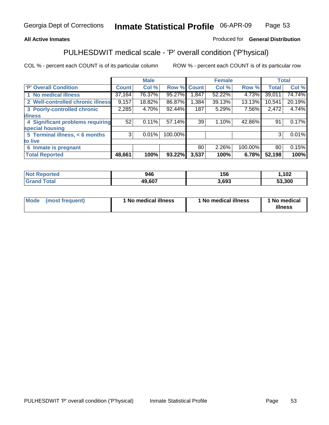## **All Active Inmates**

## Produced for **General Distribution**

## PULHESDWIT medical scale - 'P' overall condition ('P'hysical)

|                                   |              | <b>Male</b> |         |              | <b>Female</b> |         |              | <b>Total</b> |
|-----------------------------------|--------------|-------------|---------|--------------|---------------|---------|--------------|--------------|
| 'P' Overall Condition             | <b>Count</b> | Col %       | Row %   | <b>Count</b> | Col %         | Row %   | <b>Total</b> | Col %        |
| 1 No medical illness              | 37,164       | 76.37%      | 95.27%  | ,847         | 52.22%        | 4.73%   | 39,011       | 74.74%       |
| 2 Well-controlled chronic illness | 9,157        | 18.82%      | 86.87%  | 1,384        | 39.13%        | 13.13%  | 10,541       | 20.19%       |
| 3 Poorly-controlled chronic       | 2,285        | 4.70%       | 92.44%  | 187          | 5.29%         | 7.56%   | 2,472        | 4.74%        |
| <b>illness</b>                    |              |             |         |              |               |         |              |              |
| 4 Significant problems requiring  | 52           | 0.11%       | 57.14%  | 39           | 1.10%         | 42.86%  | 91           | 0.17%        |
| special housing                   |              |             |         |              |               |         |              |              |
| 5 Terminal illness, < 6 months    | 3            | 0.01%       | 100.00% |              |               |         | 3            | 0.01%        |
| to live                           |              |             |         |              |               |         |              |              |
| Inmate is pregnant<br>6           |              |             |         | 80           | 2.26%         | 100.00% | 80           | 0.15%        |
| <b>Total Reported</b>             | 48,661       | 100%        | 93.22%  | 3,537        | 100%          | 6.78%   | 52,198       | 100%         |

| <b>Not Reported</b> | 946    | 156   | ,102   |
|---------------------|--------|-------|--------|
| <b>Grand Total</b>  | 49,607 | 3,693 | 53,300 |

| Mode (most frequent) | 1 No medical illness | 1 No medical illness | 1 No medical |
|----------------------|----------------------|----------------------|--------------|
|                      |                      |                      | illness      |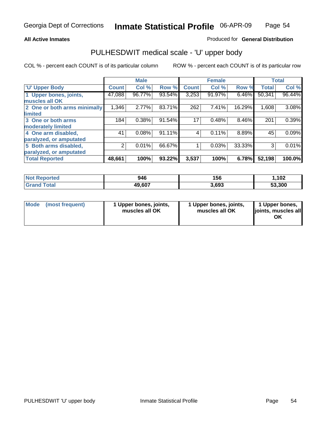### **All Active Inmates**

### Produced for **General Distribution**

## PULHESDWIT medical scale - 'U' upper body

|                              |        | <b>Male</b> |        |              | <b>Female</b> |        |              | <b>Total</b> |
|------------------------------|--------|-------------|--------|--------------|---------------|--------|--------------|--------------|
| <b>U' Upper Body</b>         | Count! | Col %       | Row %  | <b>Count</b> | Col %         | Row %  | <b>Total</b> | Col %        |
| 1 Upper bones, joints,       | 47,088 | 96.77%      | 93.54% | 3,253        | 91.97%        | 6.46%  | 50,341       | 96.44%       |
| muscles all OK               |        |             |        |              |               |        |              |              |
| 2 One or both arms minimally | 1,346  | 2.77%       | 83.71% | 262          | 7.41%         | 16.29% | 1,608        | 3.08%        |
| limited                      |        |             |        |              |               |        |              |              |
| 3 One or both arms           | 184    | 0.38%       | 91.54% | 17           | 0.48%         | 8.46%  | 201          | 0.39%        |
| moderately limited           |        |             |        |              |               |        |              |              |
| 4 One arm disabled,          | 41     | 0.08%       | 91.11% | 4            | 0.11%         | 8.89%  | 45           | 0.09%        |
| paralyzed, or amputated      |        |             |        |              |               |        |              |              |
| 5 Both arms disabled,        | 2      | 0.01%       | 66.67% |              | 0.03%         | 33.33% | 3            | 0.01%        |
| paralyzed, or amputated      |        |             |        |              |               |        |              |              |
| <b>Total Reported</b>        | 48,661 | 100%        | 93.22% | 3,537        | 100%          | 6.78%  | 52,198       | 100.0%       |

| <b>Not Reported</b> | 946    | 156   | .102   |
|---------------------|--------|-------|--------|
| $\mathsf{Total}$    | 49,607 | 3,693 | 53.300 |

| <b>Mode</b> | (most frequent) | 1 Upper bones, joints,<br>muscles all OK | 1 Upper bones, joints,<br>muscles all OK | 1 Upper bones,<br>joints, muscles all<br>ΟK |
|-------------|-----------------|------------------------------------------|------------------------------------------|---------------------------------------------|
|-------------|-----------------|------------------------------------------|------------------------------------------|---------------------------------------------|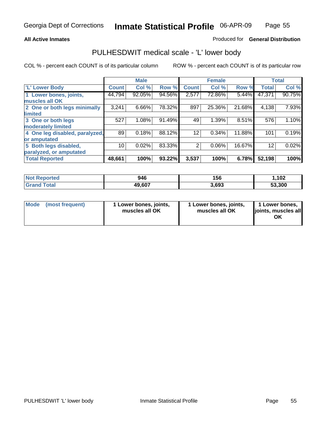#### **All Active Inmates**

## Produced for **General Distribution**

## PULHESDWIT medical scale - 'L' lower body

|                                |              | <b>Male</b> |        |                | <b>Female</b> |        |              | <b>Total</b> |
|--------------------------------|--------------|-------------|--------|----------------|---------------|--------|--------------|--------------|
| 'L' Lower Body                 | <b>Count</b> | Col %       | Row %  | <b>Count</b>   | Col %         | Row %  | <b>Total</b> | Col %        |
| 1 Lower bones, joints,         | 44,794       | 92.05%      | 94.56% | 2,577          | 72.86%        | 5.44%  | 47,371       | 90.75%       |
| muscles all OK                 |              |             |        |                |               |        |              |              |
| 2 One or both legs minimally   | 3,241        | 6.66%       | 78.32% | 897            | 25.36%        | 21.68% | 4,138        | 7.93%        |
| limited                        |              |             |        |                |               |        |              |              |
| 3 One or both legs             | 527          | 1.08%       | 91.49% | 49             | 1.39%         | 8.51%  | 576          | 1.10%        |
| moderately limited             |              |             |        |                |               |        |              |              |
| 4 One leg disabled, paralyzed, | 89           | 0.18%       | 88.12% | 12             | 0.34%         | 11.88% | 101          | 0.19%        |
| or amputated                   |              |             |        |                |               |        |              |              |
| 5 Both legs disabled,          | 10           | 0.02%       | 83.33% | $\overline{2}$ | 0.06%         | 16.67% | 12           | 0.02%        |
| paralyzed, or amputated        |              |             |        |                |               |        |              |              |
| <b>Total Reported</b>          | 48,661       | 100%        | 93.22% | 3,537          | 100%          | 6.78%  | 52,198       | 100%         |

| <b>Not Reported</b>   | 946    | 156   | ,102   |
|-----------------------|--------|-------|--------|
| Total<br><b>Grand</b> | 49,607 | 3.693 | 53,300 |

|  | Mode (most frequent) | 1 Lower bones, joints,<br>muscles all OK | 1 Lower bones, joints,<br>muscles all OK | 1 Lower bones,<br>joints, muscles all<br>ОK |
|--|----------------------|------------------------------------------|------------------------------------------|---------------------------------------------|
|--|----------------------|------------------------------------------|------------------------------------------|---------------------------------------------|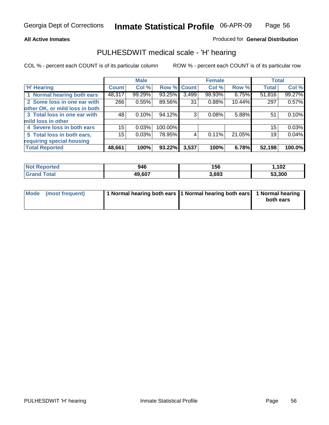#### **All Active Inmates**

## Produced for **General Distribution**

## PULHESDWIT medical scale - 'H' hearing

|                                |                 | <b>Male</b> |             |       | <b>Female</b> |        | <b>Total</b>    |        |
|--------------------------------|-----------------|-------------|-------------|-------|---------------|--------|-----------------|--------|
| <b>H'</b> Hearing              | <b>Count</b>    | Col %       | Row % Count |       | Col %         | Row %  | <b>Total</b>    | Col %  |
| 1 Normal hearing both ears     | 48,317          | 99.29%      | 93.25%      | 3,499 | 98.93%        | 6.75%  | 51,816          | 99.27% |
| 2 Some loss in one ear with    | 266             | 0.55%       | 89.56%      | 31    | 0.88%         | 10.44% | 297             | 0.57%  |
| other OK, or mild loss in both |                 |             |             |       |               |        |                 |        |
| 3 Total loss in one ear with   | 48              | 0.10%       | 94.12%      | 3     | 0.08%         | 5.88%  | 51              | 0.10%  |
| mild loss in other             |                 |             |             |       |               |        |                 |        |
| 4 Severe loss in both ears     | 15 <sub>1</sub> | 0.03%       | 100.00%     |       |               |        | 15 <sub>1</sub> | 0.03%  |
| 5 Total loss in both ears,     | 15              | 0.03%       | 78.95%      | 4     | 0.11%         | 21.05% | 19              | 0.04%  |
| requiring special housing      |                 |             |             |       |               |        |                 |        |
| <b>Total Reported</b>          | 48,661          | 100%        | 93.22%      | 3,537 | 100%          | 6.78%  | 52,198          | 100.0% |

| ted | 946   | .<br>156 | ィハク<br>1 VZ |
|-----|-------|----------|-------------|
|     | 10.02 | 8,693    | ,300<br>-^  |

| Mode (most frequent) | 1 Normal hearing both ears 11 Normal hearing both ears | 1 Normal hearing |
|----------------------|--------------------------------------------------------|------------------|
|                      |                                                        | both ears        |
|                      |                                                        |                  |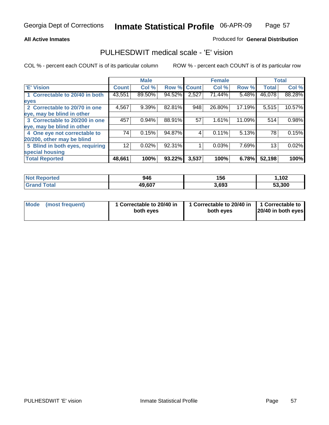### **All Active Inmates**

## Produced for **General Distribution**

## PULHESDWIT medical scale - 'E' vision

|                                 |              | <b>Male</b> |                    |       | <b>Female</b> |        |              | <b>Total</b> |
|---------------------------------|--------------|-------------|--------------------|-------|---------------|--------|--------------|--------------|
| 'E' Vision                      | <b>Count</b> | Col %       | <b>Row % Count</b> |       | Col %         | Row %  | <b>Total</b> | Col %        |
| 1 Correctable to 20/40 in both  | 43,551       | 89.50%      | 94.52%             | 2,527 | 71.44%        | 5.48%  | 46,078       | 88.28%       |
| eyes                            |              |             |                    |       |               |        |              |              |
| 2 Correctable to 20/70 in one   | 4,567        | 9.39%       | 82.81%             | 948   | 26.80%        | 17.19% | 5,515        | 10.57%       |
| eye, may be blind in other      |              |             |                    |       |               |        |              |              |
| 3 Correctable to 20/200 in one  | 457          | 0.94%       | 88.91%             | 57    | 1.61%         | 11.09% | 514          | 0.98%        |
| eye, may be blind in other      |              |             |                    |       |               |        |              |              |
| 4 One eye not correctable to    | 74           | 0.15%       | 94.87%             | 4     | 0.11%         | 5.13%  | 78           | 0.15%        |
| 20/200, other may be blind      |              |             |                    |       |               |        |              |              |
| 5 Blind in both eyes, requiring | 12           | 0.02%       | 92.31%             |       | 0.03%         | 7.69%  | 13           | 0.02%        |
| special housing                 |              |             |                    |       |               |        |              |              |
| <b>Total Reported</b>           | 48,661       | 100%        | 93.22%             | 3,537 | 100%          | 6.78%  | 52,198       | 100%         |

| Reported<br>' NOT | 946    | 156   | ,102   |
|-------------------|--------|-------|--------|
|                   | 49,607 | 3,693 | 53,300 |

|  | Mode (most frequent) | 1 Correctable to 20/40 in<br>both eves | 1 Correctable to 20/40 in   1 Correctable to<br>both eves | 20/40 in both eyes |
|--|----------------------|----------------------------------------|-----------------------------------------------------------|--------------------|
|--|----------------------|----------------------------------------|-----------------------------------------------------------|--------------------|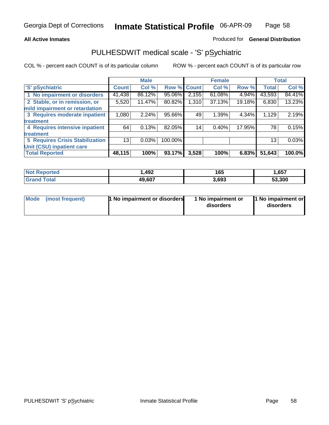### **All Active Inmates**

### Produced for **General Distribution**

## PULHESDWIT medical scale - 'S' pSychiatric

|                                        |              | <b>Male</b> |             |       | <b>Female</b> |        |              | <b>Total</b> |
|----------------------------------------|--------------|-------------|-------------|-------|---------------|--------|--------------|--------------|
| 'S' pSychiatric                        | <b>Count</b> | Col %       | Row % Count |       | Col %         | Row %  | <b>Total</b> | Col %        |
| 1 No impairment or disorders           | 41,438       | 86.12%      | 95.06%      | 2,155 | $61.08\%$     | 4.94%  | 43,593       | 84.41%       |
| 2 Stable, or in remission, or          | 5,520        | 11.47%      | 80.82%      | 1,310 | 37.13%        | 19.18% | 6,830        | 13.23%       |
| mild impairment or retardation         |              |             |             |       |               |        |              |              |
| 3 Requires moderate inpatient          | 1,080        | 2.24%       | 95.66%      | 49    | 1.39%         | 4.34%  | 1,129        | 2.19%        |
| treatment                              |              |             |             |       |               |        |              |              |
| 4 Requires intensive inpatient         | 64           | 0.13%       | 82.05%      | 14    | 0.40%         | 17.95% | 78           | 0.15%        |
| treatment                              |              |             |             |       |               |        |              |              |
| <b>5 Requires Crisis Stabilization</b> | 13           | 0.03%       | 100.00%     |       |               |        | 13           | 0.03%        |
| Unit (CSU) inpatient care              |              |             |             |       |               |        |              |              |
| <b>Total Reported</b>                  | 48,115       | 100%        | 93.17%      | 3,528 | 100%          | 6.83%  | 51,643       | 100.0%       |

| <b>Not Reported</b> | 492. ا | 165   | .,657  |
|---------------------|--------|-------|--------|
| <b>Total</b>        | 49,607 | 3,693 | 53,300 |

| Mode (most frequent) | <b>1</b> No impairment or disorders | 1 No impairment or<br>disorders | 1 No impairment or<br>disorders |
|----------------------|-------------------------------------|---------------------------------|---------------------------------|
|                      |                                     |                                 |                                 |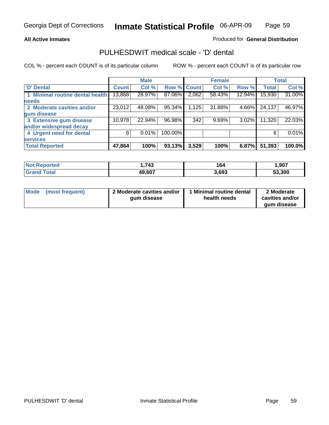### **All Active Inmates**

## Produced for **General Distribution**

## PULHESDWIT medical scale - 'D' dental

|                                 |              | <b>Male</b> |             |       | <b>Female</b> |        |              | <b>Total</b> |
|---------------------------------|--------------|-------------|-------------|-------|---------------|--------|--------------|--------------|
| <b>D' Dental</b>                | <b>Count</b> | Col %       | Row % Count |       | Col %         | Row %  | <b>Total</b> | Col %        |
| 1 Minimal routine dental health | 13,868       | 28.97%      | 87.06%      | 2,062 | 58.43%        | 12.94% | 15,930       | 31.00%       |
| <b>needs</b>                    |              |             |             |       |               |        |              |              |
| 2 Moderate cavities and/or      | 23,012       | 48.08%      | 95.34%      | 1,125 | 31.88%        | 4.66%  | 24,137       | 46.97%       |
| gum disease                     |              |             |             |       |               |        |              |              |
| 3 Extensive gum disease         | 10,978       | 22.94%      | 96.98%      | 342   | 9.69%         | 3.02%  | 11,320       | 22.03%       |
| and/or widespread decay         |              |             |             |       |               |        |              |              |
| 4 Urgent need for dental        | 6            | 0.01%       | 100.00%     |       |               |        | 6            | $0.01\%$     |
| <b>services</b>                 |              |             |             |       |               |        |              |              |
| <b>Total Reported</b>           | 47,864       | 100%        | 93.13%      | 3,529 | 100%          | 6.87%  | 51,393       | 100.0%       |

| orted<br><b>NA</b> | <b>713</b> | 164   | 907. ا |
|--------------------|------------|-------|--------|
| <b>ota</b>         | 49,607     | 3.693 | 53.300 |

| <b>Mode</b> | (most frequent) | 2 Moderate cavities and/or<br>qum disease | <b>Minimal routine dental</b><br>health needs | 2 Moderate<br>cavities and/or |
|-------------|-----------------|-------------------------------------------|-----------------------------------------------|-------------------------------|
|             |                 |                                           |                                               | qum disease                   |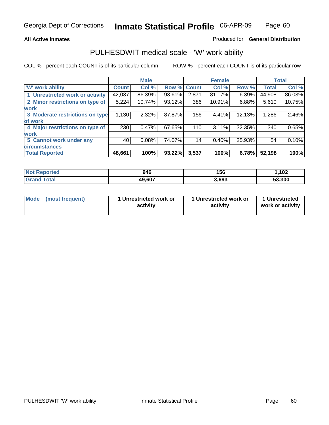### **All Active Inmates**

### Produced for **General Distribution**

## PULHESDWIT medical scale - 'W' work ability

|                                 |              | <b>Male</b> |        |              | <b>Female</b> |        |              | <b>Total</b> |
|---------------------------------|--------------|-------------|--------|--------------|---------------|--------|--------------|--------------|
| W' work ability                 | <b>Count</b> | Col %       | Row %  | <b>Count</b> | Col %         | Row %  | <b>Total</b> | Col %        |
| 1 Unrestricted work or activity | 42,037       | 86.39%      | 93.61% | 2,871        | 81.17%        | 6.39%  | 44,908       | 86.03%       |
| 2 Minor restrictions on type of | 5,224        | 10.74%      | 93.12% | 386          | 10.91%        | 6.88%  | 5,610        | 10.75%       |
| <b>work</b>                     |              |             |        |              |               |        |              |              |
| 3 Moderate restrictions on type | 1,130        | $2.32\%$    | 87.87% | 156          | 4.41%         | 12.13% | 1,286        | 2.46%        |
| of work                         |              |             |        |              |               |        |              |              |
| 4 Major restrictions on type of | 230          | 0.47%       | 67.65% | 110          | 3.11%         | 32.35% | 340          | 0.65%        |
| <b>work</b>                     |              |             |        |              |               |        |              |              |
| 5 Cannot work under any         | 40           | 0.08%       | 74.07% | 14           | 0.40%         | 25.93% | 54           | 0.10%        |
| <b>circumstances</b>            |              |             |        |              |               |        |              |              |
| <b>Total Reported</b>           | 48,661       | 100%        | 93.22% | 3,537        | 100%          | 6.78%  | 52,198       | 100%         |

| <b>Not Reported</b>          | 946    | 156   | .102   |
|------------------------------|--------|-------|--------|
| <b>Total</b><br><b>Grand</b> | 49,607 | 3,693 | 53,300 |

| Mode | (most frequent) | 1 Unrestricted work or<br>activity | 1 Unrestricted work or<br>activity | 1 Unrestricted<br>work or activity |
|------|-----------------|------------------------------------|------------------------------------|------------------------------------|
|------|-----------------|------------------------------------|------------------------------------|------------------------------------|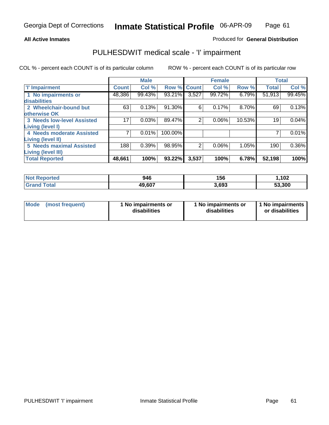## **All Active Inmates**

## Produced for **General Distribution**

## PULHESDWIT medical scale - 'I' impairment

|                                 |              | <b>Male</b> |         |              | <b>Female</b> |        |              | <b>Total</b> |
|---------------------------------|--------------|-------------|---------|--------------|---------------|--------|--------------|--------------|
| <b>T' Impairment</b>            | <b>Count</b> | Col %       | Row %   | <b>Count</b> | Col %         | Row %  | <b>Total</b> | Col %        |
| 1 No impairments or             | 48,386       | 99.43%      | 93.21%  | 3,527        | 99.72%        | 6.79%  | 51,913       | 99.45%       |
| disabilities                    |              |             |         |              |               |        |              |              |
| 2 Wheelchair-bound but          | 63           | 0.13%       | 91.30%  | 6            | 0.17%         | 8.70%  | 69           | 0.13%        |
| otherwise OK                    |              |             |         |              |               |        |              |              |
| 3 Needs low-level Assisted      | 17           | 0.03%       | 89.47%  | 2            | 0.06%         | 10.53% | 19           | 0.04%        |
| Living (level I)                |              |             |         |              |               |        |              |              |
| 4 Needs moderate Assisted       |              | 0.01%       | 100.00% |              |               |        |              | 0.01%        |
| Living (level II)               |              |             |         |              |               |        |              |              |
| <b>5 Needs maximal Assisted</b> | 188          | 0.39%       | 98.95%  | 2            | 0.06%         | 1.05%  | 190          | $0.36\%$     |
| Living (level III)              |              |             |         |              |               |        |              |              |
| <b>Total Reported</b>           | 48,661       | 100%        | 93.22%  | 3,537        | 100%          | 6.78%  | 52,198       | 100%         |

| <b>Not</b><br><b>Reported</b>    | 946    | 156   | ,102   |
|----------------------------------|--------|-------|--------|
| <sup>-</sup> otal<br><b>Grar</b> | 49,607 | 3,693 | 53,300 |

| <b>Mode</b> | (most frequent) | 1 No impairments or<br>disabilities | 1 No impairments or<br>disabilities | 1 1 No impairments<br>or disabilities |
|-------------|-----------------|-------------------------------------|-------------------------------------|---------------------------------------|
|-------------|-----------------|-------------------------------------|-------------------------------------|---------------------------------------|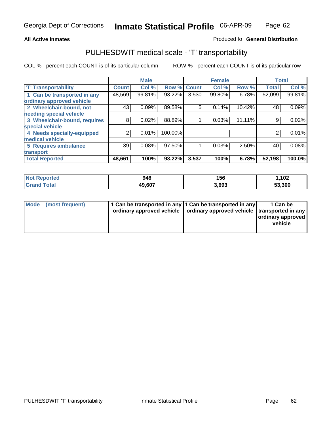#### **Inmate Statistical Profile** 06-APR-09 Page Page 62

## **All Active Inmates Allowski** Produced fo **General Distribution**

## PULHESDWIT medical scale - 'T' transportability

|                              |              | <b>Male</b> |         |              | <b>Female</b> |        | <b>Total</b> |        |
|------------------------------|--------------|-------------|---------|--------------|---------------|--------|--------------|--------|
| <b>T' Transportability</b>   | <b>Count</b> | Col %       | Row %   | <b>Count</b> | Col %         | Row %  | <b>Total</b> | Col %  |
| 1 Can be transported in any  | 48,569       | 99.81%      | 93.22%  | 3,530        | 99.80%        | 6.78%  | 52,099       | 99.81% |
| ordinary approved vehicle    |              |             |         |              |               |        |              |        |
| 2 Wheelchair-bound, not      | 43           | 0.09%       | 89.58%  | 5            | 0.14%         | 10.42% | 48           | 0.09%  |
| needing special vehicle      |              |             |         |              |               |        |              |        |
| 3 Wheelchair-bound, requires | 8            | 0.02%       | 88.89%  |              | 0.03%         | 11.11% | 9            | 0.02%  |
| special vehicle              |              |             |         |              |               |        |              |        |
| 4 Needs specially-equipped   | 2            | 0.01%       | 100.00% |              |               |        | 2            | 0.01%  |
| medical vehicle              |              |             |         |              |               |        |              |        |
| <b>5 Requires ambulance</b>  | 39           | 0.08%       | 97.50%  |              | 0.03%         | 2.50%  | 40           | 0.08%  |
| transport                    |              |             |         |              |               |        |              |        |
| <b>Total Reported</b>        | 48,661       | 100%        | 93.22%  | 3,537        | 100%          | 6.78%  | 52,198       | 100.0% |

| <b>Not Reported</b> | 946    | 156   | 1,102  |
|---------------------|--------|-------|--------|
| <b>Grand Total</b>  | 49,607 | 3,693 | 53,300 |

| Mode (most frequent) | 1 Can be transported in any 1 Can be transported in any | ordinary approved vehicle   ordinary approved vehicle   transported in any | 1 Can be<br>ordinary approved<br>vehicle |
|----------------------|---------------------------------------------------------|----------------------------------------------------------------------------|------------------------------------------|
|                      |                                                         |                                                                            |                                          |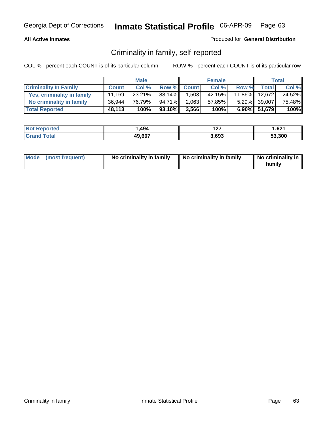## **All Active Inmates**

## Produced for **General Distribution**

## Criminality in family, self-reported

|                              |              | <b>Male</b> |        |              | <b>Female</b> |        |              | <b>Total</b> |
|------------------------------|--------------|-------------|--------|--------------|---------------|--------|--------------|--------------|
| <b>Criminality In Family</b> | <b>Count</b> | Col %       | Row %  | <b>Count</b> | Col %         | Row %  | <b>Total</b> | Col %        |
| Yes, criminality in family   | 11.169       | 23.21%      | 88.14% | 1,503        | 42.15%        | 11.86% | 12,672       | 24.52%       |
| No criminality in family     | 36,944       | 76.79%      | 94.71% | 2.063        | 57.85%        |        | 5.29% 39,007 | 75.48%       |
| <b>Total Reported</b>        | 48,113       | 100%        | 93.10% | 3,566        | 100%          |        | 6.90% 51,679 | 100%         |

| <b>Not Reported</b>   | . 494  | - -<br>1 Z I | 1,621  |
|-----------------------|--------|--------------|--------|
| Гоtal<br><b>Grand</b> | 49,607 | 3.693        | 53.300 |

|  | Mode (most frequent) | No criminality in family | No criminality in family | No criminality in<br>family |
|--|----------------------|--------------------------|--------------------------|-----------------------------|
|--|----------------------|--------------------------|--------------------------|-----------------------------|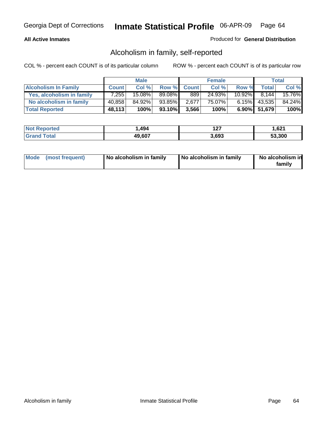## **All Active Inmates**

## Produced for **General Distribution**

## Alcoholism in family, self-reported

|                             |              | <b>Male</b> |        |              | <b>Female</b> |           |              | <b>Total</b> |
|-----------------------------|--------------|-------------|--------|--------------|---------------|-----------|--------------|--------------|
| <b>Alcoholism In Family</b> | <b>Count</b> | Col %       | Row %  | <b>Count</b> | Col %         | Row %     | <b>Total</b> | Col %        |
| Yes, alcoholism in family   | 7.255        | 15.08%      | 89.08% | 889          | 24.93%        | $10.92\%$ | 8.144        | 15.76%       |
| No alcoholism in family     | 40,858       | 84.92%      | 93.85% | 2,677        | 75.07%        | 6.15%     | 43,535       | 84.24%       |
| <b>Total Reported</b>       | 48,113       | 100%        | 93.10% | 3,566        | 100%          |           | 6.90% 51,679 | 100%         |

| <b>Not Reported</b>   | . 494  | - -<br>1 Z I | 1,621  |
|-----------------------|--------|--------------|--------|
| Гоtal<br><b>Grand</b> | 49,607 | 3.693        | 53.300 |

|  | Mode (most frequent) | No alcoholism in family | No alcoholism in family | No alcoholism in<br>family |
|--|----------------------|-------------------------|-------------------------|----------------------------|
|--|----------------------|-------------------------|-------------------------|----------------------------|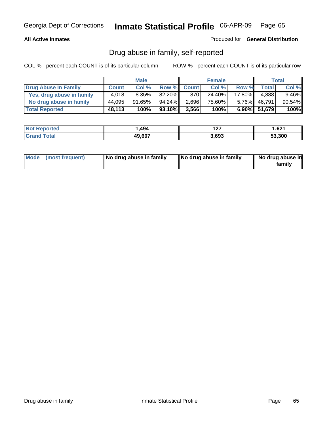## **All Active Inmates**

Produced for **General Distribution**

## Drug abuse in family, self-reported

|                           |              | <b>Male</b> |        |              | <b>Female</b> |           |              | <b>Total</b> |
|---------------------------|--------------|-------------|--------|--------------|---------------|-----------|--------------|--------------|
| Drug Abuse In Family      | <b>Count</b> | Col %       | Row %  | <b>Count</b> | Col %         | Row %     | <b>Total</b> | Col %        |
| Yes, drug abuse in family | 4.018        | 8.35%       | 82.20% | 870          | 24.40%        | $17.80\%$ | 4.888        | $9.46\%$     |
| No drug abuse in family   | 44,095       | 91.65%      | 94.24% | 2,696        | 75.60%        | $5.76\%$  | 46,791       | 90.54%       |
| <b>Total Reported</b>     | 48,113       | 100%        | 93.10% | 3,566        | 100%          |           | 6.90% 51,679 | 100%         |

| <b>Not Reported</b>   | . 494  | - -<br>1 Z I | 1,621  |
|-----------------------|--------|--------------|--------|
| Гоtal<br><b>Grand</b> | 49,607 | 3.693        | 53.300 |

|  | Mode (most frequent) | No drug abuse in family | No drug abuse in family | No drug abuse in<br>family |
|--|----------------------|-------------------------|-------------------------|----------------------------|
|--|----------------------|-------------------------|-------------------------|----------------------------|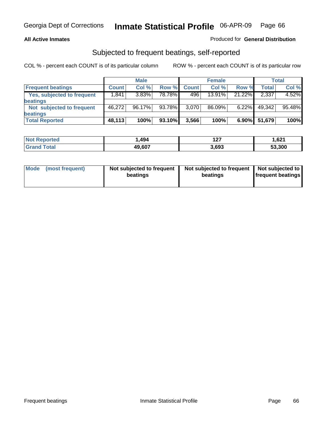### **All Active Inmates**

## Produced for **General Distribution**

## Subjected to frequent beatings, self-reported

|                                   |              | <b>Male</b> |        |              | <b>Female</b> |          |        | Total  |
|-----------------------------------|--------------|-------------|--------|--------------|---------------|----------|--------|--------|
| <b>Frequent beatings</b>          | <b>Count</b> | Col %       | Row %  | <b>Count</b> | Col%          | Row %    | Total  | Col %  |
| <b>Yes, subjected to frequent</b> | 1,841        | 3.83%       | 78.78% | 496          | 13.91%        | 21.22%   | 2,337  | 4.52%  |
| <b>beatings</b>                   |              |             |        |              |               |          |        |        |
| Not subjected to frequent         | 46.272       | $96.17\%$   | 93.78% | 3,070        | 86.09%        | $6.22\%$ | 49,342 | 95.48% |
| <b>beatings</b>                   |              |             |        |              |               |          |        |        |
| <b>Total Reported</b>             | 48,113       | 100%        | 93.10% | 3,566        | 100%          | $6.90\%$ | 51,679 | 100%   |

| <b>ported</b><br><b>Not</b><br>30 H H | .494   | ィヘフ<br>1 Z I | 1.621  |
|---------------------------------------|--------|--------------|--------|
| <sup>-</sup> otal<br>' Gra            | 49,607 | 3,693        | 53,300 |

| Mode (most frequent) | Not subjected to frequent<br>beatings | Not subjected to frequent<br>beatings | Not subjected to<br>frequent beatings |  |
|----------------------|---------------------------------------|---------------------------------------|---------------------------------------|--|
|                      |                                       |                                       |                                       |  |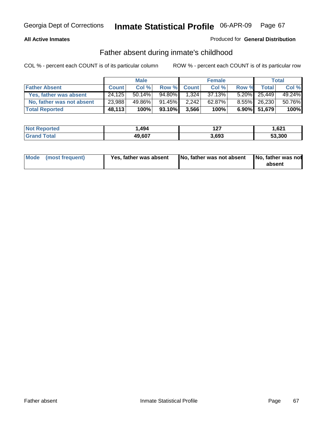## **All Active Inmates**

## Produced for **General Distribution**

## Father absent during inmate's childhood

|                           |              | <b>Male</b> |           |              | <b>Female</b> |       |                 | Total  |
|---------------------------|--------------|-------------|-----------|--------------|---------------|-------|-----------------|--------|
| <b>Father Absent</b>      | <b>Count</b> | Col %       | Row %     | <b>Count</b> | Col%          | Row % | Total           | Col %  |
| Yes, father was absent    | 24.125       | $50.14\%$   | 94.80%    | 1.324        | 37.13%        |       | 5.20% 25,449    | 49.24% |
| No, father was not absent | 23,988       | 49.86%      | $91.45\%$ | 2,242        | 62.87%        |       | 8.55% 26,230    | 50.76% |
| <b>Total Reported</b>     | 48,113       | 100%        | 93.10%    | 3,566        | 100%          |       | $6.90\%$ 51,679 | 100%   |

| <b>Not Reported</b> | 494. ا | ר ה<br>1 Z I | 621. ا |
|---------------------|--------|--------------|--------|
| <b>Grand Total</b>  | 49,607 | 3,693        | 53,300 |

| Mode (most frequent) | Yes, father was absent | No, father was not absent No, father was not | absent |
|----------------------|------------------------|----------------------------------------------|--------|
|                      |                        |                                              |        |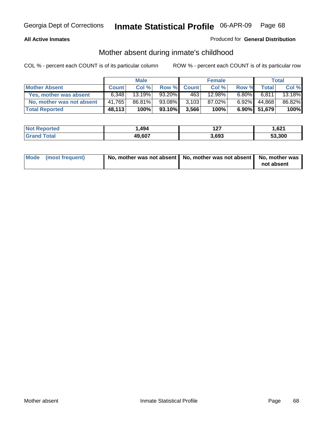## **All Active Inmates**

## Produced for **General Distribution**

## Mother absent during inmate's childhood

|                           |              | <b>Male</b> |        |              | <b>Female</b> |          |              | Total  |
|---------------------------|--------------|-------------|--------|--------------|---------------|----------|--------------|--------|
| <b>Mother Absent</b>      | <b>Count</b> | Col %       | Row %  | <b>Count</b> | Col %         | Row %    | <b>Total</b> | Col %  |
| Yes, mother was absent    | 6.348        | 13.19%      | 93.20% | 463          | 12.98%        | $6.80\%$ | 6.811        | 13.18% |
| No, mother was not absent | 41.765       | 86.81%      | 93.08% | 3,103        | 87.02%        | $6.92\%$ | 44,868       | 86.82% |
| <b>Total Reported</b>     | 48,113       | 100%        | 93.10% | 3,566        | 100%          |          | 6.90% 51,679 | 100%   |

| <b>Not Reported</b> | 494. ا | --<br>1 Z I | 621. ا |
|---------------------|--------|-------------|--------|
| Grand Total         | 49,607 | 3.693       | 53.300 |

| Mode (most frequent) | No, mother was not absent $\vert$ No, mother was not absent $\vert$ No, mother was | not absent |
|----------------------|------------------------------------------------------------------------------------|------------|
|                      |                                                                                    |            |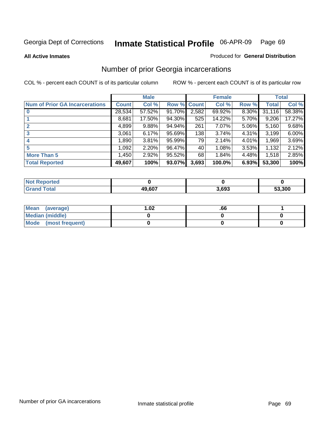#### **All Active Inmates**

### Produced for **General Distribution**

# Number of prior Georgia incarcerations

|                                       |              | <b>Male</b> |        |              | <b>Female</b> |          |        | <b>Total</b> |
|---------------------------------------|--------------|-------------|--------|--------------|---------------|----------|--------|--------------|
| <b>Num of Prior GA Incarcerations</b> | <b>Count</b> | Col %       | Row %  | <b>Count</b> | Col %         | Row %    | Total  | Col %        |
| $\bf{0}$                              | 28,534       | 57.52%      | 91.70% | 2,582        | 69.92%        | $8.30\%$ | 31,116 | 58.38%       |
|                                       | 8,681        | 17.50%      | 94.30% | 525          | 14.22%        | 5.70%    | 9,206  | 17.27%       |
|                                       | 4,899        | 9.88%       | 94.94% | 261          | 7.07%         | 5.06%    | 5,160  | 9.68%        |
| 3                                     | 3,061        | 6.17%       | 95.69% | 138          | 3.74%         | 4.31%    | 3,199  | 6.00%        |
|                                       | 1,890        | 3.81%       | 95.99% | 79           | 2.14%         | 4.01%    | 1,969  | 3.69%        |
| 5                                     | 1,092        | 2.20%       | 96.47% | 40           | 1.08%         | 3.53%    | 1,132  | 2.12%        |
| <b>More Than 5</b>                    | 1,450        | 2.92%       | 95.52% | 68           | 1.84%         | 4.48%    | 1,518  | 2.85%        |
| <b>Total Reported</b>                 | 49,607       | 100%        | 93.07% | 3,693        | 100.0%        | 6.93%    | 53,300 | 100%         |

| orted<br>NO.        |        |       |        |
|---------------------|--------|-------|--------|
| <b>Total</b><br>Gr: | 49,607 | 3,693 | 53,300 |

| Mean (average)       | l.O2 | .00 |  |
|----------------------|------|-----|--|
| Median (middle)      |      |     |  |
| Mode (most frequent) |      |     |  |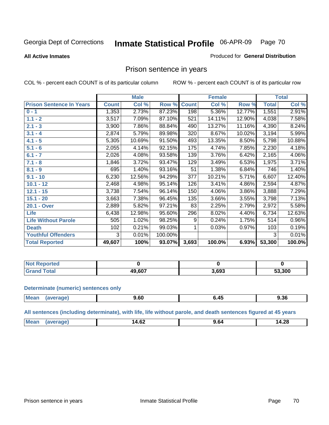#### **All Active Inmates**

#### Produced for **General Distribution**

## Prison sentence in years

COL % - percent each COUNT is of its particular column ROW % - percent each COUNT is of its particular row

|                                 |              | <b>Male</b> |         |              | <b>Female</b> |        |              | <b>Total</b> |
|---------------------------------|--------------|-------------|---------|--------------|---------------|--------|--------------|--------------|
| <b>Prison Sentence In Years</b> | <b>Count</b> | Col %       | Row %   | <b>Count</b> | Col %         | Row %  | <b>Total</b> | Col %        |
| $0 - 1$                         | 1,353        | 2.73%       | 87.23%  | 198          | 5.36%         | 12.77% | 1,551        | 2.91%        |
| $1.1 - 2$                       | 3,517        | 7.09%       | 87.10%  | 521          | 14.11%        | 12.90% | 4,038        | 7.58%        |
| $2.1 - 3$                       | 3,900        | 7.86%       | 88.84%  | 490          | 13.27%        | 11.16% | 4,390        | 8.24%        |
| $3.1 - 4$                       | 2,874        | 5.79%       | 89.98%  | 320          | 8.67%         | 10.02% | 3,194        | 5.99%        |
| $4.1 - 5$                       | 5,305        | 10.69%      | 91.50%  | 493          | 13.35%        | 8.50%  | 5,798        | 10.88%       |
| $5.1 - 6$                       | 2,055        | 4.14%       | 92.15%  | 175          | 4.74%         | 7.85%  | 2,230        | 4.18%        |
| $6.1 - 7$                       | 2,026        | 4.08%       | 93.58%  | 139          | 3.76%         | 6.42%  | 2,165        | 4.06%        |
| $7.1 - 8$                       | 1,846        | 3.72%       | 93.47%  | 129          | 3.49%         | 6.53%  | 1,975        | 3.71%        |
| $8.1 - 9$                       | 695          | 1.40%       | 93.16%  | 51           | 1.38%         | 6.84%  | 746          | $1.40\%$     |
| $9.1 - 10$                      | 6,230        | 12.56%      | 94.29%  | 377          | 10.21%        | 5.71%  | 6,607        | 12.40%       |
| $10.1 - 12$                     | 2,468        | 4.98%       | 95.14%  | 126          | 3.41%         | 4.86%  | 2,594        | 4.87%        |
| $12.1 - 15$                     | 3,738        | 7.54%       | 96.14%  | 150          | 4.06%         | 3.86%  | 3,888        | 7.29%        |
| $15.1 - 20$                     | 3,663        | 7.38%       | 96.45%  | 135          | 3.66%         | 3.55%  | 3,798        | 7.13%        |
| 20.1 - Over                     | 2,889        | 5.82%       | 97.21%  | 83           | 2.25%         | 2.79%  | 2,972        | 5.58%        |
| <b>Life</b>                     | 6,438        | 12.98%      | 95.60%  | 296          | 8.02%         | 4.40%  | 6,734        | 12.63%       |
| <b>Life Without Parole</b>      | 505          | 1.02%       | 98.25%  | 9            | 0.24%         | 1.75%  | 514          | 0.96%        |
| <b>Death</b>                    | 102          | 0.21%       | 99.03%  |              | 0.03%         | 0.97%  | 103          | 0.19%        |
| <b>Youthful Offenders</b>       | 3            | 0.01%       | 100.00% |              |               |        | 3            | 0.01%        |
| <b>Total Reported</b>           | 49,607       | 100%        | 93.07%  | 3,693        | 100.0%        | 6.93%  | 53,300       | 100.0%       |

| <b>Not Reported</b> |              |       |        |
|---------------------|--------------|-------|--------|
| 'otal<br>-Gret      | <b>9 607</b> | 8,693 | 53,300 |

#### **Determinate (numeric) sentences only**

| <b>Mean</b><br>$\cdots$ | апе | , bu | –⊷<br>___ | 9.36 |
|-------------------------|-----|------|-----------|------|
|                         |     |      |           |      |

**All sentences (including determinate), with life, life without parole, and death sentences figured at 45 years**

| $M_{\odot}$<br>$\sim$<br>ıД. |  |       |       |
|------------------------------|--|-------|-------|
| .<br>___                     |  | 14.0Z | 14.28 |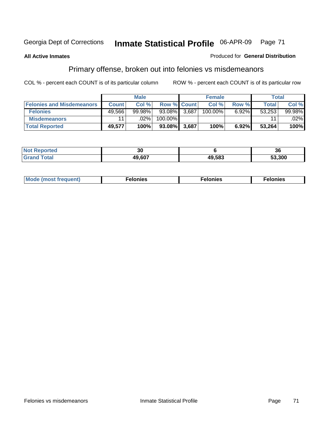### **All Active Inmates**

#### Produced for **General Distribution**

# Primary offense, broken out into felonies vs misdemeanors

|                                  |              | <b>Male</b> |                    |       | <b>Female</b> |       | Total  |         |
|----------------------------------|--------------|-------------|--------------------|-------|---------------|-------|--------|---------|
| <b>Felonies and Misdemeanors</b> | <b>Count</b> | Col%        | <b>Row % Count</b> |       | Col%          | Row % | Total  | Col%    |
| <b>Felonies</b>                  | 49.566       | $99.98\%$   | 93.08%             | 3.687 | 100.00%       | 6.92% | 53.253 | 99.98%  |
| <b>Misdemeanors</b>              |              | $.02\%$     | 100.00%            |       |               |       | 44     | $.02\%$ |
| <b>Total Reported</b>            | 49,577       | 100%        | 93.08%             | 3.687 | 100%          | 6.92% | 53,264 | 100%    |

| ted.<br>NO<br>⋯ | 30     |        | ^^<br>-36 |
|-----------------|--------|--------|-----------|
|                 | דחה הו | 49.583 | 53.300    |

| Mode (most frequent) | elonies | elonies | onies<br>-е к |
|----------------------|---------|---------|---------------|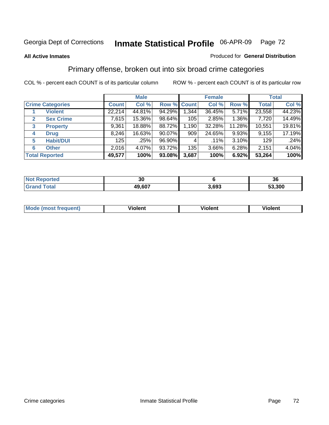#### **All Active Inmates**

#### Produced for **General Distribution**

## Primary offense, broken out into six broad crime categories

|                                  |              | <b>Male</b> |             |       | <b>Female</b> |          |              | <b>Total</b> |
|----------------------------------|--------------|-------------|-------------|-------|---------------|----------|--------------|--------------|
| <b>Crime Categories</b>          | <b>Count</b> | Col %       | Row % Count |       | Col %         | Row %    | <b>Total</b> | Col %        |
| <b>Violent</b>                   | 22,214       | 44.81%      | 94.29%      | 1,344 | 36.45%        | 5.71%    | 23,558       | 44.23%       |
| <b>Sex Crime</b><br>$\mathbf{2}$ | 7,615        | 15.36%      | 98.64%      | 105   | 2.85%         | 1.36%    | 7,720        | 14.49%       |
| $\mathbf{3}$<br><b>Property</b>  | 9,361        | 18.88%      | 88.72%      | 1,190 | 32.28%        | 11.28%   | 10,551       | 19.81%       |
| <b>Drug</b><br>4                 | 8,246        | 16.63%      | $90.07\%$   | 909   | 24.65%        | $9.93\%$ | 9,155        | 17.19%       |
| <b>Habit/DUI</b><br>5            | 125          | .25%        | 96.90%      | 4     | .11%          | $3.10\%$ | 129          | .24%         |
| <b>Other</b><br>6                | 2,016        | 4.07%       | 93.72%      | 135   | 3.66%         | 6.28%    | 2,151        | 4.04%        |
| <b>Total Reported</b>            | 49,577       | 100%        | 93.08%      | 3,687 | 100%          | 6.92%    | 53,264       | 100%         |

| <b>orted</b><br>NO | 30     |      | 36     |
|--------------------|--------|------|--------|
| 'otal              | 49,607 | .693 | 53.300 |

|  | <b>Mou</b><br>--- | .<br>วlent | ---<br>olent | ≀lent<br>-------- |
|--|-------------------|------------|--------------|-------------------|
|--|-------------------|------------|--------------|-------------------|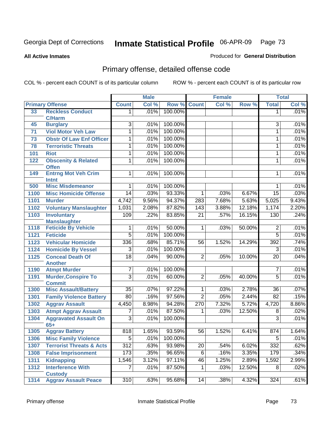**All Active Inmates**

### Produced for **General Distribution**

# Primary offense, detailed offense code

|      |                                                |                  | <b>Male</b> |         | <b>Female</b>   |       |        | <b>Total</b>                     |       |
|------|------------------------------------------------|------------------|-------------|---------|-----------------|-------|--------|----------------------------------|-------|
|      | <b>Primary Offense</b>                         | <b>Count</b>     | Col %       | Row %   | <b>Count</b>    | Col % | Row %  | <b>Total</b>                     | Col % |
| 33   | <b>Reckless Conduct</b>                        | 1.               | .01%        | 100.00% |                 |       |        | 1                                | .01%  |
|      | <b>C/Harm</b>                                  |                  |             |         |                 |       |        |                                  |       |
| 45   | <b>Burglary</b>                                | $\overline{3}$   | .01%        | 100.00% |                 |       |        | 3                                | .01%  |
| 71   | <b>Viol Motor Veh Law</b>                      | 1                | .01%        | 100.00% |                 |       |        | $\mathbf{1}$                     | .01%  |
| 73   | <b>Obstr Of Law Enf Officer</b>                | 1                | .01%        | 100.00% |                 |       |        | 1                                | .01%  |
| 78   | <b>Terroristic Threats</b>                     | 1                | .01%        | 100.00% |                 |       |        | 1                                | .01%  |
| 101  | <b>Riot</b>                                    | 1                | .01%        | 100.00% |                 |       |        | 1                                | .01%  |
| 122  | <b>Obscenity &amp; Related</b><br><b>Offen</b> | 1                | .01%        | 100.00% |                 |       |        | 1                                | .01%  |
| 149  | <b>Entrng Mot Veh Crim</b>                     | $\mathbf{1}$     | .01%        | 100.00% |                 |       |        | 1                                | .01%  |
|      | Intnt                                          |                  |             |         |                 |       |        |                                  |       |
| 500  | <b>Misc Misdemeanor</b>                        | 1                | .01%        | 100.00% |                 |       |        | 1                                | .01%  |
| 1100 | <b>Misc Homicide Offense</b>                   | 14               | .03%        | 93.33%  | 1               | .03%  | 6.67%  | $\overline{15}$                  | .03%  |
| 1101 | <b>Murder</b>                                  | 4,742            | 9.56%       | 94.37%  | 283             | 7.68% | 5.63%  | 5,025                            | 9.43% |
| 1102 | <b>Voluntary Manslaughter</b>                  | 1,031            | 2.08%       | 87.82%  | 143             | 3.88% | 12.18% | 1,174                            | 2.20% |
| 1103 | <b>Involuntary</b>                             | 109              | .22%        | 83.85%  | $\overline{21}$ | .57%  | 16.15% | 130                              | .24%  |
|      | <b>Manslaughter</b>                            |                  |             |         |                 |       |        |                                  |       |
| 1118 | <b>Feticide By Vehicle</b>                     | 1                | .01%        | 50.00%  | $\mathbf{1}$    | .03%  | 50.00% | $\overline{2}$                   | .01%  |
| 1121 | <b>Feticide</b>                                | $\overline{5}$   | .01%        | 100.00% |                 |       |        | $\overline{5}$                   | .01%  |
| 1123 | <b>Vehicular Homicide</b>                      | 336              | .68%        | 85.71%  | 56              | 1.52% | 14.29% | 392                              | .74%  |
| 1124 | <b>Homicide By Vessel</b>                      | 3                | .01%        | 100.00% |                 |       |        | $\overline{3}$                   | .01%  |
| 1125 | <b>Conceal Death Of</b>                        | $\overline{18}$  | .04%        | 90.00%  | $\overline{2}$  | .05%  | 10.00% | $\overline{20}$                  | .04%  |
|      | <b>Another</b>                                 |                  |             |         |                 |       |        |                                  |       |
| 1190 | <b>Atmpt Murder</b>                            | 7                | .01%        | 100.00% |                 |       |        | 7                                | .01%  |
| 1191 | <b>Murder, Conspire To</b>                     | $\overline{3}$   | .01%        | 60.00%  | $\overline{2}$  | .05%  | 40.00% | $\overline{5}$                   | .01%  |
| 1300 | <b>Commit</b><br><b>Misc Assault/Battery</b>   | $\overline{35}$  | .07%        | 97.22%  | $\overline{1}$  | .03%  | 2.78%  | $\overline{36}$                  | .07%  |
| 1301 | <b>Family Violence Battery</b>                 | 80               | .16%        | 97.56%  | $\overline{2}$  | .05%  | 2.44%  | $\overline{82}$                  | .15%  |
|      | <b>Aggrav Assault</b>                          | 4,450            | 8.98%       | 94.28%  | 270             | 7.32% | 5.72%  |                                  | 8.86% |
| 1302 |                                                |                  | .01%        | 87.50%  |                 |       |        | 4,720                            | .02%  |
| 1303 | <b>Atmpt Aggrav Assault</b>                    | 7                |             |         | 1               | .03%  | 12.50% | $\overline{8}$<br>$\overline{3}$ |       |
| 1304 | <b>Aggravated Assault On</b><br>$65+$          | $\overline{3}$   | .01%        | 100.00% |                 |       |        |                                  | .01%  |
| 1305 | <b>Aggrav Battery</b>                          | 818              | 1.65%       | 93.59%  | 56              | 1.52% | 6.41%  | 874                              | 1.64% |
| 1306 | <b>Misc Family Violence</b>                    | $\overline{5}$   | .01%        | 100.00% |                 |       |        | $\overline{5}$                   | .01%  |
| 1307 | <b>Terrorist Threats &amp; Acts</b>            | $\overline{312}$ | .63%        | 93.98%  | $\overline{20}$ | .54%  | 6.02%  | 332                              | .62%  |
| 1308 | <b>False Imprisonment</b>                      | 173              | .35%        | 96.65%  | 6               | .16%  | 3.35%  | 179                              | .34%  |
| 1311 | <b>Kidnapping</b>                              | 1,546            | 3.12%       | 97.11%  | 46              | 1.25% | 2.89%  | 1,592                            | 2.99% |
| 1312 | <b>Interference With</b>                       | 7                | .01%        | 87.50%  | $\mathbf 1$     | .03%  | 12.50% | 8                                | .02%  |
|      | <b>Custody</b>                                 |                  |             |         |                 |       |        |                                  |       |
| 1314 | <b>Aggrav Assault Peace</b>                    | 310              | .63%        | 95.68%  | 14              | .38%  | 4.32%  | 324                              | .61%  |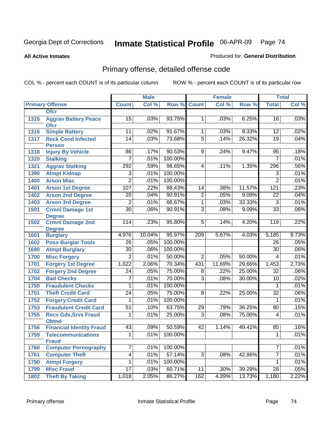**All Active Inmates**

### Produced for **General Distribution**

# Primary offense, detailed offense code

|      |                                            |                 | <b>Male</b> |         |                | <b>Female</b> |        |                          | <b>Total</b> |
|------|--------------------------------------------|-----------------|-------------|---------|----------------|---------------|--------|--------------------------|--------------|
|      | <b>Primary Offense</b>                     | <b>Count</b>    | Col %       | Row %   | <b>Count</b>   | Col %         | Row %  | <b>Total</b>             | Col %        |
|      | <b>Ofcr</b>                                |                 |             |         |                |               |        |                          |              |
| 1315 | <b>Aggrav Battery Peace</b><br><b>Ofcr</b> | 15              | .03%        | 93.75%  | $\mathbf 1$    | .03%          | 6.25%  | 16                       | .03%         |
| 1316 | <b>Simple Battery</b>                      | 11              | .02%        | 91.67%  | $\mathbf{1}$   | .03%          | 8.33%  | 12                       | .02%         |
| 1317 | <b>Reck Cond Infected</b>                  | $\overline{14}$ | .03%        | 73.68%  | $\overline{5}$ | .14%          | 26.32% | 19                       | .04%         |
|      | <b>Person</b>                              |                 |             |         |                |               |        |                          |              |
| 1318 | <b>Injury By Vehicle</b>                   | 86              | .17%        | 90.53%  | 9              | .24%          | 9.47%  | 95                       | .18%         |
| 1320 | <b>Stalking</b>                            | $\overline{7}$  | .01%        | 100.00% |                |               |        | $\overline{7}$           | .01%         |
| 1321 | <b>Aggrav Stalking</b>                     | 292             | .59%        | 98.65%  | 4              | .11%          | 1.35%  | 296                      | .56%         |
| 1390 | <b>Atmpt Kidnap</b>                        | $\overline{3}$  | .01%        | 100.00% |                |               |        | $\overline{3}$           | .01%         |
| 1400 | <b>Arson Misc</b>                          | $\overline{2}$  | .01%        | 100.00% |                |               |        | $\overline{2}$           | .01%         |
| 1401 | <b>Arson 1st Degree</b>                    | 107             | .22%        | 88.43%  | 14             | .38%          | 11.57% | 121                      | .23%         |
| 1402 | <b>Arson 2nd Degree</b>                    | $\overline{20}$ | .04%        | 90.91%  | $\overline{2}$ | .05%          | 9.09%  | $\overline{22}$          | .04%         |
| 1403 | <b>Arson 3rd Degree</b>                    | $\overline{2}$  | .01%        | 66.67%  | $\overline{1}$ | .03%          | 33.33% | $\overline{3}$           | .01%         |
| 1501 | <b>Crmnl Damage 1st</b>                    | $\overline{30}$ | .06%        | 90.91%  | $\overline{3}$ | .08%          | 9.09%  | $\overline{33}$          | .06%         |
|      | <b>Degree</b>                              |                 |             |         |                |               |        |                          |              |
| 1502 | <b>Crmnl Damage 2nd</b>                    | 114             | .23%        | 95.80%  | $\overline{5}$ | .14%          | 4.20%  | 119                      | .22%         |
|      | <b>Degree</b>                              |                 |             |         |                |               |        |                          |              |
| 1601 | <b>Burglary</b>                            | 4,976           | 10.04%      | 95.97%  | 209            | 5.67%         | 4.03%  | 5,185                    | 9.73%        |
| 1602 | <b>Poss Burglar Tools</b>                  | $\overline{26}$ | .05%        | 100.00% |                |               |        | 26                       | .05%         |
| 1690 | <b>Atmpt Burglary</b>                      | $\overline{30}$ | .06%        | 100.00% |                |               |        | 30                       | .06%         |
| 1700 | <b>Misc Forgery</b>                        | $\overline{2}$  | .01%        | 50.00%  | $\overline{2}$ | .05%          | 50.00% | $\overline{\mathcal{A}}$ | .01%         |
| 1701 | <b>Forgery 1st Degree</b>                  | 1,022           | 2.06%       | 70.34%  | 431            | 11.69%        | 29.66% | 1,453                    | 2.73%        |
| 1702 | <b>Forgery 2nd Degree</b>                  | $\overline{24}$ | .05%        | 75.00%  | 8              | .22%          | 25.00% | $\overline{32}$          | .06%         |
| 1704 | <b>Bad Checks</b>                          | 7               | .01%        | 70.00%  | $\overline{3}$ | .08%          | 30.00% | 10                       | .02%         |
| 1750 | <b>Fraudulent Checks</b>                   | $\mathbf{1}$    | .01%        | 100.00% |                |               |        | $\mathbf{1}$             | .01%         |
| 1751 | <b>Theft Credit Card</b>                   | $\overline{24}$ | .05%        | 75.00%  | 8              | .22%          | 25.00% | $\overline{32}$          | .06%         |
| 1752 | <b>Forgery Credit Card</b>                 | 1               | .01%        | 100.00% |                |               |        | 1                        | .01%         |
| 1753 | <b>Fraudulent Credit Card</b>              | $\overline{51}$ | .10%        | 63.75%  | 29             | .79%          | 36.25% | 80                       | .15%         |
| 1755 | <b>Recv Gds, Srvs Fraud</b>                | 1               | .01%        | 25.00%  | $\overline{3}$ | .08%          | 75.00% | 4                        | .01%         |
|      | <b>Obtnd</b>                               |                 |             |         |                |               |        |                          |              |
| 1756 | <b>Financial Identity Fraud</b>            | 43              | .09%        | 50.59%  | 42             | 1.14%         | 49.41% | 85                       | .16%         |
| 1759 | <b>Telecommunications</b><br><b>Fraud</b>  | $\overline{1}$  | .01%        | 100.00% |                |               |        | $\overline{1}$           | .01%         |
| 1760 | <b>Computer Pornography</b>                | $\overline{7}$  | .01%        | 100.00% |                |               |        | 7                        | .01%         |
| 1761 | <b>Computer Theft</b>                      | $\overline{4}$  | .01%        | 57.14%  | $\overline{3}$ | .08%          | 42.86% | $\overline{7}$           | .01%         |
| 1790 | <b>Atmpt Forgery</b>                       | 1               | .01%        | 100.00% |                |               |        | 1                        | .01%         |
| 1799 | <b>Misc Fraud</b>                          | $\overline{17}$ | .03%        | 60.71%  | 11             | $.30\%$       | 39.29% | $\overline{28}$          | .05%         |
| 1802 | <b>Theft By Taking</b>                     | 1,018           | 2.05%       | 86.27%  | 162            | 4.39%         | 13.73% | 1,180                    | 2.22%        |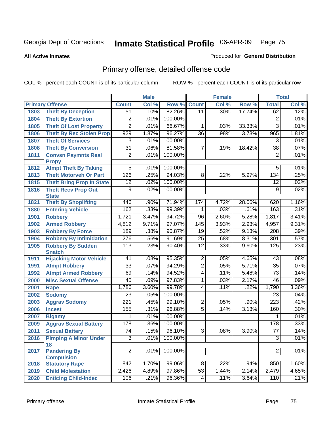**All Active Inmates**

### Produced for **General Distribution**

# Primary offense, detailed offense code

|      |                                             | <b>Male</b>      |       | <b>Female</b> |                 |               | <b>Total</b> |                  |       |
|------|---------------------------------------------|------------------|-------|---------------|-----------------|---------------|--------------|------------------|-------|
|      | <b>Primary Offense</b>                      | <b>Count</b>     | Col % | Row %         | <b>Count</b>    | Col %         | Row %        | <b>Total</b>     | Col % |
| 1803 | <b>Theft By Deception</b>                   | $\overline{51}$  | .10%  | 82.26%        | $\overline{11}$ | .30%          | 17.74%       | 62               | .12%  |
| 1804 | <b>Theft By Extortion</b>                   | 2                | .01%  | 100.00%       |                 |               |              | $\overline{2}$   | .01%  |
| 1805 | <b>Theft Of Lost Property</b>               | $\overline{2}$   | .01%  | 66.67%        | 1               | .03%          | 33.33%       | $\overline{3}$   | .01%  |
| 1806 | <b>Theft By Rec Stolen Prop</b>             | 929              | 1.87% | 96.27%        | $\overline{36}$ | .98%          | 3.73%        | 965              | 1.81% |
| 1807 | <b>Theft Of Services</b>                    | $\overline{3}$   | .01%  | 100.00%       |                 |               |              | $\overline{3}$   | .01%  |
| 1808 | <b>Theft By Conversion</b>                  | $\overline{31}$  | .06%  | 81.58%        | 7               | .19%          | 18.42%       | $\overline{38}$  | .07%  |
| 1811 | <b>Convsn Paymnts Real</b>                  | $\overline{2}$   | .01%  | 100.00%       |                 |               |              | $\overline{2}$   | .01%  |
|      | <b>Propy</b>                                |                  |       |               |                 |               |              |                  |       |
| 1812 | <b>Atmpt Theft By Taking</b>                | $\overline{5}$   | .01%  | 100.00%       |                 |               |              | $\overline{5}$   | .01%  |
| 1813 | <b>Theft Motorveh Or Part</b>               | 126              | .25%  | 94.03%        | 8               | .22%          | 5.97%        | 134              | .25%  |
| 1815 | <b>Theft Bring Prop In State</b>            | $\overline{12}$  | .02%  | 100.00%       |                 |               |              | $\overline{12}$  | .02%  |
| 1816 | <b>Theft Recv Prop Out</b>                  | $\overline{9}$   | .02%  | 100.00%       |                 |               |              | $\overline{9}$   | .02%  |
| 1821 | <b>State</b><br><b>Theft By Shoplifting</b> | 446              | .90%  | 71.94%        | 174             | 4.72%         | 28.06%       | 620              | 1.16% |
| 1880 | <b>Entering Vehicle</b>                     | 162              | .33%  | 99.39%        | 1               | .03%          | .61%         | 163              | .31%  |
| 1901 | <b>Robbery</b>                              | 1,721            | 3.47% | 94.72%        | 96              | 2.60%         | 5.28%        | 1,817            | 3.41% |
| 1902 | <b>Armed Robbery</b>                        | 4,812            | 9.71% | 97.07%        | 145             | 3.93%         | 2.93%        | 4,957            | 9.31% |
| 1903 | <b>Robbery By Force</b>                     | 189              | .38%  | 90.87%        | $\overline{19}$ | .52%          | 9.13%        | $\overline{208}$ | .39%  |
| 1904 | <b>Robbery By Intimidation</b>              | 276              | .56%  | 91.69%        | $\overline{25}$ | .68%          | 8.31%        | 301              | .57%  |
| 1905 | <b>Robbery By Sudden</b>                    | 113              | .23%  | 90.40%        | $\overline{12}$ | .33%          | 9.60%        | 125              | .23%  |
|      | <b>Snatch</b>                               |                  |       |               |                 |               |              |                  |       |
| 1911 | <b>Hijacking Motor Vehicle</b>              | 41               | .08%  | 95.35%        | $\overline{2}$  | .05%          | 4.65%        | 43               | .08%  |
| 1991 | <b>Atmpt Robbery</b>                        | $\overline{33}$  | .07%  | 94.29%        | $\overline{2}$  | .05%          | 5.71%        | $\overline{35}$  | .07%  |
| 1992 | <b>Atmpt Armed Robbery</b>                  | 69               | .14%  | 94.52%        | $\overline{4}$  | .11%          | 5.48%        | $\overline{73}$  | .14%  |
| 2000 | <b>Misc Sexual Offense</b>                  | 45               | .09%  | 97.83%        | 1               | .03%          | 2.17%        | 46               | .09%  |
| 2001 | Rape                                        | 1,786            | 3.60% | 99.78%        | 4               | .11%          | .22%         | 1,790            | 3.36% |
| 2002 | <b>Sodomy</b>                               | $\overline{23}$  | .05%  | 100.00%       |                 |               |              | $\overline{23}$  | .04%  |
| 2003 | <b>Aggrav Sodomy</b>                        | $\overline{221}$ | .45%  | 99.10%        | $\overline{2}$  | .05%          | .90%         | $\overline{223}$ | .42%  |
| 2006 | <b>Incest</b>                               | 155              | .31%  | 96.88%        | $\overline{5}$  | .14%          | 3.13%        | 160              | .30%  |
| 2007 | <b>Bigamy</b>                               | 1                | .01%  | 100.00%       |                 |               |              | 1                | .01%  |
| 2009 | <b>Aggrav Sexual Battery</b>                | 178              | .36%  | 100.00%       |                 |               |              | 178              | .33%  |
| 2011 | <b>Sexual Battery</b>                       | $\overline{74}$  | .15%  | 96.10%        | $\overline{3}$  | .08%          | 3.90%        | $\overline{77}$  | .14%  |
| 2016 | <b>Pimping A Minor Under</b>                | $\overline{3}$   | .01%  | 100.00%       |                 |               |              | $\overline{3}$   | .01%  |
|      | 18                                          |                  |       |               |                 |               |              |                  |       |
| 2017 | <b>Pandering By</b>                         | $\overline{2}$   | .01%  | 100.00%       |                 |               |              | $\overline{2}$   | .01%  |
|      | <b>Compulsion</b>                           | 842              |       |               |                 |               |              |                  |       |
| 2018 | <b>Statutory Rape</b>                       |                  | 1.70% | 99.06%        | $\infty$        | .22%<br>1.44% | .94%         | 850              | 1.60% |
| 2019 | <b>Child Molestation</b>                    | 2,426            | 4.89% | 97.86%        | $\overline{53}$ |               | 2.14%        | 2,479            | 4.65% |
| 2020 | <b>Enticing Child-Indec</b>                 | 106              | .21%  | 96.36%        | 4               | .11%          | 3.64%        | 110              | .21%  |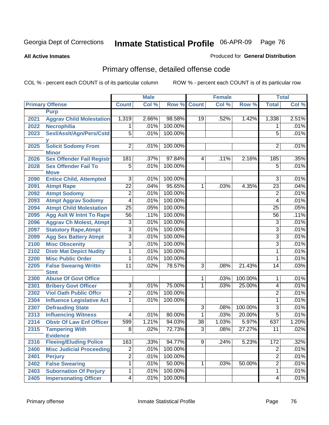#### **All Active Inmates**

### Produced for **General Distribution**

# Primary offense, detailed offense code

|      |                                            |                 | <b>Male</b> |                    |                 | <b>Female</b> |         |                  | <b>Total</b> |
|------|--------------------------------------------|-----------------|-------------|--------------------|-----------------|---------------|---------|------------------|--------------|
|      | <b>Primary Offense</b>                     | <b>Count</b>    | Col %       | <b>Row % Count</b> |                 | Col %         | Row %   | <b>Total</b>     | Col %        |
|      | <b>Purp</b>                                |                 |             |                    |                 |               |         |                  |              |
| 2021 | <b>Aggrav Child Molestation</b>            | 1,319           | 2.66%       | 98.58%             | 19              | .52%          | 1.42%   | 1,338            | 2.51%        |
| 2022 | <b>Necrophilia</b>                         | $\mathbf 1$     | .01%        | 100.00%            |                 |               |         | 1                | .01%         |
| 2023 | Sexl/Asslt/Agn/Pers/Cstd                   | $\overline{5}$  | .01%        | 100.00%            |                 |               |         | $\overline{5}$   | .01%         |
|      |                                            |                 |             |                    |                 |               |         |                  |              |
| 2025 | <b>Solicit Sodomy From</b><br><b>Minor</b> | $\overline{2}$  | .01%        | 100.00%            |                 |               |         | $\overline{2}$   | .01%         |
| 2026 | <b>Sex Offender Fail Registr</b>           | 181             | .37%        | 97.84%             | 4               | .11%          | 2.16%   | 185              | .35%         |
| 2028 | <b>Sex Offender Fail To</b>                | $\overline{5}$  | .01%        | 100.00%            |                 |               |         | $\overline{5}$   | .01%         |
|      | <b>Move</b>                                |                 |             |                    |                 |               |         |                  |              |
| 2090 | <b>Entice Child, Attempted</b>             | $\overline{3}$  | .01%        | 100.00%            |                 |               |         | $\overline{3}$   | .01%         |
| 2091 | <b>Atmpt Rape</b>                          | $\overline{22}$ | .04%        | 95.65%             | 1               | .03%          | 4.35%   | $\overline{23}$  | .04%         |
| 2092 | <b>Atmpt Sodomy</b>                        | $\overline{2}$  | .01%        | 100.00%            |                 |               |         | $\overline{2}$   | .01%         |
| 2093 | <b>Atmpt Aggrav Sodomy</b>                 | $\overline{4}$  | .01%        | 100.00%            |                 |               |         | 4                | .01%         |
| 2094 | <b>Atmpt Child Molestation</b>             | $\overline{25}$ | .05%        | 100.00%            |                 |               |         | $\overline{25}$  | .05%         |
| 2095 | <b>Agg Aslt W Intnt To Rape</b>            | $\overline{56}$ | .11%        | 100.00%            |                 |               |         | 56               | .11%         |
| 2096 | <b>Aggrav Ch Molest, Atmpt</b>             | $\overline{3}$  | .01%        | 100.00%            |                 |               |         | $\overline{3}$   | .01%         |
| 2097 | <b>Statutory Rape, Atmpt</b>               | $\overline{3}$  | .01%        | 100.00%            |                 |               |         | $\overline{3}$   | .01%         |
| 2099 | <b>Agg Sex Battery Atmpt</b>               | $\overline{3}$  | .01%        | 100.00%            |                 |               |         | $\overline{3}$   | .01%         |
| 2100 | <b>Misc Obscenity</b>                      | $\overline{3}$  | .01%        | 100.00%            |                 |               |         | $\overline{3}$   | .01%         |
| 2102 | <b>Distr Mat Depict Nudity</b>             | $\overline{1}$  | .01%        | 100.00%            |                 |               |         | 1                | .01%         |
| 2200 | <b>Misc Public Order</b>                   | 1               | .01%        | 100.00%            |                 |               |         | 1                | .01%         |
| 2205 | <b>False Swearng Writtn</b><br><b>Stmt</b> | $\overline{11}$ | .02%        | 78.57%             | $\overline{3}$  | .08%          | 21.43%  | 14               | .03%         |
| 2300 | <b>Abuse Of Govt Office</b>                |                 |             |                    | 1               | .03%          | 100.00% | 1                | .01%         |
| 2301 | <b>Bribery Govt Officer</b>                | 3               | .01%        | 75.00%             | 1               | .03%          | 25.00%  | 4                | .01%         |
| 2302 | <b>Viol Oath Public Offcr</b>              | $\overline{2}$  | .01%        | 100.00%            |                 |               |         | $\overline{2}$   | .01%         |
| 2304 | <b>Influence Legislative Act</b>           | $\overline{1}$  | .01%        | 100.00%            |                 |               |         | 1                | .01%         |
| 2307 | <b>Defrauding State</b>                    |                 |             |                    | $\overline{3}$  | .08%          | 100.00% | 3                | .01%         |
| 2313 | <b>Influencing Witness</b>                 | 4               | .01%        | 80.00%             | 1               | .03%          | 20.00%  | $\overline{5}$   | .01%         |
| 2314 | <b>Obstr Of Law Enf Officer</b>            | 599             | 1.21%       | 94.03%             | $\overline{38}$ | 1.03%         | 5.97%   | 637              | 1.20%        |
| 2315 | <b>Tampering With</b>                      | $\overline{8}$  | .02%        | 72.73%             | $\overline{3}$  | .08%          | 27.27%  | $\overline{11}$  | .02%         |
|      | <b>Evidence</b>                            |                 |             |                    |                 |               |         |                  |              |
| 2316 | <b>Fleeing/Eluding Police</b>              | 163             | .33%        | 94.77%             | $\overline{9}$  | .24%          | 5.23%   | $\overline{172}$ | .32%         |
| 2400 | <b>Misc Judicial Proceeding</b>            | $\overline{2}$  | .01%        | 100.00%            |                 |               |         | $\overline{c}$   | .01%         |
| 2401 | <b>Perjury</b>                             | $\overline{2}$  | .01%        | 100.00%            |                 |               |         | $\overline{2}$   | .01%         |
| 2402 | <b>False Swearing</b>                      | $\overline{1}$  | .01%        | 50.00%             | 1               | .03%          | 50.00%  | $\overline{2}$   | .01%         |
| 2403 | <b>Subornation Of Perjury</b>              | $\overline{1}$  | .01%        | 100.00%            |                 |               |         | 1                | .01%         |
| 2405 | <b>Impersonating Officer</b>               | $\overline{4}$  | .01%        | 100.00%            |                 |               |         | 4                | .01%         |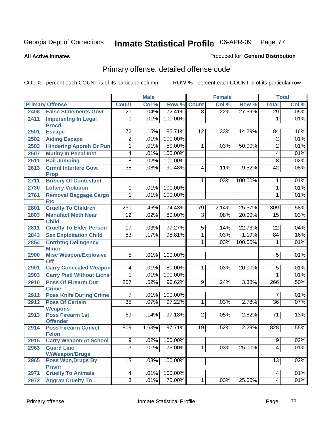#### **All Active Inmates**

### Produced for **General Distribution**

# Primary offense, detailed offense code

|      |                                             |                 | <b>Male</b> |         |                 | <b>Female</b> |         |                  | <b>Total</b> |
|------|---------------------------------------------|-----------------|-------------|---------|-----------------|---------------|---------|------------------|--------------|
|      | <b>Primary Offense</b>                      | <b>Count</b>    | Col %       | Row %   | <b>Count</b>    | Col %         | Row %   | <b>Total</b>     | Col %        |
| 2408 | <b>False Statements Govt</b>                | $\overline{21}$ | .04%        | 72.41%  | $\overline{8}$  | .22%          | 27.59%  | 29               | .05%         |
| 2411 | <b>Impersntng In Legal</b><br><b>Procd</b>  | 1               | .01%        | 100.00% |                 |               |         | 1                | .01%         |
| 2501 | <b>Escape</b>                               | $\overline{72}$ | .15%        | 85.71%  | 12              | .33%          | 14.29%  | 84               | .16%         |
| 2502 | <b>Aiding Escape</b>                        | $\overline{2}$  | .01%        | 100.00% |                 |               |         | $\overline{2}$   | .01%         |
| 2503 | <b>Hindering Appreh Or Pun</b>              | 1               | .01%        | 50.00%  | 1               | .03%          | 50.00%  | $\overline{2}$   | .01%         |
| 2507 | <b>Mutiny In Penal Inst</b>                 | $\overline{4}$  | .01%        | 100.00% |                 |               |         | 4                | .01%         |
| 2511 | <b>Bail Jumping</b>                         | $\overline{8}$  | .02%        | 100.00% |                 |               |         | $\overline{8}$   | .02%         |
| 2613 | <b>Crmnl Interfere Govt</b><br><b>Prop</b>  | $\overline{38}$ | .08%        | 90.48%  | 4               | .11%          | 9.52%   | 42               | .08%         |
| 2711 | <b>Bribery Of Contestant</b>                |                 |             |         | $\mathbf{1}$    | .03%          | 100.00% | 1                | .01%         |
| 2730 | <b>Lottery Violation</b>                    | 1               | .01%        | 100.00% |                 |               |         | 1                | .01%         |
| 2761 | <b>Removal Baggage, Cargo</b><br><b>Etc</b> | 1               | .01%        | 100.00% |                 |               |         | 1                | .01%         |
| 2801 | <b>Cruelty To Children</b>                  | 230             | .46%        | 74.43%  | 79              | 2.14%         | 25.57%  | $\overline{309}$ | .58%         |
| 2803 | <b>Manufact Meth Near</b>                   | $\overline{12}$ | .02%        | 80.00%  | $\overline{3}$  | .08%          | 20.00%  | $\overline{15}$  | .03%         |
|      | <b>Child</b>                                |                 |             |         |                 |               |         |                  |              |
| 2811 | <b>Cruelty To Elder Person</b>              | $\overline{17}$ | .03%        | 77.27%  | $\overline{5}$  | .14%          | 22.73%  | $\overline{22}$  | .04%         |
| 2843 | <b>Sex Exploitation Child</b>               | 83              | .17%        | 98.81%  | $\overline{1}$  | .03%          | 1.19%   | 84               | .16%         |
| 2854 | <b>Cntrbtng Delingency</b><br><b>Minor</b>  |                 |             |         | $\overline{1}$  | .03%          | 100.00% | 1                | .01%         |
| 2900 | <b>Misc Weapon/Explosive</b><br>Off         | $\overline{5}$  | .01%        | 100.00% |                 |               |         | $\overline{5}$   | .01%         |
| 2901 | <b>Carry Concealed Weapon</b>               | $\overline{4}$  | .01%        | 80.00%  | $\mathbf 1$     | .03%          | 20.00%  | $\overline{5}$   | .01%         |
| 2903 | <b>Carry Pistl Without Licns</b>            | 1               | .01%        | 100.00% |                 |               |         | 1                | .01%         |
| 2910 | <b>Poss Of Firearm Dur</b><br><b>Crime</b>  | 257             | .52%        | 96.62%  | 9               | .24%          | 3.38%   | 266              | .50%         |
| 2911 | <b>Poss Knife During Crime</b>              | $\overline{7}$  | .01%        | 100.00% |                 |               |         | $\overline{7}$   | .01%         |
| 2912 | <b>Poss Of Certain</b><br><b>Weapons</b>    | $\overline{35}$ | .07%        | 97.22%  | 1               | .03%          | 2.78%   | $\overline{36}$  | .07%         |
| 2913 | <b>Poss Firearm 1st</b><br><b>Offender</b>  | 69              | .14%        | 97.18%  | $\overline{2}$  | .05%          | 2.82%   | $\overline{71}$  | .13%         |
| 2914 | <b>Poss Firearm Convct</b><br><b>Felon</b>  | 809             | 1.63%       | 97.71%  | $\overline{19}$ | .52%          | 2.29%   | 828              | 1.55%        |
| 2915 | <b>Carry Weapon At School</b>               | $\overline{9}$  | .02%        | 100.00% |                 |               |         | $\overline{9}$   | .02%         |
| 2963 | <b>Guard Line</b><br><b>W/Weapon/Drugs</b>  | $\overline{3}$  | .01%        | 75.00%  | $\overline{1}$  | .03%          | 25.00%  | 4                | .01%         |
| 2965 | <b>Poss Wpn, Drugs By</b><br><b>Prisnr</b>  | 13              | .03%        | 100.00% |                 |               |         | 13               | .02%         |
| 2971 | <b>Cruelty To Animals</b>                   | 4               | .01%        | 100.00% |                 |               |         | 4                | .01%         |
| 2972 | <b>Aggrav Cruelty To</b>                    | $\overline{3}$  | .01%        | 75.00%  | 1               | .03%          | 25.00%  | 4                | .01%         |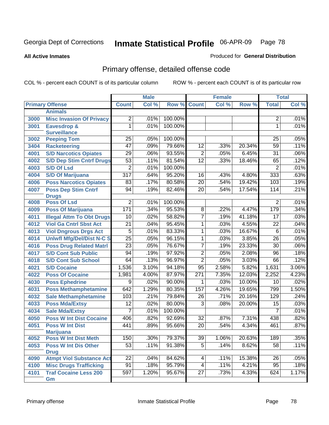**All Active Inmates**

### Produced for **General Distribution**

# Primary offense, detailed offense code

|      |                                  |                  | <b>Male</b> |         |                 | <b>Female</b> |        |                 | <b>Total</b> |
|------|----------------------------------|------------------|-------------|---------|-----------------|---------------|--------|-----------------|--------------|
|      | <b>Primary Offense</b>           | <b>Count</b>     | Col %       | Row %   | <b>Count</b>    | Col %         | Row %  | <b>Total</b>    | Col %        |
|      | <b>Animals</b>                   |                  |             |         |                 |               |        |                 |              |
| 3000 | <b>Misc Invasion Of Privacy</b>  | $\overline{2}$   | .01%        | 100.00% |                 |               |        | $\overline{2}$  | .01%         |
| 3001 | <b>Eavesdrop &amp;</b>           | $\overline{1}$   | .01%        | 100.00% |                 |               |        | 1               | .01%         |
|      | <b>Surveillance</b>              |                  |             |         |                 |               |        |                 |              |
| 3002 | <b>Peeping Tom</b>               | 25               | .05%        | 100.00% |                 |               |        | 25              | .05%         |
| 3404 | <b>Racketeering</b>              | $\overline{47}$  | .09%        | 79.66%  | $\overline{12}$ | .33%          | 20.34% | 59              | .11%         |
| 4001 | <b>S/D Narcotics Opiates</b>     | 29               | .06%        | 93.55%  | $\overline{2}$  | .05%          | 6.45%  | $\overline{31}$ | .06%         |
| 4002 | <b>S/D Dep Stim Cntrf Drugs</b>  | $\overline{53}$  | .11%        | 81.54%  | $\overline{12}$ | .33%          | 18.46% | 65              | .12%         |
| 4003 | <b>S/D Of Lsd</b>                | $\overline{2}$   | .01%        | 100.00% |                 |               |        | $\overline{2}$  | .01%         |
| 4004 | <b>S/D Of Marijuana</b>          | $\overline{317}$ | .64%        | 95.20%  | 16              | .43%          | 4.80%  | 333             | .63%         |
| 4006 | <b>Poss Narcotics Opiates</b>    | 83               | .17%        | 80.58%  | $\overline{20}$ | .54%          | 19.42% | 103             | .19%         |
| 4007 | <b>Poss Dep Stim Cntrf</b>       | $\overline{94}$  | .19%        | 82.46%  | $\overline{20}$ | .54%          | 17.54% | 114             | .21%         |
|      | <b>Drugs</b>                     |                  |             |         |                 |               |        |                 |              |
| 4008 | <b>Poss Of Lsd</b>               | $\overline{2}$   | .01%        | 100.00% |                 |               |        | $\overline{2}$  | .01%         |
| 4009 | <b>Poss Of Marijuana</b>         | 171              | .34%        | 95.53%  | $\overline{8}$  | .22%          | 4.47%  | 179             | .34%         |
| 4011 | <b>Illegal Attm To Obt Drugs</b> | 10               | .02%        | 58.82%  | 7               | .19%          | 41.18% | $\overline{17}$ | .03%         |
| 4012 | <b>Viol Ga Cntrl Sbst Act</b>    | $\overline{21}$  | .04%        | 95.45%  | 1               | .03%          | 4.55%  | $\overline{22}$ | .04%         |
| 4013 | <b>Viol Dngrous Drgs Act</b>     | $\overline{5}$   | .01%        | 83.33%  | $\overline{1}$  | .03%          | 16.67% | $\overline{6}$  | .01%         |
| 4014 | <b>Uniwfl Mfg/Del/Dist N-C S</b> | $\overline{25}$  | .05%        | 96.15%  | $\overline{1}$  | .03%          | 3.85%  | $\overline{26}$ | .05%         |
| 4016 | <b>Poss Drug Related Matri</b>   | $\overline{23}$  | .05%        | 76.67%  | 7               | .19%          | 23.33% | $\overline{30}$ | .06%         |
| 4017 | <b>S/D Cont Sub Public</b>       | 94               | .19%        | 97.92%  | $\overline{2}$  | .05%          | 2.08%  | $\overline{96}$ | .18%         |
| 4018 | <b>S/D Cont Sub School</b>       | 64               | .13%        | 96.97%  | $\overline{2}$  | .05%          | 3.03%  | 66              | .12%         |
| 4021 | <b>S/D Cocaine</b>               | 1,536            | 3.10%       | 94.18%  | $\overline{95}$ | 2.58%         | 5.82%  | 1,631           | 3.06%        |
| 4022 | <b>Poss Of Cocaine</b>           | 1,981            | 4.00%       | 87.97%  | 271             | 7.35%         | 12.03% | 2,252           | 4.23%        |
| 4030 | <b>Poss Ephedrine</b>            | $\overline{9}$   | .02%        | 90.00%  | 1               | .03%          | 10.00% | $\overline{10}$ | .02%         |
| 4031 | <b>Poss Methamphetamine</b>      | 642              | 1.29%       | 80.35%  | 157             | 4.26%         | 19.65% | 799             | 1.50%        |
| 4032 | <b>Sale Methamphetamine</b>      | 103              | .21%        | 79.84%  | $\overline{26}$ | .71%          | 20.16% | 129             | .24%         |
| 4033 | <b>Poss Mda/Extsy</b>            | $\overline{12}$  | .02%        | 80.00%  | $\overline{3}$  | .08%          | 20.00% | $\overline{15}$ | .03%         |
| 4034 | <b>Sale Mda/Extsy</b>            | $\overline{7}$   | .01%        | 100.00% |                 |               |        | $\overline{7}$  | .01%         |
| 4050 | <b>Poss W Int Dist Cocaine</b>   | 406              | .82%        | 92.69%  | $\overline{32}$ | .87%          | 7.31%  | 438             | .82%         |
| 4051 | <b>Poss W Int Dist</b>           | 441              | .89%        | 95.66%  | $\overline{20}$ | .54%          | 4.34%  | 461             | .87%         |
|      | <b>Marijuana</b>                 |                  |             |         |                 |               |        |                 |              |
| 4052 | <b>Poss W Int Dist Meth</b>      | 150              | .30%        | 79.37%  | 39              | 1.06%         | 20.63% | 189             | .35%         |
| 4053 | <b>Poss W Int Dis Other</b>      | 53               | .11%        | 91.38%  | $\overline{5}$  | .14%          | 8.62%  | $\overline{58}$ | .11%         |
|      | <b>Drug</b>                      |                  |             |         |                 |               |        |                 |              |
| 4090 | <b>Atmpt Viol Substance Act</b>  | 22               | .04%        | 84.62%  | 4               | .11%          | 15.38% | 26              | .05%         |
| 4100 | <b>Misc Drugs Trafficking</b>    | 91               | .18%        | 95.79%  | 4               | .11%          | 4.21%  | 95              | .18%         |
| 4101 | <b>Traf Cocaine Less 200</b>     | 597              | 1.20%       | 95.67%  | 27              | .73%          | 4.33%  | 624             | 1.17%        |
|      | Gm                               |                  |             |         |                 |               |        |                 |              |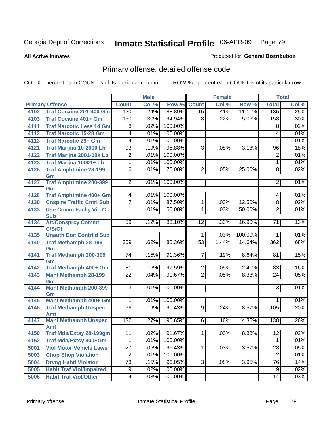**All Active Inmates**

#### Produced for **General Distribution**

# Primary offense, detailed offense code

|      |                                     |                          | <b>Male</b> |         |                 | <b>Female</b> |         | <b>Total</b>    |       |
|------|-------------------------------------|--------------------------|-------------|---------|-----------------|---------------|---------|-----------------|-------|
|      | <b>Primary Offense</b>              | <b>Count</b>             | Col %       | Row %   | <b>Count</b>    | Col %         | Row %   | <b>Total</b>    | Col % |
| 4102 | <b>Traf Cocaine 201-400 Gm</b>      | 120                      | .24%        | 88.89%  | $\overline{15}$ | .41%          | 11.11%  | 135             | .25%  |
| 4103 | <b>Traf Cocaine 401+ Gm</b>         | 150                      | .30%        | 94.94%  | 8               | .22%          | 5.06%   | 158             | .30%  |
| 4111 | <b>Traf Narcotic Less 14 Gm</b>     | 8                        | .02%        | 100.00% |                 |               |         | $\overline{8}$  | .02%  |
| 4112 | <b>Traf Narcotic 15-28 Gm</b>       | $\overline{4}$           | .01%        | 100.00% |                 |               |         | 4               | .01%  |
| 4113 | <b>Traf Narcotic 29+ Gm</b>         | $\overline{4}$           | .01%        | 100.00% |                 |               |         | $\overline{4}$  | .01%  |
| 4121 | Traf Marijna 10-2000 Lb             | $\overline{93}$          | .19%        | 96.88%  | ن               | .08%          | 3.13%   | 96              | .18%  |
| 4122 | Traf Marijna 2001-10k Lb            | $\overline{2}$           | .01%        | 100.00% |                 |               |         | $\overline{2}$  | .01%  |
| 4123 | Traf Marijna 10001+ Lb              | $\overline{1}$           | .01%        | 100.00% |                 |               |         | $\mathbf{1}$    | .01%  |
| 4126 | <b>Traf Amphtmine 28-199</b>        | $\overline{6}$           | .01%        | 75.00%  | $\overline{2}$  | .05%          | 25.00%  | 8               | .02%  |
|      | Gm                                  |                          |             |         |                 |               |         |                 |       |
| 4127 | <b>Traf Amphtmine 200-399</b>       | $\overline{2}$           | .01%        | 100.00% |                 |               |         | $\overline{2}$  | .01%  |
| 4128 | Gm<br><b>Traf Amphtmine 400+ Gm</b> | $\overline{\mathcal{A}}$ | .01%        | 100.00% |                 |               |         | 4               | .01%  |
| 4130 | <b>Cnspire Traffic Cntrl Sub</b>    | $\overline{7}$           | .01%        | 87.50%  | $\overline{1}$  | .03%          | 12.50%  | $\overline{8}$  | .02%  |
| 4133 | <b>Use Comm Facity Vio C</b>        | 1                        | .01%        | 50.00%  | 1               | .03%          | 50.00%  | $\overline{2}$  | .01%  |
|      | <b>Sub</b>                          |                          |             |         |                 |               |         |                 |       |
| 4134 | <b>Att/Consprcy Commt</b>           | 59                       | .12%        | 83.10%  | 12              | .33%          | 16.90%  | $\overline{71}$ | .13%  |
|      | C/S/Of                              |                          |             |         |                 |               |         |                 |       |
| 4135 | <b>Unauth Dist Contrild Sub</b>     |                          |             |         | $\mathbf{1}$    | .03%          | 100.00% | 1               | .01%  |
| 4140 | <b>Traf Methamph 28-199</b>         | 309                      | .62%        | 85.36%  | $\overline{53}$ | 1.44%         | 14.64%  | 362             | .68%  |
|      | Gm                                  |                          |             |         |                 |               |         |                 |       |
| 4141 | <b>Traf Methamph 200-399</b>        | 74                       | .15%        | 91.36%  | 7 <sup>1</sup>  | .19%          | 8.64%   | 81              | .15%  |
| 4142 | Gm<br>Traf Methamph 400+ Gm         | 81                       | .16%        | 97.59%  | $\overline{2}$  | .05%          | 2.41%   | 83              | .16%  |
| 4143 | <b>Manf Methamph 28-199</b>         | $\overline{22}$          | .04%        | 91.67%  | $\overline{2}$  | .05%          | 8.33%   | $\overline{24}$ | .05%  |
|      | Gm                                  |                          |             |         |                 |               |         |                 |       |
| 4144 | <b>Manf Methamph 200-399</b>        | $\overline{3}$           | .01%        | 100.00% |                 |               |         | 3               | .01%  |
|      | Gm                                  |                          |             |         |                 |               |         |                 |       |
| 4145 | Manf Methamph 400+ Gm               | 1                        | .01%        | 100.00% |                 |               |         | 1               | .01%  |
| 4146 | <b>Traf Methamph Unspec</b>         | $\overline{96}$          | .19%        | 91.43%  | $\overline{9}$  | .24%          | 8.57%   | 105             | .20%  |
|      | Amt                                 |                          |             |         |                 |               |         |                 |       |
| 4147 | <b>Manf Methamph Unspec</b>         | 132                      | .27%        | 95.65%  | 6               | .16%          | 4.35%   | 138             | .26%  |
|      | Amt                                 |                          |             |         |                 |               |         |                 |       |
| 4150 | <b>Traf Mda/Extsy 28-199gm</b>      | 11                       | .02%        | 91.67%  | $\overline{1}$  | .03%          | 8.33%   | $\overline{12}$ | .02%  |
| 4152 | <b>Traf Mda/Extsy 400+Gm</b>        | 1                        | .01%        | 100.00% |                 |               |         | 1               | .01%  |
| 5001 | <b>Viol Motor Vehicle Laws</b>      | $\overline{27}$          | .05%        | 96.43%  | $\mathbf{1}$    | .03%          | 3.57%   | $\overline{28}$ | .05%  |
| 5003 | <b>Chop Shop Violation</b>          | $\overline{2}$           | .01%        | 100.00% |                 |               |         | $\overline{2}$  | .01%  |
| 5004 | <b>Drvng Habtl Violator</b>         | $\overline{73}$          | .15%        | 96.05%  | $\overline{3}$  | .08%          | 3.95%   | $\overline{76}$ | .14%  |
| 5005 | <b>Habit Traf Viol/Impaired</b>     | $\overline{9}$           | .02%        | 100.00% |                 |               |         | $\overline{9}$  | .02%  |
| 5006 | <b>Habit Traf Viol/Other</b>        | 14                       | .03%        | 100.00% |                 |               |         | 14              | .03%  |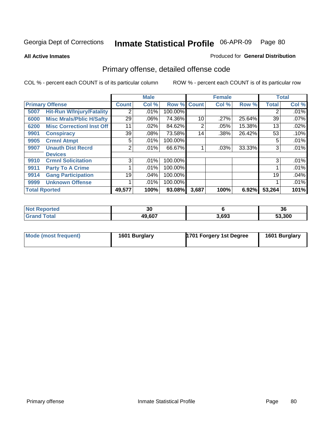**All Active Inmates**

#### Produced for **General Distribution**

# Primary offense, detailed offense code

|                      |                                  |              | <b>Male</b> |         |              | <b>Female</b> |        |              | <b>Total</b> |
|----------------------|----------------------------------|--------------|-------------|---------|--------------|---------------|--------|--------------|--------------|
|                      | <b>Primary Offense</b>           | <b>Count</b> | Col %       | Row %   | <b>Count</b> | Col %         | Row %  | <b>Total</b> | Col %        |
| 5007                 | <b>Hit-Run W/Injury/Fatality</b> | 2            | .01%        | 100.00% |              |               |        | 2            | $.01\%$      |
| 6000                 | <b>Misc Mrals/Pblic H/Safty</b>  | 29           | .06%        | 74.36%  | 10           | .27%          | 25.64% | 39           | .07%         |
| 6200                 | <b>Misc CorrectionI Inst Off</b> | 11           | .02%        | 84.62%  | 2            | .05%          | 15.38% | 13           | .02%         |
| 9901                 | <b>Conspiracy</b>                | 39           | .08%        | 73.58%  | 14           | .38%          | 26.42% | 53           | .10%         |
| 9905                 | <b>Crmnl Atmpt</b>               | 5            | .01%        | 100.00% |              |               |        | 5            | .01%         |
| 9907                 | <b>Unauth Dist Recrd</b>         | 2            | .01%        | 66.67%  |              | .03%          | 33.33% | 3            | .01%         |
|                      | <b>Devices</b>                   |              |             |         |              |               |        |              |              |
| 9910                 | <b>Crmnl Solicitation</b>        | 3            | $.01\%$     | 100.00% |              |               |        | 3            | .01%         |
| 9911                 | <b>Party To A Crime</b>          |              | .01%        | 100.00% |              |               |        |              | .01%         |
| 9914                 | <b>Gang Participation</b>        | 19           | .04%        | 100.00% |              |               |        | 19           | .04%         |
| 9999                 | <b>Unknown Offense</b>           |              | .01%        | 100.00% |              |               |        |              | .01%         |
| <b>Total Rported</b> |                                  | 49,577       | 100%        | 93.08%  | 3,687        | 100%          | 6.92%  | 53,264       | 101%         |

| <b>Not</b><br>Reported | 01<br>งบ |       | 36     |
|------------------------|----------|-------|--------|
| Total                  | 49,607   | 3,693 | 53,300 |

| Mode (most frequent) | 1601 Burglary | <b>1701 Forgery 1st Degree</b> | 1601 Burglary |
|----------------------|---------------|--------------------------------|---------------|
|----------------------|---------------|--------------------------------|---------------|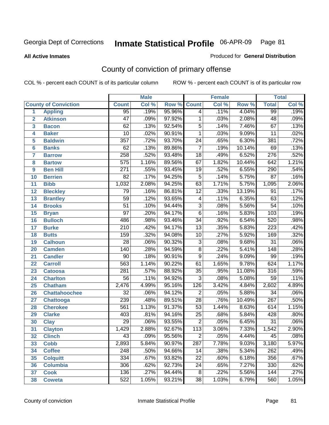#### **All Active Inmates**

#### Produced for **General Distribution**

# County of conviction of primary offense

|                         |                             |                  | <b>Male</b> |        | <b>Female</b>   |       |        | <b>Total</b>     |       |  |
|-------------------------|-----------------------------|------------------|-------------|--------|-----------------|-------|--------|------------------|-------|--|
|                         | <b>County of Conviction</b> | <b>Count</b>     | Col %       | Row %  | <b>Count</b>    | Col % | Row %  | <b>Total</b>     | Col % |  |
| 1                       | <b>Appling</b>              | $\overline{95}$  | .19%        | 95.96% | $\overline{4}$  | .11%  | 4.04%  | 99               | .19%  |  |
| $\overline{2}$          | <b>Atkinson</b>             | $\overline{47}$  | .09%        | 97.92% | 1               | .03%  | 2.08%  | 48               | .09%  |  |
| $\overline{\mathbf{3}}$ | <b>Bacon</b>                | $\overline{62}$  | .13%        | 92.54% | $\overline{5}$  | .14%  | 7.46%  | $\overline{67}$  | .13%  |  |
| 4                       | <b>Baker</b>                | $\overline{10}$  | .02%        | 90.91% | $\mathbf 1$     | .03%  | 9.09%  | $\overline{11}$  | .02%  |  |
| 5                       | <b>Baldwin</b>              | $\overline{357}$ | .72%        | 93.70% | $\overline{24}$ | .65%  | 6.30%  | 381              | .72%  |  |
| 6                       | <b>Banks</b>                | $\overline{62}$  | .13%        | 89.86% | $\overline{7}$  | .19%  | 10.14% | 69               | .13%  |  |
| 7                       | <b>Barrow</b>               | 258              | .52%        | 93.48% | $\overline{18}$ | .49%  | 6.52%  | $\overline{276}$ | .52%  |  |
| 8                       | <b>Bartow</b>               | $\overline{575}$ | 1.16%       | 89.56% | 67              | 1.82% | 10.44% | 642              | 1.21% |  |
| 9                       | <b>Ben Hill</b>             | $\overline{271}$ | .55%        | 93.45% | $\overline{19}$ | .52%  | 6.55%  | 290              | .54%  |  |
| 10                      | <b>Berrien</b>              | 82               | .17%        | 94.25% | $\overline{5}$  | .14%  | 5.75%  | $\overline{87}$  | .16%  |  |
| 11                      | <b>Bibb</b>                 | 1,032            | 2.08%       | 94.25% | $\overline{63}$ | 1.71% | 5.75%  | 1,095            | 2.06% |  |
| 12                      | <b>Bleckley</b>             | 79               | .16%        | 86.81% | $\overline{12}$ | .33%  | 13.19% | $\overline{91}$  | .17%  |  |
| $\overline{13}$         | <b>Brantley</b>             | $\overline{59}$  | .12%        | 93.65% | $\overline{4}$  | .11%  | 6.35%  | 63               | .12%  |  |
| 14                      | <b>Brooks</b>               | $\overline{51}$  | .10%        | 94.44% | $\overline{3}$  | .08%  | 5.56%  | $\overline{54}$  | .10%  |  |
| 15                      | <b>Bryan</b>                | $\overline{97}$  | .20%        | 94.17% | $\overline{6}$  | .16%  | 5.83%  | 103              | .19%  |  |
| 16                      | <b>Bulloch</b>              | 486              | .98%        | 93.46% | $\overline{34}$ | .92%  | 6.54%  | 520              | .98%  |  |
| 17                      | <b>Burke</b>                | $\overline{210}$ | .42%        | 94.17% | $\overline{13}$ | .35%  | 5.83%  | $\overline{223}$ | .42%  |  |
| 18                      | <b>Butts</b>                | 159              | .32%        | 94.08% | $\overline{10}$ | .27%  | 5.92%  | 169              | .32%  |  |
| 19                      | <b>Calhoun</b>              | $\overline{28}$  | .06%        | 90.32% | $\overline{3}$  | .08%  | 9.68%  | $\overline{31}$  | .06%  |  |
| 20                      | <b>Camden</b>               | 140              | .28%        | 94.59% | $\overline{8}$  | .22%  | 5.41%  | $\overline{148}$ | .28%  |  |
| 21                      | <b>Candler</b>              | $\overline{90}$  | .18%        | 90.91% | $\overline{9}$  | .24%  | 9.09%  | 99               | .19%  |  |
| 22                      | <b>Carroll</b>              | 563              | 1.14%       | 90.22% | 61              | 1.65% | 9.78%  | 624              | 1.17% |  |
| 23                      | <b>Catoosa</b>              | $\overline{281}$ | .57%        | 88.92% | $\overline{35}$ | .95%  | 11.08% | 316              | .59%  |  |
| 24                      | <b>Charlton</b>             | $\overline{56}$  | .11%        | 94.92% | $\overline{3}$  | .08%  | 5.08%  | $\overline{59}$  | .11%  |  |
| 25                      | <b>Chatham</b>              | 2,476            | 4.99%       | 95.16% | 126             | 3.42% | 4.84%  | 2,602            | 4.89% |  |
| 26                      | <b>Chattahoochee</b>        | $\overline{32}$  | .06%        | 94.12% | $\overline{2}$  | .05%  | 5.88%  | $\overline{34}$  | .06%  |  |
| 27                      | <b>Chattooga</b>            | 239              | .48%        | 89.51% | $\overline{28}$ | .76%  | 10.49% | 267              | .50%  |  |
| 28                      | <b>Cherokee</b>             | 561              | 1.13%       | 91.37% | $\overline{53}$ | 1.44% | 8.63%  | 614              | 1.15% |  |
| 29                      | <b>Clarke</b>               | 403              | .81%        | 94.16% | $\overline{25}$ | .68%  | 5.84%  | 428              | .80%  |  |
| 30                      | <b>Clay</b>                 | $\overline{29}$  | .06%        | 93.55% | $\overline{2}$  | .05%  | 6.45%  | $\overline{31}$  | .06%  |  |
| 31                      | <b>Clayton</b>              | 1,429            | 2.88%       | 92.67% | 113             | 3.06% | 7.33%  | 1,542            | 2.90% |  |
| 32                      | <b>Clinch</b>               | 43               | .09%        | 95.56% | 2               | .05%  | 4.44%  | 45               | .08%  |  |
| 33                      | <b>Cobb</b>                 | 2,893            | 5.84%       | 90.97% | 287             | 7.78% | 9.03%  | 3,180            | 5.97% |  |
| 34                      | <b>Coffee</b>               | 248              | .50%        | 94.66% | 14              | .38%  | 5.34%  | 262              | .49%  |  |
| 35                      | <b>Colquitt</b>             | 334              | .67%        | 93.82% | 22              | .60%  | 6.18%  | 356              | .67%  |  |
| 36                      | <b>Columbia</b>             | 306              | .62%        | 92.73% | 24              | .65%  | 7.27%  | 330              | .62%  |  |
| 37                      | <b>Cook</b>                 | 136              | .27%        | 94.44% | 8               | .22%  | 5.56%  | 144              | .27%  |  |
| 38                      | <b>Coweta</b>               | 522              | 1.05%       | 93.21% | 38              | 1.03% | 6.79%  | 560              | 1.05% |  |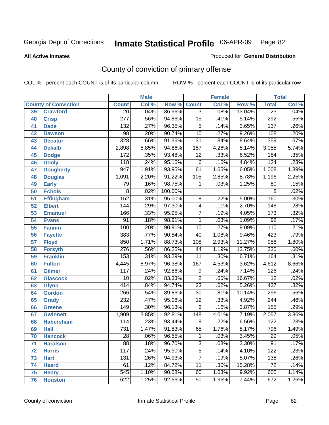**All Active Inmates**

### Produced for **General Distribution**

# County of conviction of primary offense

|    |                             |                  | <b>Male</b> |         | <b>Female</b>   |       |        | <b>Total</b>     |       |  |
|----|-----------------------------|------------------|-------------|---------|-----------------|-------|--------|------------------|-------|--|
|    | <b>County of Conviction</b> | <b>Count</b>     | Col %       | Row %   | <b>Count</b>    | Col % | Row %  | <b>Total</b>     | Col % |  |
| 39 | <b>Crawford</b>             | $\overline{20}$  | .04%        | 86.96%  | $\overline{3}$  | .08%  | 13.04% | $\overline{23}$  | .04%  |  |
| 40 | <b>Crisp</b>                | $\overline{277}$ | .56%        | 94.86%  | $\overline{15}$ | .41%  | 5.14%  | 292              | .55%  |  |
| 41 | <b>Dade</b>                 | 132              | .27%        | 96.35%  | $\overline{5}$  | .14%  | 3.65%  | 137              | .26%  |  |
| 42 | <b>Dawson</b>               | 98               | .20%        | 90.74%  | $\overline{10}$ | .27%  | 9.26%  | 108              | .20%  |  |
| 43 | <b>Decatur</b>              | 328              | .66%        | 91.36%  | $\overline{31}$ | .84%  | 8.64%  | 359              | .67%  |  |
| 44 | <b>Dekalb</b>               | 2,898            | 5.85%       | 94.86%  | 157             | 4.26% | 5.14%  | 3,055            | 5.74% |  |
| 45 | <b>Dodge</b>                | 172              | .35%        | 93.48%  | $\overline{12}$ | .33%  | 6.52%  | 184              | .35%  |  |
| 46 | <b>Dooly</b>                | 118              | .24%        | 95.16%  | 6               | .16%  | 4.84%  | 124              | .23%  |  |
| 47 | <b>Dougherty</b>            | $\overline{947}$ | 1.91%       | 93.95%  | 61              | 1.65% | 6.05%  | 1,008            | 1.89% |  |
| 48 | <b>Douglas</b>              | 1,091            | 2.20%       | 91.22%  | 105             | 2.85% | 8.78%  | 1,196            | 2.25% |  |
| 49 | <b>Early</b>                | 79               | .16%        | 98.75%  | 1               | .03%  | 1.25%  | 80               | .15%  |  |
| 50 | <b>Echols</b>               | 8                | .02%        | 100.00% |                 |       |        | 8                | .02%  |  |
| 51 | <b>Effingham</b>            | 152              | .31%        | 95.00%  | $\overline{8}$  | .22%  | 5.00%  | 160              | .30%  |  |
| 52 | <b>Elbert</b>               | 144              | .29%        | 97.30%  | 4               | .11%  | 2.70%  | $\overline{148}$ | .28%  |  |
| 53 | <b>Emanuel</b>              | 166              | .33%        | 95.95%  | $\overline{7}$  | .19%  | 4.05%  | 173              | .32%  |  |
| 54 | <b>Evans</b>                | $\overline{91}$  | .18%        | 98.91%  | 1               | .03%  | 1.09%  | 92               | .17%  |  |
| 55 | <b>Fannin</b>               | 100              | .20%        | 90.91%  | 10              | .27%  | 9.09%  | $\overline{110}$ | .21%  |  |
| 56 | <b>Fayette</b>              | 383              | .77%        | 90.54%  | 40              | 1.08% | 9.46%  | 423              | .79%  |  |
| 57 | <b>Floyd</b>                | 850              | 1.71%       | 88.73%  | 108             | 2.93% | 11.27% | 958              | 1.80% |  |
| 58 | <b>Forsyth</b>              | $\overline{276}$ | .56%        | 86.25%  | 44              | 1.19% | 13.75% | 320              | .60%  |  |
| 59 | <b>Franklin</b>             | 153              | .31%        | 93.29%  | $\overline{11}$ | .30%  | 6.71%  | 164              | .31%  |  |
| 60 | <b>Fulton</b>               | 4,445            | 8.97%       | 96.38%  | 167             | 4.53% | 3.62%  | 4,612            | 8.66% |  |
| 61 | Gilmer                      | 117              | .24%        | 92.86%  | 9               | .24%  | 7.14%  | $\overline{126}$ | .24%  |  |
| 62 | <b>Glascock</b>             | $\overline{10}$  | .02%        | 83.33%  | $\overline{2}$  | .05%  | 16.67% | $\overline{12}$  | .02%  |  |
| 63 | <b>Glynn</b>                | 414              | .84%        | 94.74%  | $\overline{23}$ | .62%  | 5.26%  | 437              | .82%  |  |
| 64 | <b>Gordon</b>               | 266              | .54%        | 89.86%  | $\overline{30}$ | .81%  | 10.14% | 296              | .56%  |  |
| 65 | <b>Grady</b>                | 232              | .47%        | 95.08%  | $\overline{12}$ | .33%  | 4.92%  | 244              | .46%  |  |
| 66 | <b>Greene</b>               | 149              | .30%        | 96.13%  | 6               | .16%  | 3.87%  | 155              | .29%  |  |
| 67 | <b>Gwinnett</b>             | 1,909            | 3.85%       | 92.81%  | 148             | 4.01% | 7.19%  | 2,057            | 3.86% |  |
| 68 | <b>Habersham</b>            | 114              | .23%        | 93.44%  | $\overline{8}$  | .22%  | 6.56%  | 122              | .23%  |  |
| 69 | <b>Hall</b>                 | 731              | 1.47%       | 91.83%  | 65              | 1.76% | 8.17%  | 796              | 1.49% |  |
| 70 | <b>Hancock</b>              | 28               | .06%        | 96.55%  | 1               | .03%  | 3.45%  | 29               | .05%  |  |
| 71 | <b>Haralson</b>             | $\overline{88}$  | .18%        | 96.70%  | $\overline{3}$  | .08%  | 3.30%  | $\overline{91}$  | .17%  |  |
| 72 | <b>Harris</b>               | 117              | .24%        | 95.90%  | $\overline{5}$  | .14%  | 4.10%  | $\overline{122}$ | .23%  |  |
| 73 | <b>Hart</b>                 | 131              | .26%        | 94.93%  | $\overline{7}$  | .19%  | 5.07%  | 138              | .26%  |  |
| 74 | <b>Heard</b>                | 61               | .12%        | 84.72%  | 11              | .30%  | 15.28% | 72               | .14%  |  |
| 75 | <b>Henry</b>                | 545              | 1.10%       | 90.08%  | 60              | 1.63% | 9.92%  | 605              | 1.14% |  |
| 76 | <b>Houston</b>              | 622              | 1.25%       | 92.56%  | 50              | 1.36% | 7.44%  | 672              | 1.26% |  |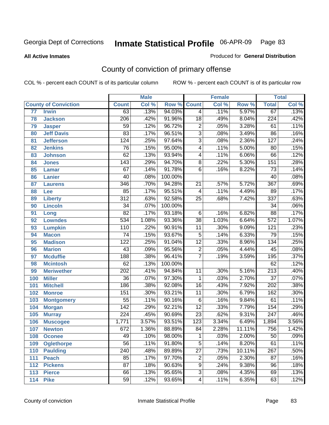#### **All Active Inmates**

#### Produced for **General Distribution**

# County of conviction of primary offense

|                 |                             |                  | <b>Male</b> |         |                  | <b>Female</b> |        |                  | <b>Total</b> |
|-----------------|-----------------------------|------------------|-------------|---------|------------------|---------------|--------|------------------|--------------|
|                 | <b>County of Conviction</b> | <b>Count</b>     | Col %       | Row %   | <b>Count</b>     | Col %         | Row %  | <b>Total</b>     | Col %        |
| $\overline{77}$ | <b>Irwin</b>                | 63               | .13%        | 94.03%  | $\overline{4}$   | .11%          | 5.97%  | 67               | .13%         |
| 78              | <b>Jackson</b>              | $\overline{206}$ | .42%        | 91.96%  | $\overline{18}$  | .49%          | 8.04%  | 224              | .42%         |
| 79              | <b>Jasper</b>               | 59               | .12%        | 96.72%  | $\overline{c}$   | .05%          | 3.28%  | 61               | .11%         |
| 80              | <b>Jeff Davis</b>           | $\overline{83}$  | .17%        | 96.51%  | $\overline{3}$   | .08%          | 3.49%  | 86               | .16%         |
| 81              | <b>Jefferson</b>            | 124              | .25%        | 97.64%  | $\overline{3}$   | .08%          | 2.36%  | $\overline{127}$ | .24%         |
| 82              | <b>Jenkins</b>              | 76               | .15%        | 95.00%  | $\overline{4}$   | .11%          | 5.00%  | $\overline{80}$  | .15%         |
| 83              | <b>Johnson</b>              | 62               | .13%        | 93.94%  | 4                | .11%          | 6.06%  | 66               | .12%         |
| 84              | <b>Jones</b>                | 143              | .29%        | 94.70%  | 8                | .22%          | 5.30%  | 151              | .28%         |
| 85              | <b>Lamar</b>                | 67               | .14%        | 91.78%  | $\overline{6}$   | .16%          | 8.22%  | $\overline{73}$  | .14%         |
| 86              | <b>Lanier</b>               | 40               | .08%        | 100.00% |                  |               |        | 40               | .08%         |
| 87              | <b>Laurens</b>              | 346              | .70%        | 94.28%  | 21               | .57%          | 5.72%  | 367              | .69%         |
| 88              | Lee                         | 85               | .17%        | 95.51%  | 4                | .11%          | 4.49%  | 89               | .17%         |
| 89              | <b>Liberty</b>              | $\overline{312}$ | .63%        | 92.58%  | 25               | .68%          | 7.42%  | $\overline{337}$ | .63%         |
| 90              | <b>Lincoln</b>              | $\overline{34}$  | .07%        | 100.00% |                  |               |        | $\overline{34}$  | .06%         |
| 91              | Long                        | $\overline{82}$  | .17%        | 93.18%  | 6                | .16%          | 6.82%  | 88               | .17%         |
| 92              | <b>Lowndes</b>              | $\overline{534}$ | 1.08%       | 93.36%  | $\overline{38}$  | 1.03%         | 6.64%  | $\overline{572}$ | 1.07%        |
| 93              | <b>Lumpkin</b>              | 110              | .22%        | 90.91%  | 11               | .30%          | 9.09%  | $\overline{121}$ | .23%         |
| 94              | <b>Macon</b>                | $\overline{74}$  | .15%        | 93.67%  | $\overline{5}$   | .14%          | 6.33%  | 79               | .15%         |
| 95              | <b>Madison</b>              | 122              | .25%        | 91.04%  | $\overline{12}$  | .33%          | 8.96%  | $\overline{134}$ | .25%         |
| 96              | <b>Marion</b>               | 43               | .09%        | 95.56%  | $\overline{2}$   | .05%          | 4.44%  | 45               | .08%         |
| 97              | <b>Mcduffie</b>             | 188              | .38%        | 96.41%  | $\overline{7}$   | .19%          | 3.59%  | 195              | .37%         |
| 98              | <b>Mcintosh</b>             | 62               | .13%        | 100.00% |                  |               |        | 62               | .12%         |
| 99              | <b>Meriwether</b>           | $\overline{202}$ | .41%        | 94.84%  | 11               | .30%          | 5.16%  | $\overline{213}$ | .40%         |
| 100             | <b>Miller</b>               | $\overline{36}$  | .07%        | 97.30%  | 1                | .03%          | 2.70%  | $\overline{37}$  | .07%         |
| 101             | <b>Mitchell</b>             | 186              | .38%        | 92.08%  | $\overline{16}$  | .43%          | 7.92%  | 202              | .38%         |
| 102             | <b>Monroe</b>               | 151              | .30%        | 93.21%  | 11               | .30%          | 6.79%  | 162              | .30%         |
| 103             | <b>Montgomery</b>           | $\overline{55}$  | .11%        | 90.16%  | $\overline{6}$   | .16%          | 9.84%  | 61               | .11%         |
| 104             | <b>Morgan</b>               | $\overline{142}$ | .29%        | 92.21%  | $\overline{12}$  | .33%          | 7.79%  | 154              | .29%         |
| 105             | <b>Murray</b>               | $\overline{224}$ | .45%        | 90.69%  | $\overline{23}$  | .62%          | 9.31%  | $\overline{247}$ | .46%         |
| 106             | <b>Muscogee</b>             | 1,771            | 3.57%       | 93.51%  | $\overline{123}$ | 3.34%         | 6.49%  | 1,894            | 3.56%        |
| 107             | <b>Newton</b>               | $\overline{672}$ | 1.36%       | 88.89%  | 84               | 2.28%         | 11.11% | 756              | 1.42%        |
| 108             | <b>Oconee</b>               | 49               | .10%        | 98.00%  | 1                | .03%          | 2.00%  | 50               | $.09\%$      |
| 109             | <b>Oglethorpe</b>           | $\overline{56}$  | .11%        | 91.80%  | $\overline{5}$   | .14%          | 8.20%  | 61               | .11%         |
| 110             | <b>Paulding</b>             | $\overline{240}$ | .48%        | 89.89%  | $\overline{27}$  | .73%          | 10.11% | 267              | .50%         |
| 111             | <b>Peach</b>                | 85               | .17%        | 97.70%  | 2                | .05%          | 2.30%  | $\overline{87}$  | .16%         |
| 112             | <b>Pickens</b>              | $\overline{87}$  | .18%        | 90.63%  | 9                | .24%          | 9.38%  | 96               | .18%         |
| 113             | <b>Pierce</b>               | 66               | .13%        | 95.65%  | $\overline{3}$   | .08%          | 4.35%  | 69               | .13%         |
| 114             | <b>Pike</b>                 | 59               | .12%        | 93.65%  | 4                | .11%          | 6.35%  | 63               | .12%         |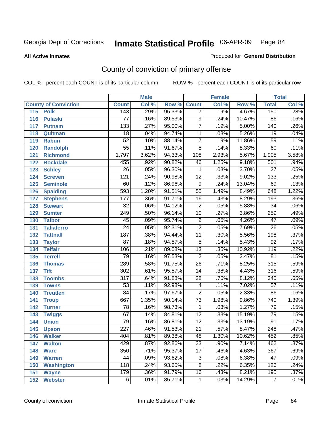**All Active Inmates**

### Produced for **General Distribution**

# County of conviction of primary offense

|     |                             |                  | <b>Male</b> |        |                         | <b>Female</b> |        |                  | <b>Total</b> |
|-----|-----------------------------|------------------|-------------|--------|-------------------------|---------------|--------|------------------|--------------|
|     | <b>County of Conviction</b> | <b>Count</b>     | Col %       | Row %  | <b>Count</b>            | Col %         | Row %  | <b>Total</b>     | Col %        |
| 115 | <b>Polk</b>                 | 143              | .29%        | 95.33% | $\overline{7}$          | .19%          | 4.67%  | 150              | .28%         |
| 116 | <b>Pulaski</b>              | $\overline{77}$  | .16%        | 89.53% | $\overline{9}$          | .24%          | 10.47% | 86               | .16%         |
| 117 | <b>Putnam</b>               | $\overline{133}$ | .27%        | 95.00% | $\overline{7}$          | .19%          | 5.00%  | 140              | .26%         |
| 118 | Quitman                     | $\overline{18}$  | .04%        | 94.74% | $\mathbf 1$             | .03%          | 5.26%  | $\overline{19}$  | .04%         |
| 119 | <b>Rabun</b>                | $\overline{52}$  | .10%        | 88.14% | $\overline{7}$          | .19%          | 11.86% | $\overline{59}$  | .11%         |
| 120 | <b>Randolph</b>             | $\overline{55}$  | .11%        | 91.67% | $\overline{5}$          | .14%          | 8.33%  | 60               | .11%         |
| 121 | <b>Richmond</b>             | 1,797            | 3.62%       | 94.33% | 108                     | 2.93%         | 5.67%  | 1,905            | 3.58%        |
| 122 | <b>Rockdale</b>             | 455              | .92%        | 90.82% | 46                      | 1.25%         | 9.18%  | 501              | .94%         |
| 123 | <b>Schley</b>               | $\overline{26}$  | .05%        | 96.30% | 1                       | .03%          | 3.70%  | $\overline{27}$  | .05%         |
| 124 | <b>Screven</b>              | $\overline{121}$ | .24%        | 90.98% | $\overline{12}$         | .33%          | 9.02%  | $\overline{133}$ | .25%         |
| 125 | <b>Seminole</b>             | 60               | .12%        | 86.96% | $\overline{9}$          | .24%          | 13.04% | 69               | .13%         |
| 126 | <b>Spalding</b>             | 593              | 1.20%       | 91.51% | $\overline{55}$         | 1.49%         | 8.49%  | 648              | 1.22%        |
| 127 | <b>Stephens</b>             | 177              | .36%        | 91.71% | 16                      | .43%          | 8.29%  | 193              | .36%         |
| 128 | <b>Stewart</b>              | $\overline{32}$  | .06%        | 94.12% | $\overline{2}$          | .05%          | 5.88%  | $\overline{34}$  | .06%         |
| 129 | <b>Sumter</b>               | 249              | .50%        | 96.14% | 10                      | .27%          | 3.86%  | 259              | .49%         |
| 130 | <b>Talbot</b>               | 45               | .09%        | 95.74% | $\overline{c}$          | .05%          | 4.26%  | $\overline{47}$  | .09%         |
| 131 | <b>Taliaferro</b>           | $\overline{24}$  | .05%        | 92.31% | $\overline{2}$          | .05%          | 7.69%  | $\overline{26}$  | .05%         |
| 132 | <b>Tattnall</b>             | 187              | .38%        | 94.44% | $\overline{11}$         | .30%          | 5.56%  | 198              | .37%         |
| 133 | <b>Taylor</b>               | $\overline{87}$  | .18%        | 94.57% | $\overline{5}$          | .14%          | 5.43%  | $\overline{92}$  | .17%         |
| 134 | <b>Telfair</b>              | 106              | .21%        | 89.08% | $\overline{13}$         | .35%          | 10.92% | 119              | .22%         |
| 135 | <b>Terrell</b>              | 79               | .16%        | 97.53% | $\overline{2}$          | .05%          | 2.47%  | $\overline{81}$  | .15%         |
| 136 | <b>Thomas</b>               | 289              | .58%        | 91.75% | $\overline{26}$         | .71%          | 8.25%  | 315              | .59%         |
| 137 | <b>Tift</b>                 | $\overline{302}$ | .61%        | 95.57% | 14                      | .38%          | 4.43%  | 316              | .59%         |
| 138 | <b>Toombs</b>               | 317              | .64%        | 91.88% | 28                      | .76%          | 8.12%  | 345              | .65%         |
| 139 | <b>Towns</b>                | $\overline{53}$  | .11%        | 92.98% | $\overline{\mathbf{4}}$ | .11%          | 7.02%  | $\overline{57}$  | .11%         |
| 140 | <b>Treutlen</b>             | 84               | .17%        | 97.67% | $\overline{2}$          | .05%          | 2.33%  | 86               | .16%         |
| 141 | <b>Troup</b>                | 667              | 1.35%       | 90.14% | $\overline{73}$         | 1.98%         | 9.86%  | 740              | 1.39%        |
| 142 | <b>Turner</b>               | 78               | .16%        | 98.73% | 1                       | .03%          | 1.27%  | 79               | .15%         |
| 143 | <b>Twiggs</b>               | $\overline{67}$  | .14%        | 84.81% | $\overline{12}$         | .33%          | 15.19% | 79               | .15%         |
| 144 | <b>Union</b>                | $\overline{79}$  | .16%        | 86.81% | $\overline{12}$         | .33%          | 13.19% | $\overline{91}$  | .17%         |
| 145 | <b>Upson</b>                | $\overline{227}$ | .46%        | 91.53% | $\overline{21}$         | .57%          | 8.47%  | $\overline{248}$ | .47%         |
| 146 | <b>Walker</b>               | 404              | .81%        | 89.38% | 48                      | 1.30%         | 10.62% | 452              | .85%         |
| 147 | <b>Walton</b>               | 429              | .87%        | 92.86% | $\overline{33}$         | .90%          | 7.14%  | 462              | .87%         |
| 148 | <b>Ware</b>                 | 350              | .71%        | 95.37% | $\overline{17}$         | .46%          | 4.63%  | 367              | .69%         |
| 149 | <b>Warren</b>               | 44               | .09%        | 93.62% | 3                       | .08%          | 6.38%  | 47               | .09%         |
| 150 | <b>Washington</b>           | 118              | .24%        | 93.65% | 8                       | .22%          | 6.35%  | 126              | .24%         |
| 151 | <b>Wayne</b>                | 179              | .36%        | 91.79% | 16                      | .43%          | 8.21%  | 195              | .37%         |
| 152 | <b>Webster</b>              | 6                | .01%        | 85.71% | $\mathbf 1$             | .03%          | 14.29% | $\overline{7}$   | .01%         |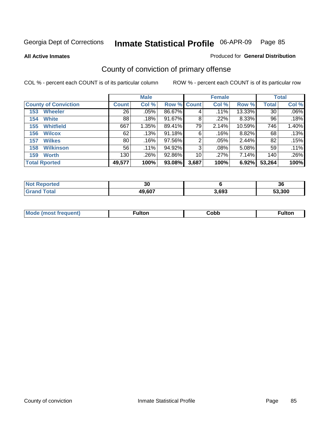**All Active Inmates**

### Produced for **General Distribution**

# County of conviction of primary offense

|                             |              | <b>Male</b> |             |       | <b>Female</b> |        |              | <b>Total</b> |
|-----------------------------|--------------|-------------|-------------|-------|---------------|--------|--------------|--------------|
| <b>County of Conviction</b> | <b>Count</b> | Col %       | Row % Count |       | Col %         | Row %  | <b>Total</b> | Col %        |
| <b>Wheeler</b><br>153       | 26           | .05%        | 86.67%      | 4     | .11%          | 13.33% | 30           | $.06\%$      |
| <b>White</b><br>154         | 88           | .18%        | 91.67%      | 8     | .22%          | 8.33%  | 96           | .18%         |
| <b>Whitfield</b><br>155     | 667          | 1.35%       | 89.41%      | 79    | 2.14%         | 10.59% | 746          | 1.40%        |
| <b>Wilcox</b><br>156        | 62           | .13%        | 91.18%      | 6     | .16%          | 8.82%  | 68           | .13%         |
| <b>Wilkes</b><br>157        | 80           | .16%        | 97.56%      | 2     | .05%          | 2.44%  | 82           | .15%         |
| <b>Wilkinson</b><br>158     | 56           | .11%        | 94.92%      | 3     | .08%          | 5.08%  | 59           | .11%         |
| <b>Worth</b><br>159         | 130          | .26%        | 92.86%      | 10    | .27%          | 7.14%  | 140          | .26%         |
| <b>Total Rported</b>        | 49,577       | 100%        | 93.08%      | 3,687 | 100%          | 6.92%  | 53,264       | 100%         |

| Reported<br><b>NOT</b> | or.<br>ึงเ |       | 36     |
|------------------------|------------|-------|--------|
| `ota.                  | 49,607     | 3.693 | 53.300 |

| Mc | ™ulton | Cobb |  |
|----|--------|------|--|
|    |        |      |  |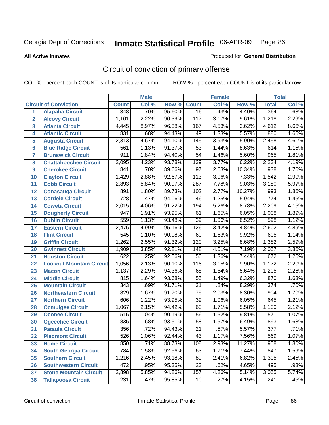**All Active Inmates**

#### Produced for **General Distribution**

# Circuit of conviction of primary offense

|                         |                                 |                  | <b>Male</b> |        |                  | <b>Female</b> |        |                  | <b>Total</b> |
|-------------------------|---------------------------------|------------------|-------------|--------|------------------|---------------|--------|------------------|--------------|
|                         | <b>Circuit of Conviction</b>    | <b>Count</b>     | Col %       | Row %  | <b>Count</b>     | Col %         | Row %  | <b>Total</b>     | Col %        |
| 1                       | <b>Alapaha Circuit</b>          | 348              | .70%        | 95.60% | 16               | .43%          | 4.40%  | 364              | .68%         |
| $\overline{2}$          | <b>Alcovy Circuit</b>           | 1,101            | 2.22%       | 90.39% | 117              | 3.17%         | 9.61%  | 1,218            | 2.29%        |
| $\overline{\mathbf{3}}$ | <b>Atlanta Circuit</b>          | 4,445            | 8.97%       | 96.38% | 167              | 4.53%         | 3.62%  | 4,612            | 8.66%        |
| 4                       | <b>Atlantic Circuit</b>         | 831              | 1.68%       | 94.43% | 49               | 1.33%         | 5.57%  | 880              | 1.65%        |
| 5                       | <b>Augusta Circuit</b>          | 2,313            | 4.67%       | 94.10% | $\overline{145}$ | 3.93%         | 5.90%  | 2,458            | 4.61%        |
| $6\phantom{a}$          | <b>Blue Ridge Circuit</b>       | 561              | 1.13%       | 91.37% | $\overline{53}$  | 1.44%         | 8.63%  | 614              | 1.15%        |
| $\overline{\mathbf{7}}$ | <b>Brunswick Circuit</b>        | 911              | 1.84%       | 94.40% | $\overline{54}$  | 1.46%         | 5.60%  | 965              | 1.81%        |
| 8                       | <b>Chattahoochee Circuit</b>    | 2,095            | 4.23%       | 93.78% | 139              | 3.77%         | 6.22%  | 2,234            | 4.19%        |
| 9                       | <b>Cherokee Circuit</b>         | 841              | 1.70%       | 89.66% | $\overline{97}$  | 2.63%         | 10.34% | $\overline{938}$ | 1.76%        |
| 10                      | <b>Clayton Circuit</b>          | 1,429            | 2.88%       | 92.67% | 113              | 3.06%         | 7.33%  | 1,542            | 2.90%        |
| 11                      | <b>Cobb Circuit</b>             | 2,893            | 5.84%       | 90.97% | 287              | 7.78%         | 9.03%  | 3,180            | 5.97%        |
| 12                      | <b>Conasauga Circuit</b>        | 891              | 1.80%       | 89.73% | 102              | 2.77%         | 10.27% | 993              | 1.86%        |
| 13                      | <b>Cordele Circuit</b>          | $\overline{728}$ | 1.47%       | 94.06% | 46               | 1.25%         | 5.94%  | $\overline{774}$ | 1.45%        |
| 14                      | <b>Coweta Circuit</b>           | 2,015            | 4.06%       | 91.22% | 194              | 5.26%         | 8.78%  | 2,209            | 4.15%        |
| 15                      | <b>Dougherty Circuit</b>        | 947              | 1.91%       | 93.95% | 61               | 1.65%         | 6.05%  | 1,008            | 1.89%        |
| 16                      | <b>Dublin Circuit</b>           | 559              | 1.13%       | 93.48% | $\overline{39}$  | 1.06%         | 6.52%  | 598              | 1.12%        |
| 17                      | <b>Eastern Circuit</b>          | 2,476            | 4.99%       | 95.16% | 126              | 3.42%         | 4.84%  | 2,602            | 4.89%        |
| 18                      | <b>Flint Circuit</b>            | $\overline{545}$ | 1.10%       | 90.08% | 60               | 1.63%         | 9.92%  | 605              | 1.14%        |
| 19                      | <b>Griffin Circuit</b>          | 1,262            | 2.55%       | 91.32% | 120              | 3.25%         | 8.68%  | 1,382            | 2.59%        |
| 20                      | <b>Gwinnett Circuit</b>         | 1,909            | 3.85%       | 92.81% | 148              | 4.01%         | 7.19%  | 2,057            | 3.86%        |
| 21                      | <b>Houston Circuit</b>          | 622              | 1.25%       | 92.56% | $\overline{50}$  | 1.36%         | 7.44%  | 672              | 1.26%        |
| 22                      | <b>Lookout Mountain Circuit</b> | 1,056            | 2.13%       | 90.10% | 116              | 3.15%         | 9.90%  | 1,172            | 2.20%        |
| 23                      | <b>Macon Circuit</b>            | 1,137            | 2.29%       | 94.36% | 68               | 1.84%         | 5.64%  | 1,205            | 2.26%        |
| 24                      | <b>Middle Circuit</b>           | 815              | 1.64%       | 93.68% | $\overline{55}$  | 1.49%         | 6.32%  | 870              | 1.63%        |
| 25                      | <b>Mountain Circuit</b>         | $\overline{343}$ | .69%        | 91.71% | $\overline{31}$  | .84%          | 8.29%  | $\overline{374}$ | .70%         |
| 26                      | <b>Northeastern Circuit</b>     | 829              | 1.67%       | 91.70% | $\overline{75}$  | 2.03%         | 8.30%  | 904              | 1.70%        |
| 27                      | <b>Northern Circuit</b>         | 606              | 1.22%       | 93.95% | $\overline{39}$  | 1.06%         | 6.05%  | 645              | 1.21%        |
| 28                      | <b>Ocmulgee Circuit</b>         | 1,067            | 2.15%       | 94.42% | 63               | 1.71%         | 5.58%  | 1,130            | 2.12%        |
| 29                      | <b>Oconee Circuit</b>           | 515              | 1.04%       | 90.19% | $\overline{56}$  | 1.52%         | 9.81%  | $\overline{571}$ | 1.07%        |
| 30                      | <b>Ogeechee Circuit</b>         | 835              | 1.68%       | 93.51% | $\overline{58}$  | 1.57%         | 6.49%  | 893              | 1.68%        |
| $\overline{31}$         | <b>Pataula Circuit</b>          | 356              | .72%        | 94.43% | $\overline{21}$  | .57%          | 5.57%  | $\overline{377}$ | .71%         |
| 32                      | <b>Piedmont Circuit</b>         | 526              | 1.06%       | 92.44% | 43               | 1.17%         | 7.56%  | 569              | $1.07\%$     |
| 33                      | <b>Rome Circuit</b>             | 850              | 1.71%       | 88.73% | 108              | 2.93%         | 11.27% | 958              | 1.80%        |
| 34                      | <b>South Georgia Circuit</b>    | 784              | 1.58%       | 92.56% | 63               | 1.71%         | 7.44%  | 847              | 1.59%        |
| 35                      | <b>Southern Circuit</b>         | 1,216            | 2.45%       | 93.18% | 89               | 2.41%         | 6.82%  | 1,305            | 2.45%        |
| 36                      | <b>Southwestern Circuit</b>     | 472              | .95%        | 95.35% | 23               | .62%          | 4.65%  | 495              | .93%         |
| 37                      | <b>Stone Mountain Circuit</b>   | 2,898            | 5.85%       | 94.86% | 157              | 4.26%         | 5.14%  | 3,055            | 5.74%        |
| 38                      | <b>Tallapoosa Circuit</b>       | 231              | .47%        | 95.85% | 10               | .27%          | 4.15%  | $\overline{241}$ | .45%         |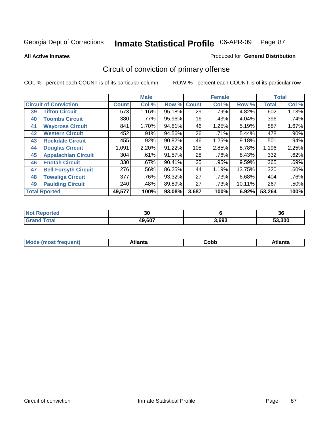**All Active Inmates**

#### Produced for **General Distribution**

# Circuit of conviction of primary offense

|    |                              |        | <b>Male</b> |        |              | <b>Female</b> |        |              | <b>Total</b> |
|----|------------------------------|--------|-------------|--------|--------------|---------------|--------|--------------|--------------|
|    | <b>Circuit of Conviction</b> |        | Col %       | Row %  | <b>Count</b> | Col %         | Row %  | <b>Total</b> | Col %        |
| 39 | <b>Tifton Circuit</b>        | 573    | 1.16%       | 95.18% | 29           | .79%          | 4.82%  | 602          | 1.13%        |
| 40 | <b>Toombs Circuit</b>        | 380    | .77%        | 95.96% | 16           | .43%          | 4.04%  | 396          | .74%         |
| 41 | <b>Waycross Circuit</b>      | 841    | 1.70%       | 94.81% | 46           | 1.25%         | 5.19%  | 887          | 1.67%        |
| 42 | <b>Western Circuit</b>       | 452    | $.91\%$     | 94.56% | 26           | $.71\%$       | 5.44%  | 478          | $.90\%$      |
| 43 | <b>Rockdale Circuit</b>      | 455    | .92%        | 90.82% | 46           | 1.25%         | 9.18%  | 501          | .94%         |
| 44 | <b>Douglas Circuit</b>       | 1,091  | 2.20%       | 91.22% | 105          | 2.85%         | 8.78%  | 1,196        | 2.25%        |
| 45 | <b>Appalachian Circuit</b>   | 304    | .61%        | 91.57% | 28           | .76%          | 8.43%  | 332          | .62%         |
| 46 | <b>Enotah Circuit</b>        | 330    | .67%        | 90.41% | 35           | .95%          | 9.59%  | 365          | .69%         |
| 47 | <b>Bell-Forsyth Circuit</b>  | 276    | $.56\%$     | 86.25% | 44           | 1.19%         | 13.75% | 320          | .60%         |
| 48 | <b>Towaliga Circuit</b>      | 377    | .76%        | 93.32% | 27           | .73%          | 6.68%  | 404          | .76%         |
| 49 | <b>Paulding Circuit</b>      | 240    | .48%        | 89.89% | 27           | .73%          | 10.11% | 267          | .50%         |
|    | <b>Total Rported</b>         | 49,577 | 100%        | 93.08% | 3,687        | 100%          | 6.92%  | 53,264       | 100%         |

| тес | $\sim$<br>งบ |       | 36   |
|-----|--------------|-------|------|
|     | 49.607       | 3.693 | .300 |

| <b>M</b> ດ<br>.<br>. | $+1$ ant $\cdot$<br>ιαπιω<br>. <i>. .</i> | ∶obb<br>- - - - - | 'anta |
|----------------------|-------------------------------------------|-------------------|-------|
|----------------------|-------------------------------------------|-------------------|-------|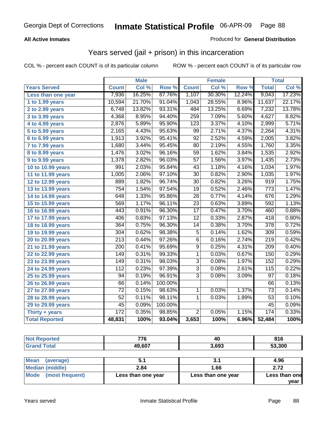### **All Active Inmates**

### Produced for **General Distribution**

## Years served (jail + prison) in this incarceration

|                              |                  | <b>Male</b> |         |                 | <b>Female</b> |        |                  | <b>Total</b> |
|------------------------------|------------------|-------------|---------|-----------------|---------------|--------|------------------|--------------|
| <b>Years Served</b>          | <b>Count</b>     | Col %       | Row %   | <b>Count</b>    | Col %         | Row %  | <b>Total</b>     | Col %        |
| Less than one year           | 7,936            | 16.25%      | 87.76%  | 1,107           | 30.30%        | 12.24% | 9,043            | 17.23%       |
| 1 to 1.99 years              | 10,594           | 21.70%      | 91.04%  | 1,043           | 28.55%        | 8.96%  | 11,637           | 22.17%       |
| 2 to 2.99 years              | 6,748            | 13.82%      | 93.31%  | 484             | 13.25%        | 6.69%  | 7,232            | 13.78%       |
| $3$ to 3.99 years            | 4,368            | 8.95%       | 94.40%  | 259             | 7.09%         | 5.60%  | 4,627            | 8.82%        |
| 4 to 4.99 years              | 2,876            | 5.89%       | 95.90%  | 123             | 3.37%         | 4.10%  | 2,999            | 5.71%        |
| 5 to 5.99 years              | 2,165            | 4.43%       | 95.63%  | 99              | 2.71%         | 4.37%  | 2,264            | 4.31%        |
| 6 to 6.99 years              | 1,913            | 3.92%       | 95.41%  | $\overline{92}$ | 2.52%         | 4.59%  | 2,005            | 3.82%        |
| $\overline{7}$ to 7.99 years | 1,680            | 3.44%       | 95.45%  | 80              | 2.19%         | 4.55%  | 1,760            | 3.35%        |
| 8 to 8.99 years              | 1,476            | 3.02%       | 96.16%  | $\overline{59}$ | 1.62%         | 3.84%  | 1,535            | 2.92%        |
| 9 to 9.99 years              | 1,378            | 2.82%       | 96.03%  | $\overline{57}$ | 1.56%         | 3.97%  | 1,435            | 2.73%        |
| 10 to 10.99 years            | 991              | 2.03%       | 95.84%  | $\overline{43}$ | 1.18%         | 4.16%  | 1,034            | 1.97%        |
| 11 to 11.99 years            | 1,005            | 2.06%       | 97.10%  | $\overline{30}$ | 0.82%         | 2.90%  | 1,035            | 1.97%        |
| 12 to 12.99 years            | 889              | 1.82%       | 96.74%  | $\overline{30}$ | 0.82%         | 3.26%  | $\overline{919}$ | 1.75%        |
| 13 to 13.99 years            | 754              | 1.54%       | 97.54%  | 19              | 0.52%         | 2.46%  | 773              | 1.47%        |
| 14 to 14.99 years            | $\overline{648}$ | 1.33%       | 95.86%  | $\overline{28}$ | 0.77%         | 4.14%  | 676              | 1.29%        |
| 15 to 15.99 years            | 569              | 1.17%       | 96.11%  | $\overline{23}$ | 0.63%         | 3.89%  | 592              | 1.13%        |
| 16 to 16.99 years            | 443              | 0.91%       | 96.30%  | $\overline{17}$ | 0.47%         | 3.70%  | 460              | 0.88%        |
| 17 to 17.99 years            | 406              | 0.83%       | 97.13%  | $\overline{12}$ | 0.33%         | 2.87%  | 418              | 0.80%        |
| 18 to 18.99 years            | 364              | 0.75%       | 96.30%  | 14              | 0.38%         | 3.70%  | 378              | 0.72%        |
| 19 to 19.99 years            | 304              | 0.62%       | 98.38%  | $\overline{5}$  | 0.14%         | 1.62%  | 309              | 0.59%        |
| 20 to 20.99 years            | $\overline{213}$ | 0.44%       | 97.26%  | $\overline{6}$  | 0.16%         | 2.74%  | $\overline{219}$ | 0.42%        |
| 21 to 21.99 years            | $\overline{200}$ | 0.41%       | 95.69%  | 9               | 0.25%         | 4.31%  | 209              | 0.40%        |
| 22 to 22.99 years            | 149              | 0.31%       | 99.33%  | $\mathbf{1}$    | 0.03%         | 0.67%  | 150              | 0.29%        |
| 23 to 23.99 years            | 149              | 0.31%       | 98.03%  | $\overline{3}$  | 0.08%         | 1.97%  | 152              | 0.29%        |
| 24 to 24.99 years            | $\overline{112}$ | 0.23%       | 97.39%  | $\overline{3}$  | 0.08%         | 2.61%  | 115              | 0.22%        |
| 25 to 25.99 years            | $\overline{94}$  | 0.19%       | 96.91%  | $\overline{3}$  | 0.08%         | 3.09%  | $\overline{97}$  | 0.18%        |
| 26 to 26.99 years            | 66               | 0.14%       | 100.00% |                 |               |        | 66               | 0.13%        |
| 27 to 27.99 years            | $\overline{72}$  | 0.15%       | 98.63%  | $\mathbf{1}$    | 0.03%         | 1.37%  | $\overline{73}$  | 0.14%        |
| 28 to 28.99 years            | $\overline{52}$  | 0.11%       | 98.11%  | 1               | 0.03%         | 1.89%  | $\overline{53}$  | 0.10%        |
| 29 to 29.99 years            | 45               | 0.09%       | 100.00% |                 |               |        | 45               | 0.09%        |
| Thirty + years               | $\overline{172}$ | 0.35%       | 98.85%  | $\overline{2}$  | 0.05%         | 1.15%  | 174              | 0.33%        |
| <b>Total Reported</b>        | 48,831           | 100%        | 93.04%  | 3,653           | 100%          | 6.96%  | 52,484           | 100%         |

| <b>Not</b>      | 77C    | 40    | 04 C   |
|-----------------|--------|-------|--------|
| <b>Reported</b> | 70     |       | 0 I U  |
| `otal           | 49,607 | 3,693 | 53.300 |

| <b>Mean</b><br>(average) |                    |                    | 4.96          |
|--------------------------|--------------------|--------------------|---------------|
| Median (middle)          | 2.84               | 1.66               | 2.72          |
| Mode (most frequent)     | Less than one year | Less than one year | Less than one |
|                          |                    |                    | vear          |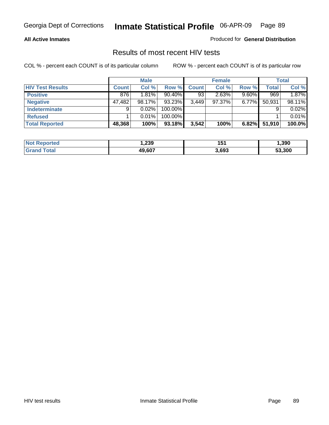#### **All Active Inmates**

Produced for **General Distribution**

### Results of most recent HIV tests

|                         |              | <b>Male</b> |         |              | <b>Female</b> |          |              | Total  |
|-------------------------|--------------|-------------|---------|--------------|---------------|----------|--------------|--------|
| <b>HIV Test Results</b> | <b>Count</b> | Col %       | Row %   | <b>Count</b> | Col %         | Row %    | <b>Total</b> | Col %  |
| <b>Positive</b>         | 876          | 1.81%       | 90.40%  | 93           | 2.63%         | $9.60\%$ | 969          | 1.87%  |
| <b>Negative</b>         | 47,482       | 98.17%      | 93.23%  | 3,449        | $97.37\%$     | 6.77%    | 50,931       | 98.11% |
| Indeterminate           | 9            | 0.02%       | 100.00% |              |               |          |              | 0.02%  |
| <b>Refused</b>          |              | 0.01%       | 100.00% |              |               |          |              | 0.01%  |
| <b>Total Reported</b>   | 48,368       | 100%        | 93.18%  | 3,542        | 100%          | 6.82%    | 51,910       | 100.0% |

| <b>Not</b><br><b>eported</b> | 239.   | 151   | 1,390  |
|------------------------------|--------|-------|--------|
| ⊺otal<br><b>Grar</b>         | 49.607 | 3,693 | 53.300 |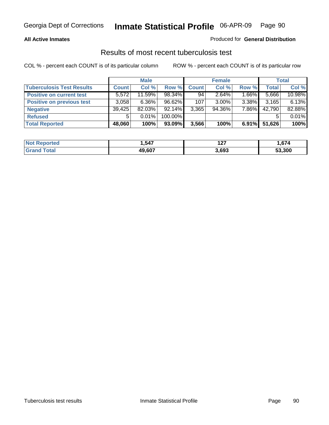### **All Active Inmates**

### Produced for **General Distribution**

### Results of most recent tuberculosis test

|                                  |              | <b>Male</b> |           |              | <b>Female</b> |          |              | Total  |
|----------------------------------|--------------|-------------|-----------|--------------|---------------|----------|--------------|--------|
| <b>Tuberculosis Test Results</b> | <b>Count</b> | Col %       | Row %     | <b>Count</b> | Col %         | Row %    | <b>Total</b> | Col %  |
| <b>Positive on current test</b>  | 5.572        | 11.59%      | 98.34%    | 94           | 2.64%         | $1.66\%$ | 5,666        | 10.98% |
| <b>Positive on previous test</b> | 3,058        | $6.36\%$    | $96.62\%$ | 107          | $3.00\%$      | $3.38\%$ | 3,165        | 6.13%  |
| <b>Negative</b>                  | 39,425       | 82.03%      | $92.14\%$ | 3,365        | 94.36%        | 7.86%    | 42,790       | 82.88% |
| <b>Refused</b>                   | 5            | $0.01\%$    | 100.00%   |              |               |          |              | 0.01%  |
| <b>Total Reported</b>            | 48,060       | 100%        | 93.09%    | 3,566        | 100%          | $6.91\%$ | 51,626       | 100%   |

| <b>Not</b><br>Reported | .547   | י י<br>14 I | .674   |
|------------------------|--------|-------------|--------|
| 'Grand<br>⊤otar        | 49.607 | 3,693       | 53.300 |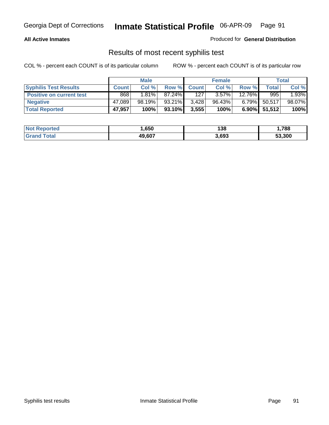### **All Active Inmates**

Produced for **General Distribution**

### Results of most recent syphilis test

|                                 |              | <b>Male</b> |         |              | <b>Female</b> |          |                 | Total  |
|---------------------------------|--------------|-------------|---------|--------------|---------------|----------|-----------------|--------|
| <b>Syphilis Test Results</b>    | <b>Count</b> | Col %       | Row %   | <b>Count</b> | Col %         | Row %    | $\tau$ otal     | Col %  |
| <b>Positive on current test</b> | 868          | $1.81\%$    | 87.24%  | 127          | $3.57\%$      | 12.76%   | 995             | 1.93%  |
| <b>Negative</b>                 | 47,089       | 98.19%      | 93.21%  | 3,428        | 96.43%        | $6.79\%$ | 50,517          | 98.07% |
| <b>Total Reported</b>           | 47,957       | 100%        | 93.10%I | 3,555        | 100%          |          | $6.90\%$ 51,512 | 100%   |

| <b>Not Reported</b> | .650   | 138   | .788.، |
|---------------------|--------|-------|--------|
| <b>Grand Total</b>  | 49,607 | 3,693 | 53,300 |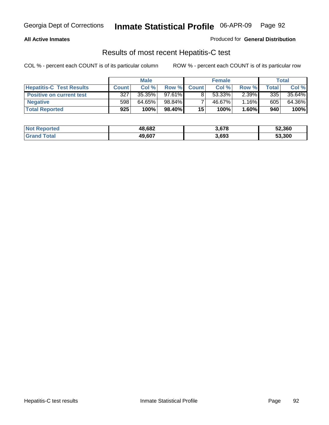### **All Active Inmates**

Produced for **General Distribution**

### Results of most recent Hepatitis-C test

|                                 |              | <b>Male</b> |           |              | <b>Female</b> |          |             | Total  |
|---------------------------------|--------------|-------------|-----------|--------------|---------------|----------|-------------|--------|
| <b>Hepatitis-C Test Results</b> | <b>Count</b> | Col %       | Row %I    | <b>Count</b> | Col %         | Row %    | $\tau$ otal | Col %  |
| <b>Positive on current test</b> | 327          | 35.35%      | $97.61\%$ |              | 53.33%        | $2.39\%$ | 335         | 35.64% |
| <b>Negative</b>                 | 598          | 64.65%      | 98.84%    |              | 46.67%        | 1.16%    | 605         | 64.36% |
| <b>Total Reported</b>           | 925          | 100%        | 98.40%    | 15           | 100%          | 1.60%    | 940         | 100%   |

| <b>Not Reported</b> | 48,682 | 3,678 | 52,360 |
|---------------------|--------|-------|--------|
| <b>Grand Total</b>  | 49,607 | 3,693 | 53,300 |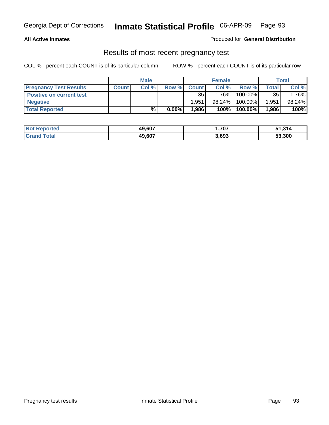#### **All Active Inmates**

Produced for **General Distribution**

### Results of most recent pregnancy test

|                                 |              | <b>Male</b> |          |              | <b>Female</b> |         |       | Total   |
|---------------------------------|--------------|-------------|----------|--------------|---------------|---------|-------|---------|
| <b>Pregnancy Test Results</b>   | <b>Count</b> | Col %       | Row %    | <b>Count</b> | Col %         | Row %   | Total | Col %   |
| <b>Positive on current test</b> |              |             |          | 35           | $1.76\%$      | 100.00% | 35    | $.76\%$ |
| <b>Negative</b>                 |              |             |          | 1.951        | 98.24%        | 100.00% | 1,951 | 98.24%  |
| <b>Total Reported</b>           |              | $\%$        | $0.00\%$ | 1.986        | 100%          | 100.00% | 1,986 | 100%    |

| <b>Not Reported</b> | 49,607 | ,707  | 51,314 |
|---------------------|--------|-------|--------|
| <b>Grand Total</b>  | 49,607 | 3,693 | 53,300 |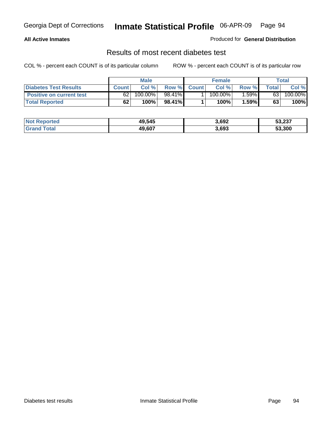### **All Active Inmates**

### Produced for **General Distribution**

### Results of most recent diabetes test

|                                 |              | <b>Male</b> |        |              | <b>Female</b> |          |       | Total   |
|---------------------------------|--------------|-------------|--------|--------------|---------------|----------|-------|---------|
| <b>Diabetes Test Results</b>    | <b>Count</b> | Col %       | Row %  | <b>Count</b> | Col %         | Row %    | Total | Col %   |
| <b>Positive on current test</b> | 62           | 100.00%     | 98.41% |              | $100.00\%$    | $1.59\%$ | 63    | 100.00% |
| <b>Total Reported</b>           | 62           | 100%        | 98.41% |              | 100%          | 1.59%    | 63    | 100%    |

| <b>Not Reported</b> | 49,545 | 3,692 | 53,237 |
|---------------------|--------|-------|--------|
| Total<br>' Granc    | 49.607 | 3,693 | 53,300 |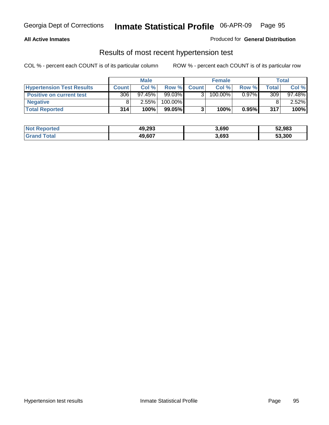### **All Active Inmates**

### Produced for **General Distribution**

### Results of most recent hypertension test

|                                  | <b>Male</b>  |           |         | <b>Female</b> |         |          | <b>Total</b> |           |
|----------------------------------|--------------|-----------|---------|---------------|---------|----------|--------------|-----------|
| <b>Hypertension Test Results</b> | <b>Count</b> | Col %     | Row %   | <b>Count</b>  | Col%    | Row %    | Total        | Col %     |
| <b>Positive on current test</b>  | 306          | $97.45\%$ | 99.03%  |               | 100.00% | $0.97\%$ | 309          | $97.48\%$ |
| <b>Negative</b>                  |              | 2.55%     | 100.00% |               |         |          |              | $2.52\%$  |
| <b>Total Reported</b>            | 314          | 100%      | 99.05%  |               | 100%    | 0.95%    | 317          | 100%      |

| <b>Not Reported</b> | 49,293 | 3.690 | 52,983 |
|---------------------|--------|-------|--------|
| <b>Grand Total</b>  | 49,607 | 3,693 | 53,300 |